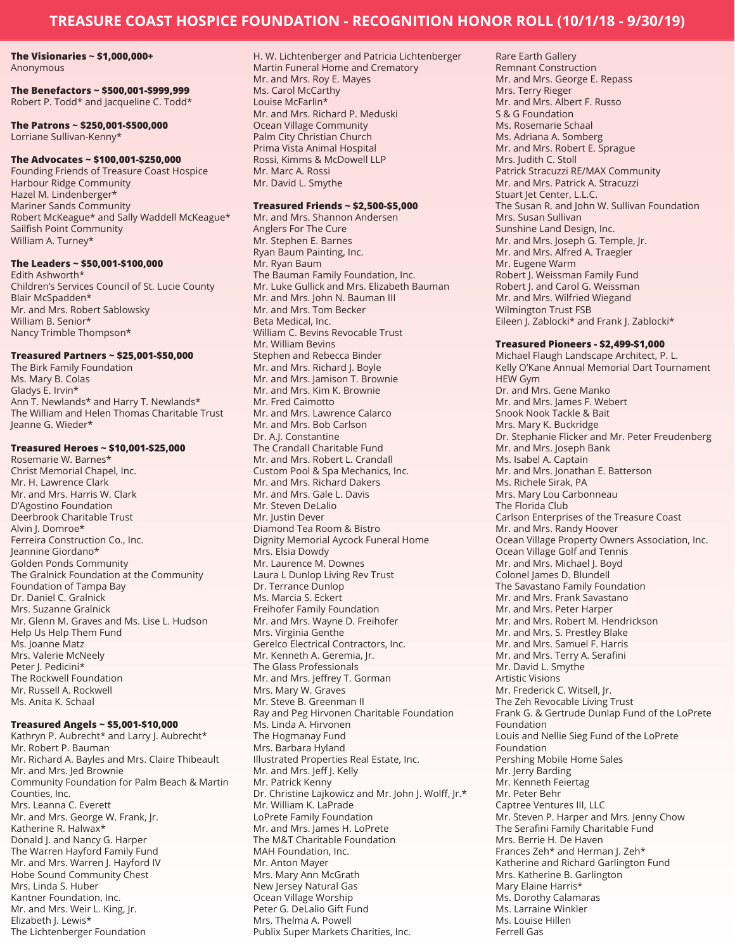# **The Visionaries ~ \$1,000,000+**

Anonymous

### **The Benefactors ~ \$500,001-\$999,999** Robert P. Todd\* and Jacqueline C. Todd\*

**The Patrons ~ \$250,001-\$500,000** Lorriane Sullivan-Kenny\*

#### **The Advocates ~ \$100,001-\$250,000**

Founding Friends of Treasure Coast Hospice Harbour Ridge Community Hazel M. Lindenberger\* Mariner Sands Community Robert McKeague\* and Sally Waddell McKeague\* Sailfish Point Community William A. Turney\*

### **The Leaders ~ \$50,001-\$100,000**

Edith Ashworth\* Children's Services Council of St. Lucie County Blair McSpadden\* Mr. and Mrs. Robert Sablowsky William B. Senior\* Nancy Trimble Thompson\*

#### **Treasured Partners ~ \$25,001-\$50,000**

The Birk Family Foundation Ms. Mary B. Colas Gladys E. Irvin\* Ann T. Newlands\* and Harry T. Newlands\* The William and Helen Thomas Charitable Trust Jeanne G. Wieder\*

#### **Treasured Heroes ~ \$10,001-\$25,000**

Rosemarie W. Barnes\* Christ Memorial Chapel, Inc. Mr. H. Lawrence Clark Mr. and Mrs. Harris W. Clark D'Agostino Foundation Deerbrook Charitable Trust Alvin J. Domroe\* Ferreira Construction Co., Inc. Jeannine Giordano\* Golden Ponds Community The Gralnick Foundation at the Community Foundation of Tampa Bay Dr. Daniel C. Gralnick Mrs. Suzanne Gralnick Mr. Glenn M. Graves and Ms. Lise L. Hudson Help Us Help Them Fund Ms. Joanne Matz Mrs. Valerie McNeely Peter J. Pedicini\* The Rockwell Foundation Mr. Russell A. Rockwell Ms. Anita K. Schaal

#### **Treasured Angels ~ \$5,001-\$10,000**

Kathryn P. Aubrecht\* and Larry J. Aubrecht\* Mr. Robert P. Bauman Mr. Richard A. Bayles and Mrs. Claire Thibeault Mr. and Mrs. Jed Brownie Community Foundation for Palm Beach & Martin Counties, Inc. Mrs. Leanna C. Everett Mr. and Mrs. George W. Frank, Jr. Katherine R. Halwax\* Donald J. and Nancy G. Harper The Warren Hayford Family Fund Mr. and Mrs. Warren J. Hayford IV Hobe Sound Community Chest Mrs. Linda S. Huber Kantner Foundation, Inc. Mr. and Mrs. Weir L. King, Jr. Elizabeth J. Lewis\* The Lichtenberger Foundation

H. W. Lichtenberger and Patricia Lichtenberger Martin Funeral Home and Crematory Mr. and Mrs. Roy E. Mayes Ms. Carol McCarthy Louise McFarlin\* Mr. and Mrs. Richard P. Meduski Ocean Village Community Palm City Christian Church Prima Vista Animal Hospital Rossi, Kimms & McDowell LLP Mr. Marc A. Rossi Mr. David L. Smythe

#### **Treasured Friends ~ \$2,500-\$5,000**

Mr. and Mrs. Shannon Andersen Anglers For The Cure Mr. Stephen E. Barnes Ryan Baum Painting, Inc. Mr. Ryan Baum The Bauman Family Foundation, Inc. Mr. Luke Gullick and Mrs. Elizabeth Bauman Mr. and Mrs. John N. Bauman III Mr. and Mrs. Tom Becker Beta Medical, Inc. William C. Bevins Revocable Trust Mr. William Bevins Stephen and Rebecca Binder Mr. and Mrs. Richard J. Boyle Mr. and Mrs. Jamison T. Brownie Mr. and Mrs. Kim K. Brownie Mr. Fred Caimotto Mr. and Mrs. Lawrence Calarco Mr. and Mrs. Bob Carlson Dr. A.J. Constantine The Crandall Charitable Fund Mr. and Mrs. Robert L. Crandall Custom Pool & Spa Mechanics, Inc. Mr. and Mrs. Richard Dakers Mr. and Mrs. Gale L. Davis Mr. Steven DeLalio Mr. Justin Dever Diamond Tea Room & Bistro Dignity Memorial Aycock Funeral Home Mrs. Elsia Dowdy Mr. Laurence M. Downes Laura L Dunlop Living Rev Trust Dr. Terrance Dunlop Ms. Marcia S. Eckert Freihofer Family Foundation Mr. and Mrs. Wayne D. Freihofer Mrs. Virginia Genthe Gerelco Electrical Contractors, Inc. Mr. Kenneth A. Geremia, Jr. The Glass Professionals Mr. and Mrs. Jeffrey T. Gorman Mrs. Mary W. Graves Mr. Steve B. Greenman II Ray and Peg Hirvonen Charitable Foundation Ms. Linda A. Hirvonen The Hogmanay Fund Mrs. Barbara Hyland Illustrated Properties Real Estate, Inc. Mr. and Mrs. Jeff J. Kelly Mr. Patrick Kenny Dr. Christine Lajkowicz and Mr. John J. Wolff, Jr.\* Mr. William K. LaPrade LoPrete Family Foundation Mr. and Mrs. James H. LoPrete The M&T Charitable Foundation MAH Foundation, Inc. Mr. Anton Mayer Mrs. Mary Ann McGrath New Jersey Natural Gas Ocean Village Worship Peter G. DeLalio Gift Fund Mrs. Thelma A. Powell Publix Super Markets Charities, Inc.

Rare Earth Gallery Remnant Construction Mr. and Mrs. George E. Repass Mrs. Terry Rieger Mr. and Mrs. Albert F. Russo S & G Foundation Ms. Rosemarie Schaal Ms. Adriana A. Somberg Mr. and Mrs. Robert E. Sprague Mrs. Judith C. Stoll Patrick Stracuzzi RE/MAX Community Mr. and Mrs. Patrick A. Stracuzzi Stuart Jet Center, L.L.C. The Susan R. and John W. Sullivan Foundation Mrs. Susan Sullivan Sunshine Land Design, Inc. Mr. and Mrs. Joseph G. Temple, Jr. Mr. and Mrs. Alfred A. Traegler Mr. Eugene Warm Robert J. Weissman Family Fund Robert J. and Carol G. Weissman Mr. and Mrs. Wilfried Wiegand Wilmington Trust FSB Eileen J. Zablocki\* and Frank J. Zablocki\*

#### **Treasured Pioneers - \$2,499-\$1,000**

Michael Flaugh Landscape Architect, P. L. Kelly O'Kane Annual Memorial Dart Tournament HEW Gym Dr. and Mrs. Gene Manko Mr. and Mrs. James F. Webert Snook Nook Tackle & Bait Mrs. Mary K. Buckridge Dr. Stephanie Flicker and Mr. Peter Freudenberg Mr. and Mrs. Joseph Bank Ms. Isabel A. Captain Mr. and Mrs. Jonathan E. Batterson Ms. Richele Sirak, PA Mrs. Mary Lou Carbonneau The Florida Club Carlson Enterprises of the Treasure Coast Mr. and Mrs. Randy Hoover Ocean Village Property Owners Association, Inc. Ocean Village Golf and Tennis Mr. and Mrs. Michael J. Boyd Colonel James D. Blundell The Savastano Family Foundation Mr. and Mrs. Frank Savastano Mr. and Mrs. Peter Harper Mr. and Mrs. Robert M. Hendrickson Mr. and Mrs. S. Prestley Blake Mr. and Mrs. Samuel F. Harris Mr. and Mrs. Terry A. Serafini Mr. David L. Smythe Artistic Visions Mr. Frederick C. Witsell, Jr. The Zeh Revocable Living Trust Frank G. & Gertrude Dunlap Fund of the LoPrete Foundation Louis and Nellie Sieg Fund of the LoPrete Foundation Pershing Mobile Home Sales Mr. Jerry Barding Mr. Kenneth Feiertag Mr. Peter Behr Captree Ventures III, LLC Mr. Steven P. Harper and Mrs. Jenny Chow The Serafini Family Charitable Fund Mrs. Berrie H. De Haven Frances Zeh\* and Herman J. Zeh\* Katherine and Richard Garlington Fund Mrs. Katherine B. Garlington Mary Elaine Harris\* Ms. Dorothy Calamaras Ms. Larraine Winkler Ms. Louise Hillen Ferrell Gas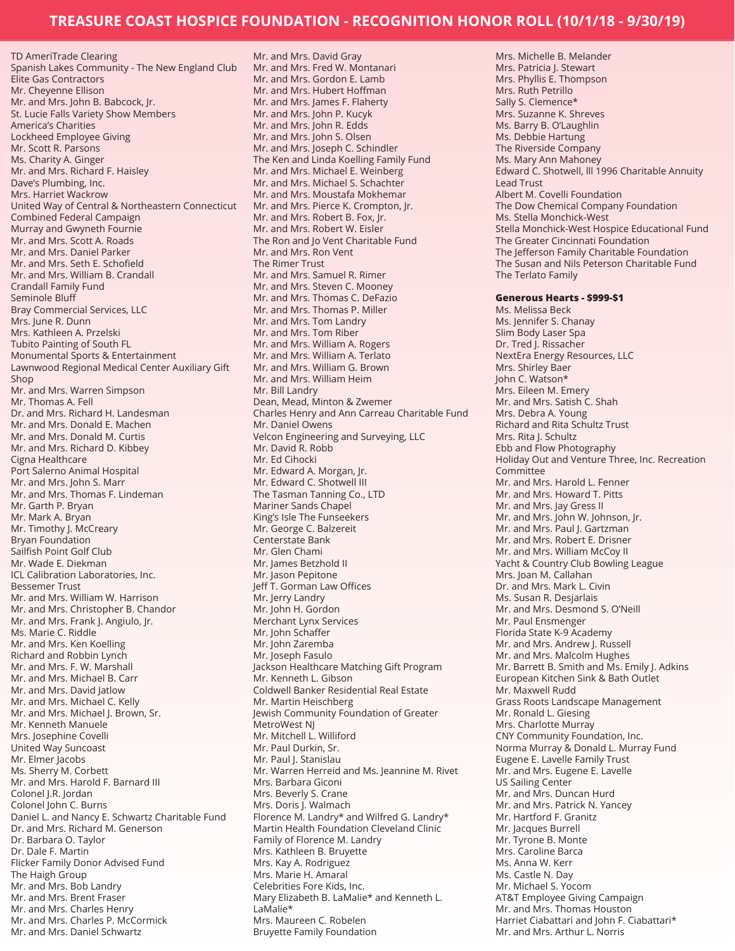TD AmeriTrade Clearing Spanish Lakes Community - The New England Club Elite Gas Contractors Mr. Cheyenne Ellison Mr. and Mrs. John B. Babcock, Jr. St. Lucie Falls Variety Show Members America's Charities Lockheed Employee Giving Mr. Scott R. Parsons Ms. Charity A. Ginger Mr. and Mrs. Richard F. Haisley Dave's Plumbing, Inc. Mrs. Harriet Wackrow United Way of Central & Northeastern Connecticut Combined Federal Campaign Murray and Gwyneth Fournie Mr. and Mrs. Scott A. Roads Mr. and Mrs. Daniel Parker Mr. and Mrs. Seth E. Schofield Mr. and Mrs. William B. Crandall Crandall Family Fund Seminole Bluff Bray Commercial Services, LLC Mrs. June R. Dunn Mrs. Kathleen A. Przelski Tubito Painting of South FL Monumental Sports & Entertainment Lawnwood Regional Medical Center Auxiliary Gift Shop Mr. and Mrs. Warren Simpson Mr. Thomas A. Fell Dr. and Mrs. Richard H. Landesman Mr. and Mrs. Donald E. Machen Mr. and Mrs. Donald M. Curtis Mr. and Mrs. Richard D. Kibbey Cigna Healthcare Port Salerno Animal Hospital Mr. and Mrs. John S. Marr Mr. and Mrs. Thomas F. Lindeman Mr. Garth P. Bryan Mr. Mark A. Bryan Mr. Timothy J. McCreary Bryan Foundation Sailfish Point Golf Club Mr. Wade E. Diekman ICL Calibration Laboratories, Inc. Bessemer Trust Mr. and Mrs. William W. Harrison Mr. and Mrs. Christopher B. Chandor Mr. and Mrs. Frank J. Angiulo, Jr. Ms. Marie C. Riddle Mr. and Mrs. Ken Koelling Richard and Robbin Lynch Mr. and Mrs. F. W. Marshall Mr. and Mrs. Michael B. Carr Mr. and Mrs. David Jatlow Mr. and Mrs. Michael C. Kelly Mr. and Mrs. Michael J. Brown, Sr. Mr. Kenneth Manuele Mrs. Josephine Covelli United Way Suncoast Mr. Elmer Jacobs Ms. Sherry M. Corbett Mr. and Mrs. Harold F. Barnard III Colonel J.R. Jordan Colonel John C. Burns Daniel L. and Nancy E. Schwartz Charitable Fund Dr. and Mrs. Richard M. Generson Dr. Barbara O. Taylor Dr. Dale F. Martin Flicker Family Donor Advised Fund The Haigh Group Mr. and Mrs. Bob Landry Mr. and Mrs. Brent Fraser Mr. and Mrs. Charles Henry Mr. and Mrs. Charles P. McCormick Mr. and Mrs. Daniel Schwartz

Mr. and Mrs. David Gray Mr. and Mrs. Fred W. Montanari Mr. and Mrs. Gordon E. Lamb Mr. and Mrs. Hubert Hoffman Mr. and Mrs. James F. Flaherty Mr. and Mrs. John P. Kucyk Mr. and Mrs. John R. Edds Mr. and Mrs. John S. Olsen Mr. and Mrs. Joseph C. Schindler The Ken and Linda Koelling Family Fund Mr. and Mrs. Michael E. Weinberg Mr. and Mrs. Michael S. Schachter Mr. and Mrs. Moustafa Mokhemar Mr. and Mrs. Pierce K. Crompton, Jr. Mr. and Mrs. Robert B. Fox, Jr. Mr. and Mrs. Robert W. Eisler The Ron and Jo Vent Charitable Fund Mr. and Mrs. Ron Vent The Rimer Trust Mr. and Mrs. Samuel R. Rimer Mr. and Mrs. Steven C. Mooney Mr. and Mrs. Thomas C. DeFazio Mr. and Mrs. Thomas P. Miller Mr. and Mrs. Tom Landry Mr. and Mrs. Tom Riber Mr. and Mrs. William A. Rogers Mr. and Mrs. William A. Terlato Mr. and Mrs. William G. Brown Mr. and Mrs. William Heim Mr. Bill Landry Dean, Mead, Minton & Zwemer Charles Henry and Ann Carreau Charitable Fund Mr. Daniel Owens Velcon Engineering and Surveying, LLC Mr. David R. Robb Mr. Ed Cihocki Mr. Edward A. Morgan, Jr. Mr. Edward C. Shotwell III The Tasman Tanning Co., LTD Mariner Sands Chapel King's Isle The Funseekers Mr. George C. Balzereit Centerstate Bank Mr. Glen Chami Mr. James Betzhold II Mr. Jason Pepitone Jeff T. Gorman Law Offices Mr. Jerry Landry Mr. John H. Gordon Merchant Lynx Services Mr. John Schaffer Mr. John Zaremba Mr. Joseph Fasulo Jackson Healthcare Matching Gift Program Mr. Kenneth L. Gibson Coldwell Banker Residential Real Estate Mr. Martin Heischberg Jewish Community Foundation of Greater MetroWest NJ Mr. Mitchell L. Williford Mr. Paul Durkin, Sr. Mr. Paul J. Stanislau Mr. Warren Herreid and Ms. Jeannine M. Rivet Mrs. Barbara Giconi Mrs. Beverly S. Crane Mrs. Doris J. Walmach Florence M. Landry\* and Wilfred G. Landry\* Martin Health Foundation Cleveland Clinic Family of Florence M. Landry Mrs. Kathleen B. Bruyette Mrs. Kay A. Rodriguez Mrs. Marie H. Amaral Celebrities Fore Kids, Inc. Mary Elizabeth B. LaMalie\* and Kenneth L. LaMalie\* Mrs. Maureen C. Robelen Bruyette Family Foundation

Mrs. Michelle B. Melander Mrs. Patricia J. Stewart Mrs. Phyllis E. Thompson Mrs. Ruth Petrillo Sally S. Clemence\* Mrs. Suzanne K. Shreves Ms. Barry B. O'Laughlin Ms. Debbie Hartung The Riverside Company Ms. Mary Ann Mahoney Edward C. Shotwell, lll 1996 Charitable Annuity Lead Trust Albert M. Covelli Foundation The Dow Chemical Company Foundation Ms. Stella Monchick-West Stella Monchick-West Hospice Educational Fund The Greater Cincinnati Foundation The Jefferson Family Charitable Foundation The Susan and Nils Peterson Charitable Fund The Terlato Family **Generous Hearts - \$999-\$1** Ms. Melissa Beck Ms. Jennifer S. Chanay Slim Body Laser Spa Dr. Tred J. Rissacher NextEra Energy Resources, LLC Mrs. Shirley Baer John C. Watson\* Mrs. Eileen M. Emery Mr. and Mrs. Satish C. Shah Mrs. Debra A. Young Richard and Rita Schultz Trust Mrs. Rita J. Schultz Ebb and Flow Photography Holiday Out and Venture Three, Inc. Recreation Committee Mr. and Mrs. Harold L. Fenner Mr. and Mrs. Howard T. Pitts Mr. and Mrs. Jay Gress II Mr. and Mrs. John W. Johnson, Jr. Mr. and Mrs. Paul J. Gartzman Mr. and Mrs. Robert E. Drisner Mr. and Mrs. William McCoy II Yacht & Country Club Bowling League Mrs. Joan M. Callahan Dr. and Mrs. Mark L. Civin Ms. Susan R. Desjarlais Mr. and Mrs. Desmond S. O'Neill Mr. Paul Ensmenger Florida State K-9 Academy Mr. and Mrs. Andrew J. Russell Mr. and Mrs. Malcolm Hughes Mr. Barrett B. Smith and Ms. Emily J. Adkins European Kitchen Sink & Bath Outlet Mr. Maxwell Rudd Grass Roots Landscape Management Mr. Ronald L. Giesing Mrs. Charlotte Murray CNY Community Foundation, Inc. Norma Murray & Donald L. Murray Fund Eugene E. Lavelle Family Trust Mr. and Mrs. Eugene E. Lavelle US Sailing Center Mr. and Mrs. Duncan Hurd Mr. and Mrs. Patrick N. Yancey Mr. Hartford F. Granitz Mr. Jacques Burrell Mr. Tyrone B. Monte Mrs. Caroline Barca Ms. Anna W. Kerr Ms. Castle N. Day Mr. Michael S. Yocom AT&T Employee Giving Campaign Mr. and Mrs. Thomas Houston Harriet Ciabattari and John F. Ciabattari\* Mr. and Mrs. Arthur L. Norris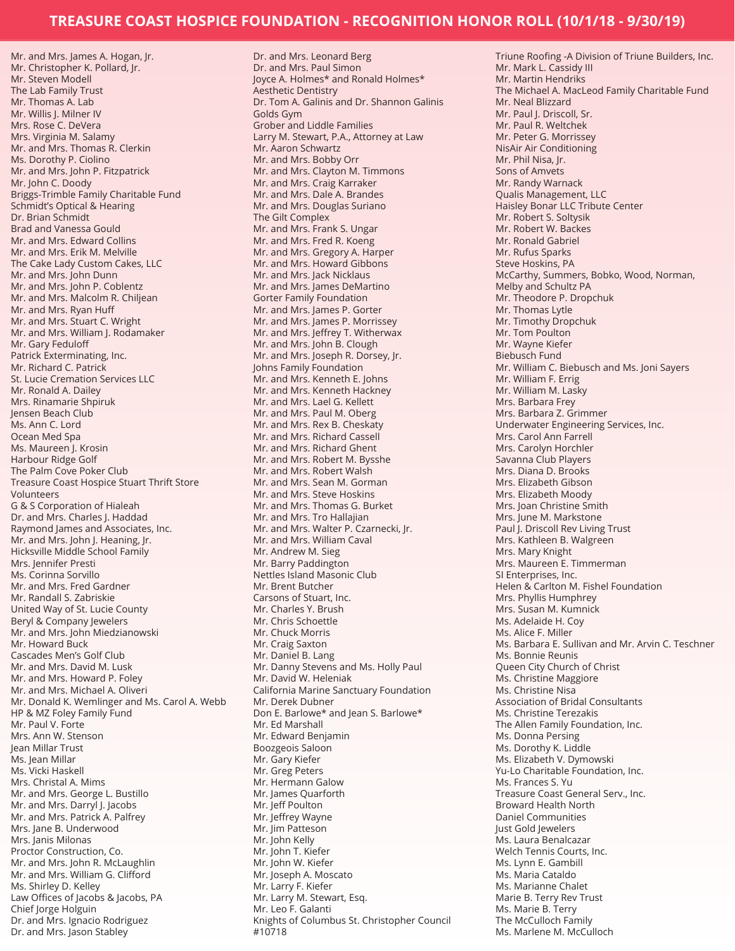Mr. and Mrs. James A. Hogan, Jr. Mr. Christopher K. Pollard, Jr. Mr. Steven Modell The Lab Family Trust Mr. Thomas A. Lab Mr. Willis J. Milner IV Mrs. Rose C. DeVera Mrs. Virginia M. Salamy Mr. and Mrs. Thomas R. Clerkin Ms. Dorothy P. Ciolino Mr. and Mrs. John P. Fitzpatrick Mr. John C. Doody Briggs-Trimble Family Charitable Fund Schmidt's Optical & Hearing Dr. Brian Schmidt Brad and Vanessa Gould Mr. and Mrs. Edward Collins Mr. and Mrs. Erik M. Melville The Cake Lady Custom Cakes, LLC Mr. and Mrs. John Dunn Mr. and Mrs. John P. Coblentz Mr. and Mrs. Malcolm R. Chiljean Mr. and Mrs. Ryan Huff Mr. and Mrs. Stuart C. Wright Mr. and Mrs. William J. Rodamaker Mr. Gary Feduloff Patrick Exterminating, Inc. Mr. Richard C. Patrick St. Lucie Cremation Services LLC Mr. Ronald A. Dailey Mrs. Rinamarie Shpiruk Jensen Beach Club Ms. Ann C. Lord Ocean Med Spa Ms. Maureen J. Krosin Harbour Ridge Golf The Palm Cove Poker Club Treasure Coast Hospice Stuart Thrift Store Volunteers G & S Corporation of Hialeah Dr. and Mrs. Charles J. Haddad Raymond James and Associates, Inc. Mr. and Mrs. John J. Heaning, Jr. Hicksville Middle School Family Mrs. Jennifer Presti Ms. Corinna Sorvillo Mr. and Mrs. Fred Gardner Mr. Randall S. Zabriskie United Way of St. Lucie County Beryl & Company Jewelers Mr. and Mrs. John Miedzianowski Mr. Howard Buck Cascades Men's Golf Club Mr. and Mrs. David M. Lusk Mr. and Mrs. Howard P. Foley Mr. and Mrs. Michael A. Oliveri Mr. Donald K. Wemlinger and Ms. Carol A. Webb HP & MZ Foley Family Fund Mr. Paul V. Forte Mrs. Ann W. Stenson Jean Millar Trust Ms. Jean Millar Ms. Vicki Haskell Mrs. Christal A. Mims Mr. and Mrs. George L. Bustillo Mr. and Mrs. Darryl J. Jacobs Mr. and Mrs. Patrick A. Palfrey Mrs. Jane B. Underwood Mrs. Janis Milonas Proctor Construction, Co. Mr. and Mrs. John R. McLaughlin Mr. and Mrs. William G. Clifford Ms. Shirley D. Kelley Law Offices of Jacobs & Jacobs, PA Chief Jorge Holguin Dr. and Mrs. Ignacio Rodriguez Dr. and Mrs. Jason Stabley

Dr. and Mrs. Leonard Berg Dr. and Mrs. Paul Simon Joyce A. Holmes\* and Ronald Holmes\* Aesthetic Dentistry Dr. Tom A. Galinis and Dr. Shannon Galinis Golds Gym Grober and Liddle Families Larry M. Stewart, P.A., Attorney at Law Mr. Aaron Schwartz Mr. and Mrs. Bobby Orr Mr. and Mrs. Clayton M. Timmons Mr. and Mrs. Craig Karraker Mr. and Mrs. Dale A. Brandes Mr. and Mrs. Douglas Suriano The Gilt Complex Mr. and Mrs. Frank S. Ungar Mr. and Mrs. Fred R. Koeng Mr. and Mrs. Gregory A. Harper Mr. and Mrs. Howard Gibbons Mr. and Mrs. Jack Nicklaus Mr. and Mrs. James DeMartino Gorter Family Foundation Mr. and Mrs. James P. Gorter Mr. and Mrs. James P. Morrissey Mr. and Mrs. Jeffrey T. Witherwax Mr. and Mrs. John B. Clough Mr. and Mrs. Joseph R. Dorsey, Jr. Johns Family Foundation Mr. and Mrs. Kenneth E. Johns Mr. and Mrs. Kenneth Hackney Mr. and Mrs. Lael G. Kellett Mr. and Mrs. Paul M. Oberg Mr. and Mrs. Rex B. Cheskaty Mr. and Mrs. Richard Cassell Mr. and Mrs. Richard Ghent Mr. and Mrs. Robert M. Bysshe Mr. and Mrs. Robert Walsh Mr. and Mrs. Sean M. Gorman Mr. and Mrs. Steve Hoskins Mr. and Mrs. Thomas G. Burket Mr. and Mrs. Tro Hallajian Mr. and Mrs. Walter P. Czarnecki, Jr. Mr. and Mrs. William Caval Mr. Andrew M. Sieg Mr. Barry Paddington Nettles Island Masonic Club Mr. Brent Butcher Carsons of Stuart, Inc. Mr. Charles Y. Brush Mr. Chris Schoettle Mr. Chuck Morris Mr. Craig Saxton Mr. Daniel B. Lang Mr. Danny Stevens and Ms. Holly Paul Mr. David W. Heleniak California Marine Sanctuary Foundation Mr. Derek Dubner Don E. Barlowe\* and Jean S. Barlowe\* Mr. Ed Marshall Mr. Edward Benjamin Boozgeois Saloon Mr. Gary Kiefer Mr. Greg Peters Mr. Hermann Galow Mr. James Quarforth Mr. Jeff Poulton Mr. Jeffrey Wayne Mr. Jim Patteson Mr. John Kelly Mr. John T. Kiefer Mr. John W. Kiefer Mr. Joseph A. Moscato Mr. Larry F. Kiefer Mr. Larry M. Stewart, Esq. Mr. Leo F. Galanti Knights of Columbus St. Christopher Council #10718

Triune Roofing -A Division of Triune Builders, Inc. Mr. Mark L. Cassidy III Mr. Martin Hendriks The Michael A. MacLeod Family Charitable Fund Mr. Neal Blizzard Mr. Paul J. Driscoll, Sr. Mr. Paul R. Weltchek Mr. Peter G. Morrissey NisAir Air Conditioning Mr. Phil Nisa, Jr. Sons of Amvets Mr. Randy Warnack Qualis Management, LLC Haisley Bonar LLC Tribute Center Mr. Robert S. Soltysik Mr. Robert W. Backes Mr. Ronald Gabriel Mr. Rufus Sparks Steve Hoskins, PA McCarthy, Summers, Bobko, Wood, Norman, Melby and Schultz PA Mr. Theodore P. Dropchuk Mr. Thomas Lytle Mr. Timothy Dropchuk Mr. Tom Poulton Mr. Wayne Kiefer Biebusch Fund Mr. William C. Biebusch and Ms. Joni Sayers Mr. William F. Errig Mr. William M. Lasky Mrs. Barbara Frey Mrs. Barbara Z. Grimmer Underwater Engineering Services, Inc. Mrs. Carol Ann Farrell Mrs. Carolyn Horchler Savanna Club Players Mrs. Diana D. Brooks Mrs. Elizabeth Gibson Mrs. Elizabeth Moody Mrs. Joan Christine Smith Mrs. June M. Markstone Paul J. Driscoll Rev Living Trust Mrs. Kathleen B. Walgreen Mrs. Mary Knight Mrs. Maureen E. Timmerman SI Enterprises, Inc. Helen & Carlton M. Fishel Foundation Mrs. Phyllis Humphrey Mrs. Susan M. Kumnick Ms. Adelaide H. Coy Ms. Alice F. Miller Ms. Barbara E. Sullivan and Mr. Arvin C. Teschner Ms. Bonnie Reunis Queen City Church of Christ Ms. Christine Maggiore Ms. Christine Nisa Association of Bridal Consultants Ms. Christine Terezakis The Allen Family Foundation, Inc. Ms. Donna Persing Ms. Dorothy K. Liddle Ms. Elizabeth V. Dymowski Yu-Lo Charitable Foundation, Inc. Ms. Frances S. Yu Treasure Coast General Serv., Inc. Broward Health North Daniel Communities Just Gold Jewelers Ms. Laura Benalcazar Welch Tennis Courts, Inc. Ms. Lynn E. Gambill Ms. Maria Cataldo Ms. Marianne Chalet Marie B. Terry Rev Trust Ms. Marie B. Terry The McCulloch Family Ms. Marlene M. McCulloch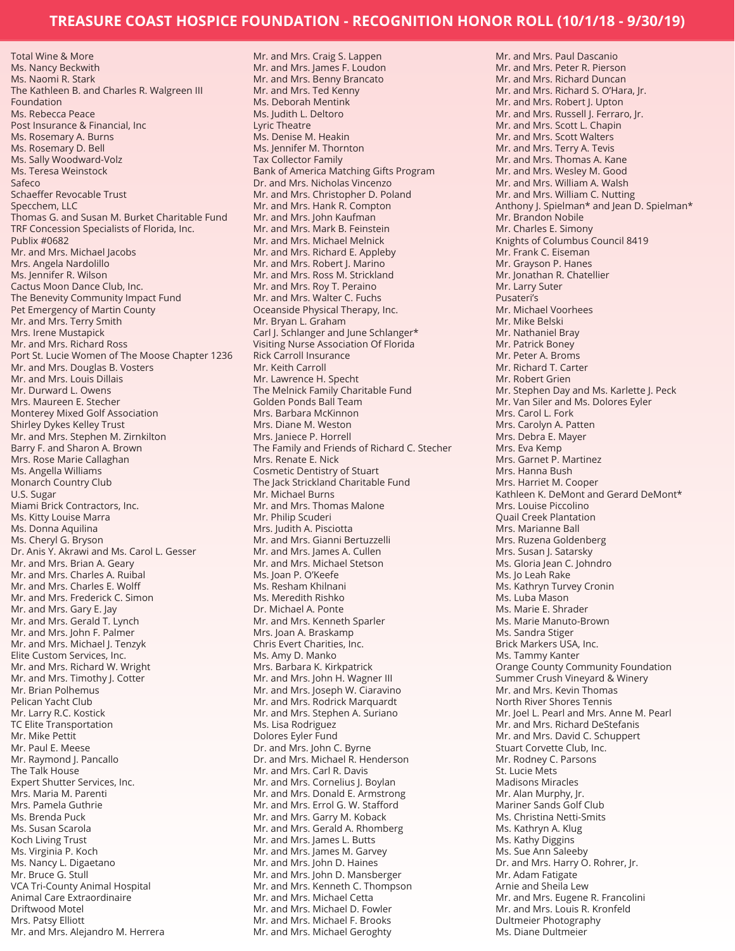Total Wine & More Ms. Nancy Beckwith Ms. Naomi R. Stark The Kathleen B. and Charles R. Walgreen III Foundation Ms. Rebecca Peace Post Insurance & Financial, Inc Ms. Rosemary A. Burns Ms. Rosemary D. Bell Ms. Sally Woodward-Volz Ms. Teresa Weinstock Safeco Schaeffer Revocable Trust Specchem, LLC Thomas G. and Susan M. Burket Charitable Fund TRF Concession Specialists of Florida, Inc. Publix #0682 Mr. and Mrs. Michael Jacobs Mrs. Angela Nardolillo Ms. Jennifer R. Wilson Cactus Moon Dance Club, Inc. The Benevity Community Impact Fund Pet Emergency of Martin County Mr. and Mrs. Terry Smith Mrs. Irene Mustapick Mr. and Mrs. Richard Ross Port St. Lucie Women of The Moose Chapter 1236 Mr. and Mrs. Douglas B. Vosters Mr. and Mrs. Louis Dillais Mr. Durward L. Owens Mrs. Maureen E. Stecher Monterey Mixed Golf Association Shirley Dykes Kelley Trust Mr. and Mrs. Stephen M. Zirnkilton Barry F. and Sharon A. Brown Mrs. Rose Marie Callaghan Ms. Angella Williams Monarch Country Club U.S. Sugar Miami Brick Contractors, Inc. Ms. Kitty Louise Marra Ms. Donna Aquilina Ms. Cheryl G. Bryson Dr. Anis Y. Akrawi and Ms. Carol L. Gesser Mr. and Mrs. Brian A. Geary Mr. and Mrs. Charles A. Ruibal Mr. and Mrs. Charles E. Wolff Mr. and Mrs. Frederick C. Simon Mr. and Mrs. Gary E. Jay Mr. and Mrs. Gerald T. Lynch Mr. and Mrs. John F. Palmer Mr. and Mrs. Michael J. Tenzyk Elite Custom Services, Inc. Mr. and Mrs. Richard W. Wright Mr. and Mrs. Timothy J. Cotter Mr. Brian Polhemus Pelican Yacht Club Mr. Larry R.C. Kostick TC Elite Transportation Mr. Mike Pettit Mr. Paul E. Meese Mr. Raymond J. Pancallo The Talk House Expert Shutter Services, Inc. Mrs. Maria M. Parenti Mrs. Pamela Guthrie Ms. Brenda Puck Ms. Susan Scarola Koch Living Trust Ms. Virginia P. Koch Ms. Nancy L. Digaetano Mr. Bruce G. Stull VCA Tri-County Animal Hospital Animal Care Extraordinaire Driftwood Motel Mrs. Patsy Elliott Mr. and Mrs. Alejandro M. Herrera

Mr. and Mrs. Craig S. Lappen Mr. and Mrs. James F. Loudon Mr. and Mrs. Benny Brancato Mr. and Mrs. Ted Kenny Ms. Deborah Mentink Ms. Judith L. Deltoro Lyric Theatre Ms. Denise M. Heakin Ms. Jennifer M. Thornton Tax Collector Family Bank of America Matching Gifts Program Dr. and Mrs. Nicholas Vincenzo Mr. and Mrs. Christopher D. Poland Mr. and Mrs. Hank R. Compton Mr. and Mrs. John Kaufman Mr. and Mrs. Mark B. Feinstein Mr. and Mrs. Michael Melnick Mr. and Mrs. Richard E. Appleby Mr. and Mrs. Robert J. Marino Mr. and Mrs. Ross M. Strickland Mr. and Mrs. Roy T. Peraino Mr. and Mrs. Walter C. Fuchs Oceanside Physical Therapy, Inc. Mr. Bryan L. Graham Carl J. Schlanger and June Schlanger\* Visiting Nurse Association Of Florida Rick Carroll Insurance Mr. Keith Carroll Mr. Lawrence H. Specht The Melnick Family Charitable Fund Golden Ponds Ball Team Mrs. Barbara McKinnon Mrs. Diane M. Weston Mrs. Janiece P. Horrell The Family and Friends of Richard C. Stecher Mrs. Renate E. Nick Cosmetic Dentistry of Stuart The Jack Strickland Charitable Fund Mr. Michael Burns Mr. and Mrs. Thomas Malone Mr. Philip Scuderi Mrs. Judith A. Pisciotta Mr. and Mrs. Gianni Bertuzzelli Mr. and Mrs. James A. Cullen Mr. and Mrs. Michael Stetson Ms. Joan P. O'Keefe Ms. Resham Khilnani Ms. Meredith Rishko Dr. Michael A. Ponte Mr. and Mrs. Kenneth Sparler Mrs. Joan A. Braskamp Chris Evert Charities, Inc. Ms. Amy D. Manko Mrs. Barbara K. Kirkpatrick Mr. and Mrs. John H. Wagner III Mr. and Mrs. Joseph W. Ciaravino Mr. and Mrs. Rodrick Marquardt Mr. and Mrs. Stephen A. Suriano Ms. Lisa Rodriguez Dolores Eyler Fund Dr. and Mrs. John C. Byrne Dr. and Mrs. Michael R. Henderson Mr. and Mrs. Carl R. Davis Mr. and Mrs. Cornelius J. Boylan Mr. and Mrs. Donald E. Armstrong Mr. and Mrs. Errol G. W. Stafford Mr. and Mrs. Garry M. Koback Mr. and Mrs. Gerald A. Rhomberg Mr. and Mrs. James L. Butts Mr. and Mrs. James M. Garvey Mr. and Mrs. John D. Haines Mr. and Mrs. John D. Mansberger Mr. and Mrs. Kenneth C. Thompson Mr. and Mrs. Michael Cetta Mr. and Mrs. Michael D. Fowler Mr. and Mrs. Michael F. Brooks Mr. and Mrs. Michael Geroghty

Mr. and Mrs. Paul Dascanio Mr. and Mrs. Peter R. Pierson Mr. and Mrs. Richard Duncan Mr. and Mrs. Richard S. O'Hara, Jr. Mr. and Mrs. Robert J. Upton Mr. and Mrs. Russell J. Ferraro, Jr. Mr. and Mrs. Scott L. Chapin Mr. and Mrs. Scott Walters Mr. and Mrs. Terry A. Tevis Mr. and Mrs. Thomas A. Kane Mr. and Mrs. Wesley M. Good Mr. and Mrs. William A. Walsh Mr. and Mrs. William C. Nutting Anthony J. Spielman\* and Jean D. Spielman\* Mr. Brandon Nobile Mr. Charles E. Simony Knights of Columbus Council 8419 Mr. Frank C. Eiseman Mr. Grayson P. Hanes Mr. Jonathan R. Chatellier Mr. Larry Suter Pusateri's Mr. Michael Voorhees Mr. Mike Belski Mr. Nathaniel Bray Mr. Patrick Boney Mr. Peter A. Broms Mr. Richard T. Carter Mr. Robert Grien Mr. Stephen Day and Ms. Karlette J. Peck Mr. Van Siler and Ms. Dolores Eyler Mrs. Carol L. Fork Mrs. Carolyn A. Patten Mrs. Debra E. Mayer Mrs. Eva Kemp Mrs. Garnet P. Martinez Mrs. Hanna Bush Mrs. Harriet M. Cooper Kathleen K. DeMont and Gerard DeMont\* Mrs. Louise Piccolino Quail Creek Plantation Mrs. Marianne Ball Mrs. Ruzena Goldenberg Mrs. Susan J. Satarsky Ms. Gloria Jean C. Johndro Ms. Jo Leah Rake Ms. Kathryn Turvey Cronin Ms. Luba Mason Ms. Marie E. Shrader Ms. Marie Manuto-Brown Ms. Sandra Stiger Brick Markers USA, Inc. Ms. Tammy Kanter Orange County Community Foundation Summer Crush Vineyard & Winery Mr. and Mrs. Kevin Thomas North River Shores Tennis Mr. Joel L. Pearl and Mrs. Anne M. Pearl Mr. and Mrs. Richard DeStefanis Mr. and Mrs. David C. Schuppert Stuart Corvette Club, Inc. Mr. Rodney C. Parsons St. Lucie Mets Madisons Miracles Mr. Alan Murphy, Jr. Mariner Sands Golf Club Ms. Christina Netti-Smits Ms. Kathryn A. Klug Ms. Kathy Diggins Ms. Sue Ann Saleeby Dr. and Mrs. Harry O. Rohrer, Jr. Mr. Adam Fatigate Arnie and Sheila Lew Mr. and Mrs. Eugene R. Francolini Mr. and Mrs. Louis R. Kronfeld Dultmeier Photography Ms. Diane Dultmeier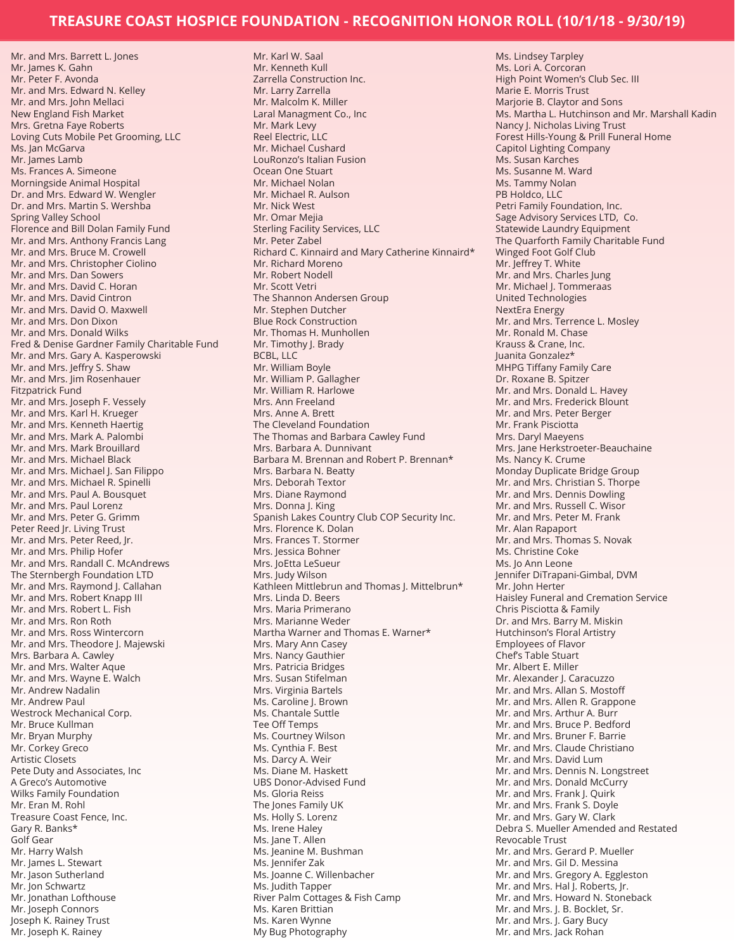Mr. and Mrs. Barrett L. Jones Mr. James K. Gahn Mr. Peter F. Avonda Mr. and Mrs. Edward N. Kelley Mr. and Mrs. John Mellaci New England Fish Market Mrs. Gretna Faye Roberts Loving Cuts Mobile Pet Grooming, LLC Ms. Jan McGarva Mr. James Lamb Ms. Frances A. Simeone Morningside Animal Hospital Dr. and Mrs. Edward W. Wengler Dr. and Mrs. Martin S. Wershba Spring Valley School Florence and Bill Dolan Family Fund Mr. and Mrs. Anthony Francis Lang Mr. and Mrs. Bruce M. Crowell Mr. and Mrs. Christopher Ciolino Mr. and Mrs. Dan Sowers Mr. and Mrs. David C. Horan Mr. and Mrs. David Cintron Mr. and Mrs. David O. Maxwell Mr. and Mrs. Don Dixon Mr. and Mrs. Donald Wilks Fred & Denise Gardner Family Charitable Fund Mr. and Mrs. Gary A. Kasperowski Mr. and Mrs. Jeffry S. Shaw Mr. and Mrs. Jim Rosenhauer Fitzpatrick Fund Mr. and Mrs. Joseph F. Vessely Mr. and Mrs. Karl H. Krueger Mr. and Mrs. Kenneth Haertig Mr. and Mrs. Mark A. Palombi Mr. and Mrs. Mark Brouillard Mr. and Mrs. Michael Black Mr. and Mrs. Michael J. San Filippo Mr. and Mrs. Michael R. Spinelli Mr. and Mrs. Paul A. Bousquet Mr. and Mrs. Paul Lorenz Mr. and Mrs. Peter G. Grimm Peter Reed Jr. Living Trust Mr. and Mrs. Peter Reed, Jr. Mr. and Mrs. Philip Hofer Mr. and Mrs. Randall C. McAndrews The Sternbergh Foundation LTD Mr. and Mrs. Raymond J. Callahan Mr. and Mrs. Robert Knapp III Mr. and Mrs. Robert L. Fish Mr. and Mrs. Ron Roth Mr. and Mrs. Ross Wintercorn Mr. and Mrs. Theodore I. Majewski Mrs. Barbara A. Cawley Mr. and Mrs. Walter Aque Mr. and Mrs. Wayne E. Walch Mr. Andrew Nadalin Mr. Andrew Paul Westrock Mechanical Corp. Mr. Bruce Kullman Mr. Bryan Murphy Mr. Corkey Greco Artistic Closets Pete Duty and Associates, Inc A Greco's Automotive Wilks Family Foundation Mr. Eran M. Rohl Treasure Coast Fence, Inc. Gary R. Banks\* Golf Gear Mr. Harry Walsh Mr. James L. Stewart Mr. Jason Sutherland Mr. Jon Schwartz Mr. Jonathan Lofthouse Mr. Joseph Connors Joseph K. Rainey Trust Mr. Joseph K. Rainey

Mr. Karl W. Saal Mr. Kenneth Kull Zarrella Construction Inc. Mr. Larry Zarrella Mr. Malcolm K. Miller Laral Managment Co., Inc Mr. Mark Levy Reel Electric, LLC Mr. Michael Cushard LouRonzo's Italian Fusion Ocean One Stuart Mr. Michael Nolan Mr. Michael R. Aulson Mr. Nick West Mr. Omar Mejia Sterling Facility Services, LLC Mr. Peter Zabel Richard C. Kinnaird and Mary Catherine Kinnaird\* Mr. Richard Moreno Mr. Robert Nodell Mr. Scott Vetri The Shannon Andersen Group Mr. Stephen Dutcher Blue Rock Construction Mr. Thomas H. Munhollen Mr. Timothy J. Brady BCBL, LLC Mr. William Boyle Mr. William P. Gallagher Mr. William R. Harlowe Mrs. Ann Freeland Mrs. Anne A. Brett The Cleveland Foundation The Thomas and Barbara Cawley Fund Mrs. Barbara A. Dunnivant Barbara M. Brennan and Robert P. Brennan\* Mrs. Barbara N. Beatty Mrs. Deborah Textor Mrs. Diane Raymond Mrs. Donna J. King Spanish Lakes Country Club COP Security Inc. Mrs. Florence K. Dolan Mrs. Frances T. Stormer Mrs. Jessica Bohner Mrs. JoEtta LeSueur Mrs. Judy Wilson Kathleen Mittlebrun and Thomas J. Mittelbrun\* Mrs. Linda D. Beers Mrs. Maria Primerano Mrs. Marianne Weder Martha Warner and Thomas E. Warner\* Mrs. Mary Ann Casey Mrs. Nancy Gauthier Mrs. Patricia Bridges Mrs. Susan Stifelman Mrs. Virginia Bartels Ms. Caroline J. Brown Ms. Chantale Suttle Tee Off Temps Ms. Courtney Wilson Ms. Cynthia F. Best Ms. Darcy A. Weir Ms. Diane M. Haskett UBS Donor-Advised Fund Ms. Gloria Reiss The Jones Family UK Ms. Holly S. Lorenz Ms. Irene Haley Ms. Jane T. Allen Ms. Jeanine M. Bushman Ms. Jennifer Zak Ms. Joanne C. Willenbacher Ms. Judith Tapper River Palm Cottages & Fish Camp Ms. Karen Brittian Ms. Karen Wynne My Bug Photography

Ms. Lindsey Tarpley Ms. Lori A. Corcoran High Point Women's Club Sec. III Marie E. Morris Trust Marjorie B. Claytor and Sons Ms. Martha L. Hutchinson and Mr. Marshall Kadin Nancy J. Nicholas Living Trust Forest Hills-Young & Prill Funeral Home Capitol Lighting Company Ms. Susan Karches Ms. Susanne M. Ward Ms. Tammy Nolan PB Holdco, LLC Petri Family Foundation, Inc. Sage Advisory Services LTD, Co. Statewide Laundry Equipment The Quarforth Family Charitable Fund Winged Foot Golf Club Mr. Jeffrey T. White Mr. and Mrs. Charles Jung Mr. Michael J. Tommeraas United Technologies NextEra Energy Mr. and Mrs. Terrence L. Mosley Mr. Ronald M. Chase Krauss & Crane, Inc. Juanita Gonzalez\* MHPG Tiffany Family Care Dr. Roxane B. Spitzer Mr. and Mrs. Donald L. Havey Mr. and Mrs. Frederick Blount Mr. and Mrs. Peter Berger Mr. Frank Pisciotta Mrs. Daryl Maeyens Mrs. Jane Herkstroeter-Beauchaine Ms. Nancy K. Crume Monday Duplicate Bridge Group Mr. and Mrs. Christian S. Thorpe Mr. and Mrs. Dennis Dowling Mr. and Mrs. Russell C. Wisor Mr. and Mrs. Peter M. Frank Mr. Alan Rapaport Mr. and Mrs. Thomas S. Novak Ms. Christine Coke Ms. Jo Ann Leone Jennifer DiTrapani-Gimbal, DVM Mr. John Herter Haisley Funeral and Cremation Service Chris Pisciotta & Family Dr. and Mrs. Barry M. Miskin Hutchinson's Floral Artistry Employees of Flavor Chef's Table Stuart Mr. Albert E. Miller Mr. Alexander J. Caracuzzo Mr. and Mrs. Allan S. Mostoff Mr. and Mrs. Allen R. Grappone Mr. and Mrs. Arthur A. Burr Mr. and Mrs. Bruce P. Bedford Mr. and Mrs. Bruner F. Barrie Mr. and Mrs. Claude Christiano Mr. and Mrs. David Lum Mr. and Mrs. Dennis N. Longstreet Mr. and Mrs. Donald McCurry Mr. and Mrs. Frank J. Quirk Mr. and Mrs. Frank S. Doyle Mr. and Mrs. Gary W. Clark Debra S. Mueller Amended and Restated Revocable Trust Mr. and Mrs. Gerard P. Mueller Mr. and Mrs. Gil D. Messina Mr. and Mrs. Gregory A. Eggleston Mr. and Mrs. Hal J. Roberts, Jr. Mr. and Mrs. Howard N. Stoneback Mr. and Mrs. J. B. Bocklet, Sr. Mr. and Mrs. J. Gary Bucy Mr. and Mrs. Jack Rohan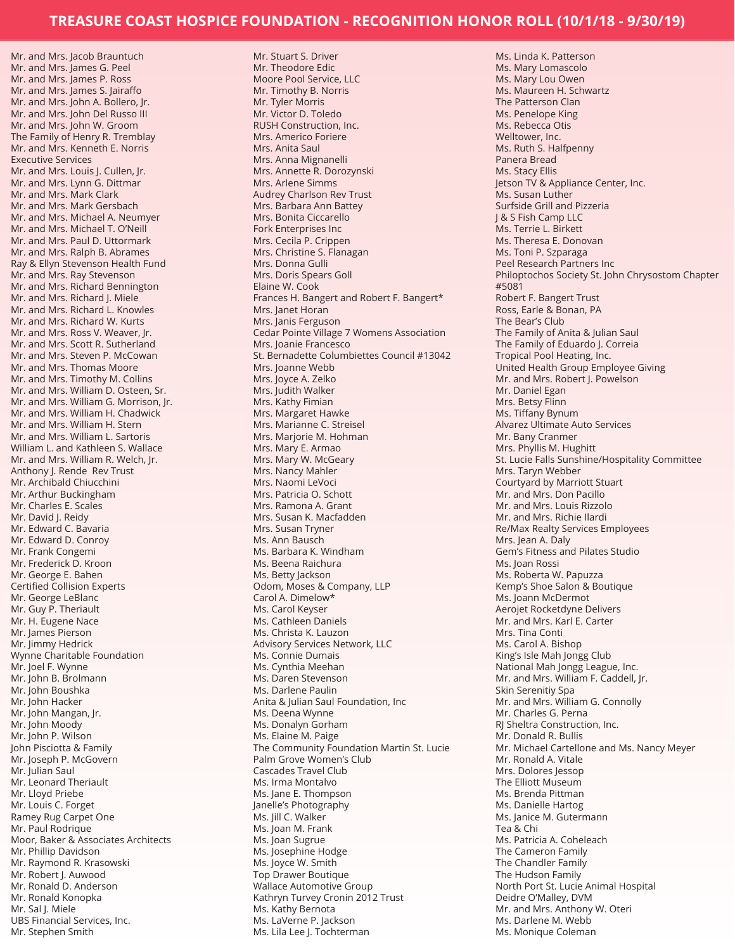Mr. and Mrs. Jacob Brauntuch Mr. and Mrs. James G. Peel Mr. and Mrs. James P. Ross Mr. and Mrs. James S. Jairaffo Mr. and Mrs. John A. Bollero, Jr. Mr. and Mrs. John Del Russo III Mr. and Mrs. John W. Groom The Family of Henry R. Tremblay Mr. and Mrs. Kenneth E. Norris Executive Services Mr. and Mrs. Louis J. Cullen, Jr. Mr. and Mrs. Lynn G. Dittmar Mr. and Mrs. Mark Clark Mr. and Mrs. Mark Gersbach Mr. and Mrs. Michael A. Neumyer Mr. and Mrs. Michael T. O'Neill Mr. and Mrs. Paul D. Uttormark Mr. and Mrs. Ralph B. Abrames Ray & Ellyn Stevenson Health Fund Mr. and Mrs. Ray Stevenson Mr. and Mrs. Richard Bennington Mr. and Mrs. Richard J. Miele Mr. and Mrs. Richard L. Knowles Mr. and Mrs. Richard W. Kurts Mr. and Mrs. Ross V. Weaver, Jr. Mr. and Mrs. Scott R. Sutherland Mr. and Mrs. Steven P. McCowan Mr. and Mrs. Thomas Moore Mr. and Mrs. Timothy M. Collins Mr. and Mrs. William D. Osteen, Sr. Mr. and Mrs. William G. Morrison, Jr. Mr. and Mrs. William H. Chadwick Mr. and Mrs. William H. Stern Mr. and Mrs. William L. Sartoris William L. and Kathleen S. Wallace Mr. and Mrs. William R. Welch, Jr. Anthony J. Rende Rev Trust Mr. Archibald Chiucchini Mr. Arthur Buckingham Mr. Charles E. Scales Mr. David J. Reidy Mr. Edward C. Bavaria Mr. Edward D. Conroy Mr. Frank Congemi Mr. Frederick D. Kroon Mr. George E. Bahen Certified Collision Experts Mr. George LeBlanc Mr. Guy P. Theriault Mr. H. Eugene Nace Mr. James Pierson Mr. Jimmy Hedrick Wynne Charitable Foundation Mr. Joel F. Wynne Mr. John B. Brolmann Mr. John Boushka Mr. John Hacker Mr. John Mangan, Jr. Mr. John Moody Mr. John P. Wilson John Pisciotta & Family Mr. Joseph P. McGovern Mr. Julian Saul Mr. Leonard Theriault Mr. Lloyd Priebe Mr. Louis C. Forget Ramey Rug Carpet One Mr. Paul Rodrigue Moor, Baker & Associates Architects Mr. Phillip Davidson Mr. Raymond R. Krasowski Mr. Robert J. Auwood Mr. Ronald D. Anderson Mr. Ronald Konopka Mr. Sal J. Miele UBS Financial Services, Inc. Mr. Stephen Smith

Mr. Stuart S. Driver Mr. Theodore Edic Moore Pool Service, LLC Mr. Timothy B. Norris Mr. Tyler Morris Mr. Victor D. Toledo RUSH Construction, Inc. Mrs. Americo Foriere Mrs. Anita Saul Mrs. Anna Mignanelli Mrs. Annette R. Dorozynski Mrs. Arlene Simms Audrey Charlson Rev Trust Mrs. Barbara Ann Battey Mrs. Bonita Ciccarello Fork Enterprises Inc Mrs. Cecila P. Crippen Mrs. Christine S. Flanagan Mrs. Donna Gulli Mrs. Doris Spears Goll Elaine W. Cook Frances H. Bangert and Robert F. Bangert\* Mrs. Janet Horan Mrs. Janis Ferguson Cedar Pointe Village 7 Womens Association Mrs. Joanie Francesco St. Bernadette Columbiettes Council #13042 Mrs. Joanne Webb Mrs. Joyce A. Zelko Mrs. Judith Walker Mrs. Kathy Fimian Mrs. Margaret Hawke Mrs. Marianne C. Streisel Mrs. Marjorie M. Hohman Mrs. Mary E. Armao Mrs. Mary W. McGeary Mrs. Nancy Mahler Mrs. Naomi LeVoci Mrs. Patricia O. Schott Mrs. Ramona A. Grant Mrs. Susan K. Macfadden Mrs. Susan Tryner Ms. Ann Bausch Ms. Barbara K. Windham Ms. Beena Raichura Ms. Betty Jackson Odom, Moses & Company, LLP Carol A. Dimelow\* Ms. Carol Keyser Ms. Cathleen Daniels Ms. Christa K. Lauzon Advisory Services Network, LLC Ms. Connie Dumais Ms. Cynthia Meehan Ms. Daren Stevenson Ms. Darlene Paulin Anita & Julian Saul Foundation, Inc Ms. Deena Wynne Ms. Donalyn Gorham Ms. Elaine M. Paige The Community Foundation Martin St. Lucie Palm Grove Women's Club Cascades Travel Club Ms. Irma Montalvo Ms. Jane E. Thompson Janelle's Photography Ms. Jill C. Walker Ms. Joan M. Frank Ms. Joan Sugrue Ms. Josephine Hodge Ms. Joyce W. Smith Top Drawer Boutique Wallace Automotive Group Kathryn Turvey Cronin 2012 Trust Ms. Kathy Bernota Ms. LaVerne P. Jackson Ms. Lila Lee J. Tochterman

Ms. Linda K. Patterson Ms. Mary Lomascolo Ms. Mary Lou Owen Ms. Maureen H. Schwartz The Patterson Clan Ms. Penelope King Ms. Rebecca Otis Welltower, Inc. Ms. Ruth S. Halfpenny Panera Bread Ms. Stacy Ellis Jetson TV & Appliance Center, Inc. Ms. Susan Luther Surfside Grill and Pizzeria J & S Fish Camp LLC Ms. Terrie L. Birkett Ms. Theresa E. Donovan Ms. Toni P. Szparaga Peel Research Partners Inc Philoptochos Society St. John Chrysostom Chapter #5081 Robert F. Bangert Trust Ross, Earle & Bonan, PA The Bear's Club The Family of Anita & Julian Saul The Family of Eduardo J. Correia Tropical Pool Heating, Inc. United Health Group Employee Giving Mr. and Mrs. Robert J. Powelson Mr. Daniel Egan Mrs. Betsy Flinn Ms. Tiffany Bynum Alvarez Ultimate Auto Services Mr. Bany Cranmer Mrs. Phyllis M. Hughitt St. Lucie Falls Sunshine/Hospitality Committee Mrs. Taryn Webber Courtyard by Marriott Stuart Mr. and Mrs. Don Pacillo Mr. and Mrs. Louis Rizzolo Mr. and Mrs. Richie Ilardi Re/Max Realty Services Employees Mrs. Jean A. Daly Gem's Fitness and Pilates Studio Ms. Joan Rossi Ms. Roberta W. Papuzza Kemp's Shoe Salon & Boutique Ms. Joann McDermot Aerojet Rocketdyne Delivers Mr. and Mrs. Karl E. Carter Mrs. Tina Conti Ms. Carol A. Bishop King's Isle Mah Jongg Club National Mah Jongg League, Inc. Mr. and Mrs. William F. Caddell, Jr. Skin Serenitiy Spa Mr. and Mrs. William G. Connolly Mr. Charles G. Perna RJ Sheltra Construction, Inc. Mr. Donald R. Bullis Mr. Michael Cartellone and Ms. Nancy Meyer Mr. Ronald A. Vitale Mrs. Dolores Jessop The Elliott Museum Ms. Brenda Pittman Ms. Danielle Hartog Ms. Janice M. Gutermann Tea & Chi Ms. Patricia A. Coheleach The Cameron Family The Chandler Family The Hudson Family North Port St. Lucie Animal Hospital Deidre O'Malley, DVM Mr. and Mrs. Anthony W. Oteri Ms. Darlene M. Webb Ms. Monique Coleman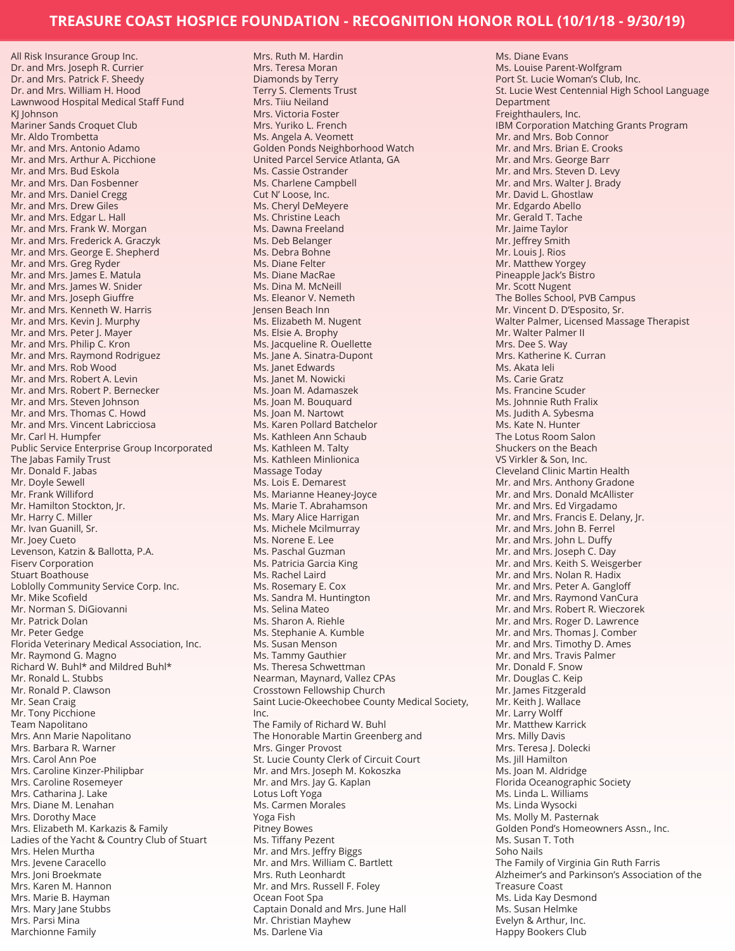Mrs. Ruth M. Hardin

All Risk Insurance Group Inc. Dr. and Mrs. Joseph R. Currier Dr. and Mrs. Patrick F. Sheedy Dr. and Mrs. William H. Hood Lawnwood Hospital Medical Staff Fund KI Johnson Mariner Sands Croquet Club Mr. Aldo Trombetta Mr. and Mrs. Antonio Adamo Mr. and Mrs. Arthur A. Picchione Mr. and Mrs. Bud Eskola Mr. and Mrs. Dan Fosbenner Mr. and Mrs. Daniel Cregg Mr. and Mrs. Drew Giles Mr. and Mrs. Edgar L. Hall Mr. and Mrs. Frank W. Morgan Mr. and Mrs. Frederick A. Graczyk Mr. and Mrs. George E. Shepherd Mr. and Mrs. Greg Ryder Mr. and Mrs. James E. Matula Mr. and Mrs. James W. Snider Mr. and Mrs. Joseph Giuffre Mr. and Mrs. Kenneth W. Harris Mr. and Mrs. Kevin J. Murphy Mr. and Mrs. Peter J. Mayer Mr. and Mrs. Philip C. Kron Mr. and Mrs. Raymond Rodriguez Mr. and Mrs. Rob Wood Mr. and Mrs. Robert A. Levin Mr. and Mrs. Robert P. Bernecker Mr. and Mrs. Steven Johnson Mr. and Mrs. Thomas C. Howd Mr. and Mrs. Vincent Labricciosa Mr. Carl H. Humpfer Public Service Enterprise Group Incorporated The Jabas Family Trust Mr. Donald F. Jabas Mr. Doyle Sewell Mr. Frank Williford Mr. Hamilton Stockton, Jr. Mr. Harry C. Miller Mr. Ivan Guanill, Sr. Mr. Joey Cueto Levenson, Katzin & Ballotta, P.A. Fiserv Corporation Stuart Boathouse Loblolly Community Service Corp. Inc. Mr. Mike Scofield Mr. Norman S. DiGiovanni Mr. Patrick Dolan Mr. Peter Gedge Florida Veterinary Medical Association, Inc. Mr. Raymond G. Magno Richard W. Buhl\* and Mildred Buhl\* Mr. Ronald L. Stubbs Mr. Ronald P. Clawson Mr. Sean Craig Mr. Tony Picchione Team Napolitano Mrs. Ann Marie Napolitano Mrs. Barbara R. Warner Mrs. Carol Ann Poe Mrs. Caroline Kinzer-Philipbar Mrs. Caroline Rosemeyer Mrs. Catharina J. Lake Mrs. Diane M. Lenahan Mrs. Dorothy Mace Mrs. Elizabeth M. Karkazis & Family Ladies of the Yacht & Country Club of Stuart Mrs. Helen Murtha Mrs. Jevene Caracello Mrs. Joni Broekmate Mrs. Karen M. Hannon Mrs. Marie B. Hayman Mrs. Mary Jane Stubbs Mrs. Parsi Mina

Marchionne Family

Mrs. Teresa Moran Diamonds by Terry Terry S. Clements Trust Mrs. Tiiu Neiland Mrs. Victoria Foster Mrs. Yuriko L. French Ms. Angela A. Veomett Golden Ponds Neighborhood Watch United Parcel Service Atlanta, GA Ms. Cassie Ostrander Ms. Charlene Campbell Cut N' Loose, Inc. Ms. Cheryl DeMeyere Ms. Christine Leach Ms. Dawna Freeland Ms. Deb Belanger Ms. Debra Bohne Ms. Diane Felter Ms. Diane MacRae Ms. Dina M. McNeill Ms. Eleanor V. Nemeth Jensen Beach Inn Ms. Elizabeth M. Nugent Ms. Elsie A. Brophy Ms. Jacqueline R. Ouellette Ms. Jane A. Sinatra-Dupont Ms. Janet Edwards Ms. Janet M. Nowicki Ms. Joan M. Adamaszek Ms. Joan M. Bouquard Ms. Joan M. Nartowt Ms. Karen Pollard Batchelor Ms. Kathleen Ann Schaub Ms. Kathleen M. Talty Ms. Kathleen Minlionica Massage Today Ms. Lois E. Demarest Ms. Marianne Heaney-Joyce Ms. Marie T. Abrahamson Ms. Mary Alice Harrigan Ms. Michele Mcilmurray Ms. Norene E. Lee Ms. Paschal Guzman Ms. Patricia Garcia King Ms. Rachel Laird Ms. Rosemary E. Cox Ms. Sandra M. Huntington Ms. Selina Mateo Ms. Sharon A. Riehle Ms. Stephanie A. Kumble Ms. Susan Menson Ms. Tammy Gauthier Ms. Theresa Schwettman Nearman, Maynard, Vallez CPAs Crosstown Fellowship Church Saint Lucie-Okeechobee County Medical Society, Inc. The Family of Richard W. Buhl The Honorable Martin Greenberg and Mrs. Ginger Provost St. Lucie County Clerk of Circuit Court Mr. and Mrs. Joseph M. Kokoszka Mr. and Mrs. Jay G. Kaplan Lotus Loft Yoga Ms. Carmen Morales Yoga Fish Pitney Bowes Ms. Tiffany Pezent Mr. and Mrs. Jeffry Biggs Mr. and Mrs. William C. Bartlett Mrs. Ruth Leonhardt Mr. and Mrs. Russell F. Foley Ocean Foot Spa Captain Donald and Mrs. June Hall Mr. Christian Mayhew Ms. Darlene Via

Ms. Diane Evans Ms. Louise Parent-Wolfgram Port St. Lucie Woman's Club, Inc. St. Lucie West Centennial High School Language Department Freighthaulers, Inc. IBM Corporation Matching Grants Program Mr. and Mrs. Bob Connor Mr. and Mrs. Brian E. Crooks Mr. and Mrs. George Barr Mr. and Mrs. Steven D. Levy Mr. and Mrs. Walter J. Brady Mr. David L. Ghostlaw Mr. Edgardo Abello Mr. Gerald T. Tache Mr. Jaime Taylor Mr. Jeffrey Smith Mr. Louis J. Rios Mr. Matthew Yorgey Pineapple Jack's Bistro Mr. Scott Nugent The Bolles School, PVB Campus Mr. Vincent D. D'Esposito, Sr. Walter Palmer, Licensed Massage Therapist Mr. Walter Palmer II Mrs. Dee S. Way Mrs. Katherine K. Curran Ms. Akata Ieli Ms. Carie Gratz Ms. Francine Scuder Ms. Johnnie Ruth Fralix Ms. Judith A. Sybesma Ms. Kate N. Hunter The Lotus Room Salon Shuckers on the Beach VS Virkler & Son, Inc. Cleveland Clinic Martin Health Mr. and Mrs. Anthony Gradone Mr. and Mrs. Donald McAllister Mr. and Mrs. Ed Virgadamo Mr. and Mrs. Francis E. Delany, Jr. Mr. and Mrs. John B. Ferrel Mr. and Mrs. John L. Duffy Mr. and Mrs. Joseph C. Day Mr. and Mrs. Keith S. Weisgerber Mr. and Mrs. Nolan R. Hadix Mr. and Mrs. Peter A. Gangloff Mr. and Mrs. Raymond VanCura Mr. and Mrs. Robert R. Wieczorek Mr. and Mrs. Roger D. Lawrence Mr. and Mrs. Thomas J. Comber Mr. and Mrs. Timothy D. Ames Mr. and Mrs. Travis Palmer Mr. Donald F. Snow Mr. Douglas C. Keip Mr. James Fitzgerald Mr. Keith J. Wallace Mr. Larry Wolff Mr. Matthew Karrick Mrs. Milly Davis Mrs. Teresa J. Dolecki Ms. Jill Hamilton Ms. Joan M. Aldridge Florida Oceanographic Society Ms. Linda L. Williams Ms. Linda Wysocki Ms. Molly M. Pasternak Golden Pond's Homeowners Assn., Inc. Ms. Susan T. Toth Soho Nails The Family of Virginia Gin Ruth Farris Alzheimer's and Parkinson's Association of the Treasure Coast Ms. Lida Kay Desmond Ms. Susan Helmke Evelyn & Arthur, Inc. Happy Bookers Club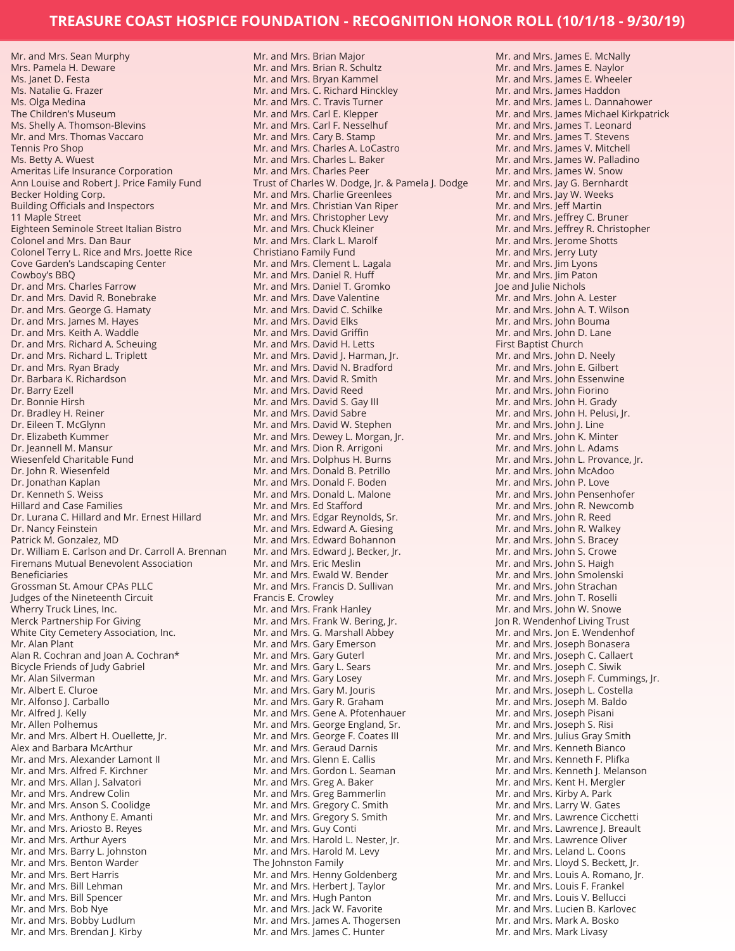Mr. and Mrs. Sean Murphy Mrs. Pamela H. Deware Ms. Janet D. Festa Ms. Natalie G. Frazer Ms. Olga Medina The Children's Museum Ms. Shelly A. Thomson-Blevins Mr. and Mrs. Thomas Vaccaro Tennis Pro Shop Ms. Betty A. Wuest Ameritas Life Insurance Corporation Ann Louise and Robert J. Price Family Fund Becker Holding Corp. Building Officials and Inspectors 11 Maple Street Eighteen Seminole Street Italian Bistro Colonel and Mrs. Dan Baur Colonel Terry L. Rice and Mrs. Joette Rice Cove Garden's Landscaping Center Cowboy's BBQ Dr. and Mrs. Charles Farrow Dr. and Mrs. David R. Bonebrake Dr. and Mrs. George G. Hamaty Dr. and Mrs. James M. Hayes Dr. and Mrs. Keith A. Waddle Dr. and Mrs. Richard A. Scheuing Dr. and Mrs. Richard L. Triplett Dr. and Mrs. Ryan Brady Dr. Barbara K. Richardson Dr. Barry Ezell Dr. Bonnie Hirsh Dr. Bradley H. Reiner Dr. Eileen T. McGlynn Dr. Elizabeth Kummer Dr. Jeannell M. Mansur Wiesenfeld Charitable Fund Dr. John R. Wiesenfeld Dr. Jonathan Kaplan Dr. Kenneth S. Weiss Hillard and Case Families Dr. Lurana C. Hillard and Mr. Ernest Hillard Dr. Nancy Feinstein Patrick M. Gonzalez, MD Dr. William E. Carlson and Dr. Carroll A. Brennan Firemans Mutual Benevolent Association Beneficiaries Grossman St. Amour CPAs PLLC Judges of the Nineteenth Circuit Wherry Truck Lines, Inc. Merck Partnership For Giving White City Cemetery Association, Inc. Mr. Alan Plant Alan R. Cochran and Joan A. Cochran\* Bicycle Friends of Judy Gabriel Mr. Alan Silverman Mr. Albert E. Cluroe Mr. Alfonso J. Carballo Mr. Alfred J. Kelly Mr. Allen Polhemus Mr. and Mrs. Albert H. Ouellette, Jr. Alex and Barbara McArthur Mr. and Mrs. Alexander Lamont II Mr. and Mrs. Alfred F. Kirchner Mr. and Mrs. Allan J. Salvatori Mr. and Mrs. Andrew Colin Mr. and Mrs. Anson S. Coolidge Mr. and Mrs. Anthony E. Amanti Mr. and Mrs. Ariosto B. Reyes Mr. and Mrs. Arthur Ayers Mr. and Mrs. Barry L. Johnston Mr. and Mrs. Benton Warder Mr. and Mrs. Bert Harris Mr. and Mrs. Bill Lehman Mr. and Mrs. Bill Spencer Mr. and Mrs. Bob Nye Mr. and Mrs. Bobby Ludlum

Mr. and Mrs. Brendan J. Kirby

Mr. and Mrs. Brian Major Mr. and Mrs. Brian R. Schultz Mr. and Mrs. Bryan Kammel Mr. and Mrs. C. Richard Hinckley Mr. and Mrs. C. Travis Turner Mr. and Mrs. Carl E. Klepper Mr. and Mrs. Carl F. Nesselhuf Mr. and Mrs. Cary B. Stamp Mr. and Mrs. Charles A. LoCastro Mr. and Mrs. Charles L. Baker Mr. and Mrs. Charles Peer Trust of Charles W. Dodge, Jr. & Pamela J. Dodge Mr. and Mrs. Charlie Greenlees Mr. and Mrs. Christian Van Riper Mr. and Mrs. Christopher Levy Mr. and Mrs. Chuck Kleiner Mr. and Mrs. Clark L. Marolf Christiano Family Fund Mr. and Mrs. Clement L. Lagala Mr. and Mrs. Daniel R. Huff Mr. and Mrs. Daniel T. Gromko Mr. and Mrs. Dave Valentine Mr. and Mrs. David C. Schilke Mr. and Mrs. David Elks Mr. and Mrs. David Griffin Mr. and Mrs. David H. Letts Mr. and Mrs. David J. Harman, Jr. Mr. and Mrs. David N. Bradford Mr. and Mrs. David R. Smith Mr. and Mrs. David Reed Mr. and Mrs. David S. Gay III Mr. and Mrs. David Sabre Mr. and Mrs. David W. Stephen Mr. and Mrs. Dewey L. Morgan, Jr. Mr. and Mrs. Dion R. Arrigoni Mr. and Mrs. Dolphus H. Burns Mr. and Mrs. Donald B. Petrillo Mr. and Mrs. Donald F. Boden Mr. and Mrs. Donald L. Malone Mr. and Mrs. Ed Stafford Mr. and Mrs. Edgar Reynolds, Sr. Mr. and Mrs. Edward A. Giesing Mr. and Mrs. Edward Bohannon Mr. and Mrs. Edward J. Becker, Jr. Mr. and Mrs. Eric Meslin Mr. and Mrs. Ewald W. Bender Mr. and Mrs. Francis D. Sullivan Francis E. Crowley Mr. and Mrs. Frank Hanley Mr. and Mrs. Frank W. Bering, Jr. Mr. and Mrs. G. Marshall Abbey Mr. and Mrs. Gary Emerson Mr. and Mrs. Gary Guterl Mr. and Mrs. Gary L. Sears Mr. and Mrs. Gary Losey Mr. and Mrs. Gary M. Jouris Mr. and Mrs. Gary R. Graham Mr. and Mrs. Gene A. Pfotenhauer Mr. and Mrs. George England, Sr. Mr. and Mrs. George F. Coates III Mr. and Mrs. Geraud Darnis Mr. and Mrs. Glenn E. Callis Mr. and Mrs. Gordon L. Seaman Mr. and Mrs. Greg A. Baker Mr. and Mrs. Greg Bammerlin Mr. and Mrs. Gregory C. Smith Mr. and Mrs. Gregory S. Smith Mr. and Mrs. Guy Conti Mr. and Mrs. Harold L. Nester, Jr. Mr. and Mrs. Harold M. Levy The Johnston Family Mr. and Mrs. Henny Goldenberg Mr. and Mrs. Herbert J. Taylor Mr. and Mrs. Hugh Panton Mr. and Mrs. Jack W. Favorite Mr. and Mrs. James A. Thogersen Mr. and Mrs. James C. Hunter

Mr. and Mrs. James E. McNally Mr. and Mrs. James E. Naylor Mr. and Mrs. James E. Wheeler Mr. and Mrs. James Haddon Mr. and Mrs. James L. Dannahower Mr. and Mrs. James Michael Kirkpatrick Mr. and Mrs. James T. Leonard Mr. and Mrs. James T. Stevens Mr. and Mrs. James V. Mitchell Mr. and Mrs. James W. Palladino Mr. and Mrs. James W. Snow Mr. and Mrs. Jay G. Bernhardt Mr. and Mrs. Jay W. Weeks Mr. and Mrs. Jeff Martin Mr. and Mrs. Jeffrey C. Bruner Mr. and Mrs. Jeffrey R. Christopher Mr. and Mrs. Jerome Shotts Mr. and Mrs. Jerry Luty Mr. and Mrs. Jim Lyons Mr. and Mrs. Jim Paton Joe and Julie Nichols Mr. and Mrs. John A. Lester Mr. and Mrs. John A. T. Wilson Mr. and Mrs. John Bouma Mr. and Mrs. John D. Lane First Baptist Church Mr. and Mrs. John D. Neely Mr. and Mrs. John E. Gilbert Mr. and Mrs. John Essenwine Mr. and Mrs. John Fiorino Mr. and Mrs. John H. Grady Mr. and Mrs. John H. Pelusi, Jr. Mr. and Mrs. John J. Line Mr. and Mrs. John K. Minter Mr. and Mrs. John L. Adams Mr. and Mrs. John L. Provance, Jr. Mr. and Mrs. John McAdoo Mr. and Mrs. John P. Love Mr. and Mrs. John Pensenhofer Mr. and Mrs. John R. Newcomb Mr. and Mrs. John R. Reed Mr. and Mrs. John R. Walkey Mr. and Mrs. John S. Bracey Mr. and Mrs. John S. Crowe Mr. and Mrs. John S. Haigh Mr. and Mrs. John Smolenski Mr. and Mrs. John Strachan Mr. and Mrs. John T. Roselli Mr. and Mrs. John W. Snowe Jon R. Wendenhof Living Trust Mr. and Mrs. Jon E. Wendenhof Mr. and Mrs. Joseph Bonasera Mr. and Mrs. Joseph C. Callaert Mr. and Mrs. Joseph C. Siwik Mr. and Mrs. Joseph F. Cummings, Jr. Mr. and Mrs. Joseph L. Costella Mr. and Mrs. Joseph M. Baldo Mr. and Mrs. Joseph Pisani Mr. and Mrs. Joseph S. Risi Mr. and Mrs. Julius Gray Smith Mr. and Mrs. Kenneth Bianco Mr. and Mrs. Kenneth F. Plifka Mr. and Mrs. Kenneth J. Melanson Mr. and Mrs. Kent H. Mergler Mr. and Mrs. Kirby A. Park Mr. and Mrs. Larry W. Gates Mr. and Mrs. Lawrence Cicchetti Mr. and Mrs. Lawrence J. Breault Mr. and Mrs. Lawrence Oliver Mr. and Mrs. Leland L. Coons Mr. and Mrs. Lloyd S. Beckett, Jr. Mr. and Mrs. Louis A. Romano, Jr. Mr. and Mrs. Louis F. Frankel Mr. and Mrs. Louis V. Bellucci Mr. and Mrs. Lucien B. Karlovec Mr. and Mrs. Mark A. Bosko Mr. and Mrs. Mark Livasy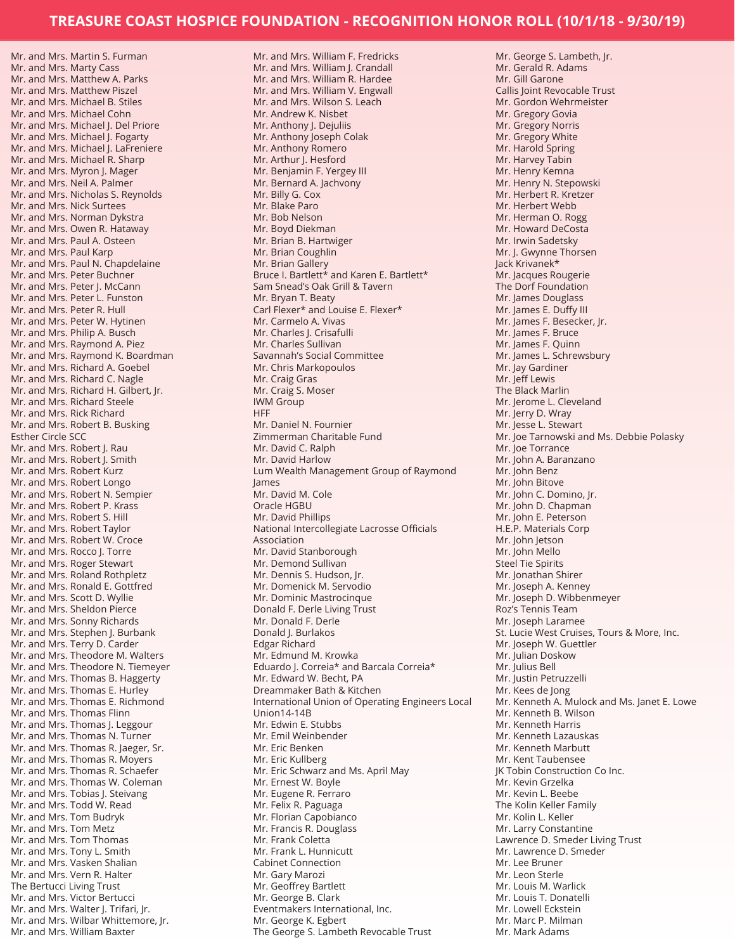Mr. and Mrs. Martin S. Furman Mr. and Mrs. Marty Cass Mr. and Mrs. Matthew A. Parks Mr. and Mrs. Matthew Piszel Mr. and Mrs. Michael B. Stiles Mr. and Mrs. Michael Cohn Mr. and Mrs. Michael J. Del Priore Mr. and Mrs. Michael J. Fogarty Mr. and Mrs. Michael J. LaFreniere Mr. and Mrs. Michael R. Sharp Mr. and Mrs. Myron J. Mager Mr. and Mrs. Neil A. Palmer Mr. and Mrs. Nicholas S. Reynolds Mr. and Mrs. Nick Surtees Mr. and Mrs. Norman Dykstra Mr. and Mrs. Owen R. Hataway Mr. and Mrs. Paul A. Osteen Mr. and Mrs. Paul Karp Mr. and Mrs. Paul N. Chapdelaine Mr. and Mrs. Peter Buchner Mr. and Mrs. Peter J. McCann Mr. and Mrs. Peter L. Funston Mr. and Mrs. Peter R. Hull Mr. and Mrs. Peter W. Hytinen Mr. and Mrs. Philip A. Busch Mr. and Mrs. Raymond A. Piez Mr. and Mrs. Raymond K. Boardman Mr. and Mrs. Richard A. Goebel Mr. and Mrs. Richard C. Nagle Mr. and Mrs. Richard H. Gilbert, Jr. Mr. and Mrs. Richard Steele Mr. and Mrs. Rick Richard Mr. and Mrs. Robert B. Busking Esther Circle SCC Mr. and Mrs. Robert J. Rau Mr. and Mrs. Robert J. Smith Mr. and Mrs. Robert Kurz Mr. and Mrs. Robert Longo Mr. and Mrs. Robert N. Sempier Mr. and Mrs. Robert P. Krass Mr. and Mrs. Robert S. Hill Mr. and Mrs. Robert Taylor Mr. and Mrs. Robert W. Croce Mr. and Mrs. Rocco J. Torre Mr. and Mrs. Roger Stewart Mr. and Mrs. Roland Rothpletz Mr. and Mrs. Ronald E. Gottfred Mr. and Mrs. Scott D. Wyllie Mr. and Mrs. Sheldon Pierce Mr. and Mrs. Sonny Richards Mr. and Mrs. Stephen J. Burbank Mr. and Mrs. Terry D. Carder Mr. and Mrs. Theodore M. Walters Mr. and Mrs. Theodore N. Tiemeyer Mr. and Mrs. Thomas B. Haggerty Mr. and Mrs. Thomas E. Hurley Mr. and Mrs. Thomas E. Richmond Mr. and Mrs. Thomas Flinn Mr. and Mrs. Thomas J. Leggour Mr. and Mrs. Thomas N. Turner Mr. and Mrs. Thomas R. Jaeger, Sr. Mr. and Mrs. Thomas R. Moyers Mr. and Mrs. Thomas R. Schaefer Mr. and Mrs. Thomas W. Coleman Mr. and Mrs. Tobias J. Steivang Mr. and Mrs. Todd W. Read Mr. and Mrs. Tom Budryk Mr. and Mrs. Tom Metz Mr. and Mrs. Tom Thomas Mr. and Mrs. Tony L. Smith Mr. and Mrs. Vasken Shalian Mr. and Mrs. Vern R. Halter The Bertucci Living Trust Mr. and Mrs. Victor Bertucci Mr. and Mrs. Walter J. Trifari, Jr. Mr. and Mrs. Wilbar Whittemore, Jr. Mr. and Mrs. William Baxter

Mr. and Mrs. William F. Fredricks Mr. and Mrs. William J. Crandall Mr. and Mrs. William R. Hardee Mr. and Mrs. William V. Engwall Mr. and Mrs. Wilson S. Leach Mr. Andrew K. Nisbet Mr. Anthony J. Dejuliis Mr. Anthony Joseph Colak Mr. Anthony Romero Mr. Arthur J. Hesford Mr. Benjamin F. Yergey III Mr. Bernard A. Jachvony Mr. Billy G. Cox Mr. Blake Paro Mr. Bob Nelson Mr. Boyd Diekman Mr. Brian B. Hartwiger Mr. Brian Coughlin Mr. Brian Gallery Bruce I. Bartlett\* and Karen E. Bartlett\* Sam Snead's Oak Grill & Tavern Mr. Bryan T. Beaty Carl Flexer\* and Louise E. Flexer\* Mr. Carmelo A. Vivas Mr. Charles J. Crisafulli Mr. Charles Sullivan Savannah's Social Committee Mr. Chris Markopoulos Mr. Craig Gras Mr. Craig S. Moser IWM Group **HFF** Mr. Daniel N. Fournier Zimmerman Charitable Fund Mr. David C. Ralph Mr. David Harlow Lum Wealth Management Group of Raymond James Mr. David M. Cole Oracle HGBU Mr. David Phillips National Intercollegiate Lacrosse Officials Association Mr. David Stanborough Mr. Demond Sullivan Mr. Dennis S. Hudson, Jr. Mr. Domenick M. Servodio Mr. Dominic Mastrocinque Donald F. Derle Living Trust Mr. Donald F. Derle Donald J. Burlakos Edgar Richard Mr. Edmund M. Krowka Eduardo J. Correia\* and Barcala Correia\* Mr. Edward W. Becht, PA Dreammaker Bath & Kitchen International Union of Operating Engineers Local Union14-14B Mr. Edwin E. Stubbs Mr. Emil Weinbender Mr. Eric Benken Mr. Eric Kullberg Mr. Eric Schwarz and Ms. April May Mr. Ernest W. Boyle Mr. Eugene R. Ferraro Mr. Felix R. Paguaga Mr. Florian Capobianco Mr. Francis R. Douglass Mr. Frank Coletta Mr. Frank L. Hunnicutt Cabinet Connection Mr. Gary Marozi Mr. Geoffrey Bartlett Mr. George B. Clark Eventmakers International, Inc. Mr. George K. Egbert The George S. Lambeth Revocable Trust

Mr. George S. Lambeth, Jr. Mr. Gerald R. Adams Mr. Gill Garone Callis Joint Revocable Trust Mr. Gordon Wehrmeister Mr. Gregory Govia Mr. Gregory Norris Mr. Gregory White Mr. Harold Spring Mr. Harvey Tabin Mr. Henry Kemna Mr. Henry N. Stepowski Mr. Herbert R. Kretzer Mr. Herbert Webb Mr. Herman O. Rogg Mr. Howard DeCosta Mr. Irwin Sadetsky Mr. J. Gwynne Thorsen Jack Krivanek\* Mr. Jacques Rougerie The Dorf Foundation Mr. James Douglass Mr. James E. Duffy III Mr. James F. Besecker, Jr. Mr. James F. Bruce Mr. James F. Quinn Mr. James L. Schrewsbury Mr. Jay Gardiner Mr. Jeff Lewis The Black Marlin Mr. Jerome L. Cleveland Mr. Jerry D. Wray Mr. Jesse L. Stewart Mr. Joe Tarnowski and Ms. Debbie Polasky Mr. Joe Torrance Mr. John A. Baranzano Mr. John Benz Mr. John Bitove Mr. John C. Domino, Jr. Mr. John D. Chapman Mr. John E. Peterson H.E.P. Materials Corp Mr. John Jetson Mr. John Mello Steel Tie Spirits Mr. Jonathan Shirer Mr. Joseph A. Kenney Mr. Joseph D. Wibbenmeyer Roz's Tennis Team Mr. Joseph Laramee St. Lucie West Cruises, Tours & More, Inc. Mr. Joseph W. Guettler Mr. Julian Doskow Mr. Julius Bell Mr. Justin Petruzzelli Mr. Kees de Jong Mr. Kenneth A. Mulock and Ms. Janet E. Lowe Mr. Kenneth B. Wilson Mr. Kenneth Harris Mr. Kenneth Lazauskas Mr. Kenneth Marbutt Mr. Kent Taubensee JK Tobin Construction Co Inc. Mr. Kevin Grzelka Mr. Kevin L. Beebe The Kolin Keller Family Mr. Kolin L. Keller Mr. Larry Constantine Lawrence D. Smeder Living Trust Mr. Lawrence D. Smeder Mr. Lee Bruner Mr. Leon Sterle Mr. Louis M. Warlick Mr. Louis T. Donatelli Mr. Lowell Eckstein Mr. Marc P. Milman Mr. Mark Adams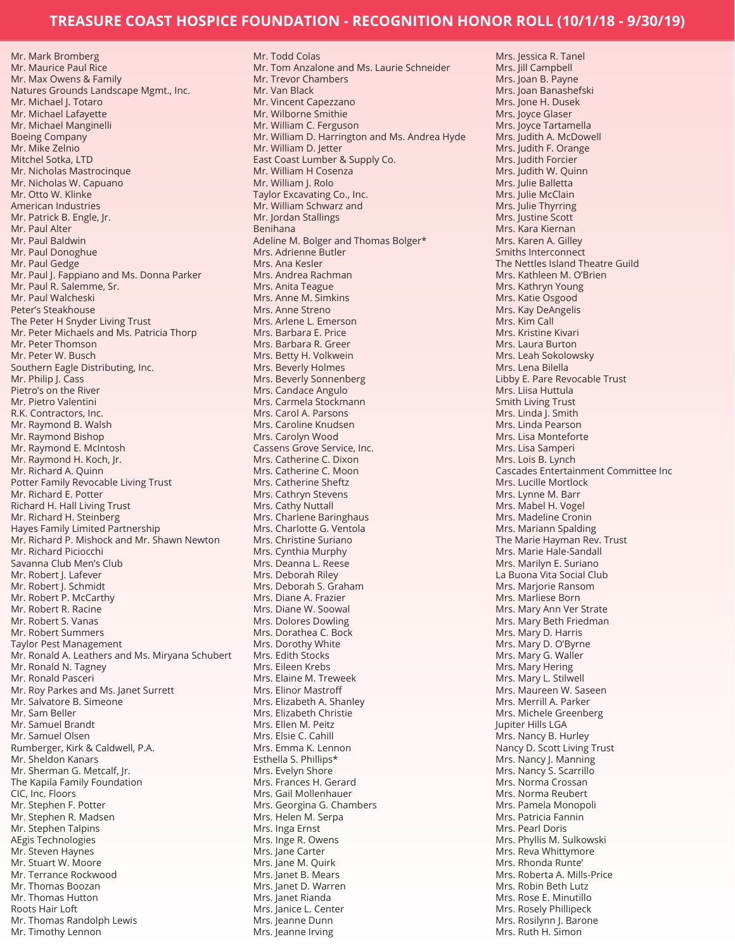Mr. Mark Bromberg Mr. Maurice Paul Rice Mr. Max Owens & Family Natures Grounds Landscape Mgmt., Inc. Mr. Michael J. Totaro Mr. Michael Lafayette Mr. Michael Manginelli Boeing Company Mr. Mike Zelnio Mitchel Sotka, LTD Mr. Nicholas Mastrocinque Mr. Nicholas W. Capuano Mr. Otto W. Klinke American Industries Mr. Patrick B. Engle, Jr. Mr. Paul Alter Mr. Paul Baldwin Mr. Paul Donoghue Mr. Paul Gedge Mr. Paul J. Fappiano and Ms. Donna Parker Mr. Paul R. Salemme, Sr. Mr. Paul Walcheski Peter's Steakhouse The Peter H Snyder Living Trust Mr. Peter Michaels and Ms. Patricia Thorp Mr. Peter Thomson Mr. Peter W. Busch Southern Eagle Distributing, Inc. Mr. Philip J. Cass Pietro's on the River Mr. Pietro Valentini R.K. Contractors, Inc. Mr. Raymond B. Walsh Mr. Raymond Bishop Mr. Raymond E. McIntosh Mr. Raymond H. Koch, Jr. Mr. Richard A. Quinn Potter Family Revocable Living Trust Mr. Richard E. Potter Richard H. Hall Living Trust Mr. Richard H. Steinberg Hayes Family Limited Partnership Mr. Richard P. Mishock and Mr. Shawn Newton Mr. Richard Piciocchi Savanna Club Men's Club Mr. Robert J. Lafever Mr. Robert J. Schmidt Mr. Robert P. McCarthy Mr. Robert R. Racine Mr. Robert S. Vanas Mr. Robert Summers Taylor Pest Management Mr. Ronald A. Leathers and Ms. Miryana Schubert Mr. Ronald N. Tagney Mr. Ronald Pasceri Mr. Roy Parkes and Ms. Janet Surrett Mr. Salvatore B. Simeone Mr. Sam Beller Mr. Samuel Brandt Mr. Samuel Olsen Rumberger, Kirk & Caldwell, P.A. Mr. Sheldon Kanars Mr. Sherman G. Metcalf, Jr. The Kapila Family Foundation CIC, Inc. Floors Mr. Stephen F. Potter Mr. Stephen R. Madsen Mr. Stephen Talpins AEgis Technologies Mr. Steven Haynes Mr. Stuart W. Moore Mr. Terrance Rockwood Mr. Thomas Boozan Mr. Thomas Hutton Roots Hair Loft Mr. Thomas Randolph Lewis

Mr. Timothy Lennon

Mr. Todd Colas Mr. Tom Anzalone and Ms. Laurie Schneider Mr. Trevor Chambers Mr. Van Black Mr. Vincent Capezzano Mr. Wilborne Smithie Mr. William C. Ferguson Mr. William D. Harrington and Ms. Andrea Hyde Mr. William D. Jetter East Coast Lumber & Supply Co. Mr. William H Cosenza Mr. William J. Rolo Taylor Excavating Co., Inc. Mr. William Schwarz and Mr. Jordan Stallings Benihana Adeline M. Bolger and Thomas Bolger\* Mrs. Adrienne Butler Mrs. Ana Kesler Mrs. Andrea Rachman Mrs. Anita Teague Mrs. Anne M. Simkins Mrs. Anne Streno Mrs. Arlene L. Emerson Mrs. Barbara E. Price Mrs. Barbara R. Greer Mrs. Betty H. Volkwein Mrs. Beverly Holmes Mrs. Beverly Sonnenberg Mrs. Candace Angulo Mrs. Carmela Stockmann Mrs. Carol A. Parsons Mrs. Caroline Knudsen Mrs. Carolyn Wood Cassens Grove Service, Inc. Mrs. Catherine C. Dixon Mrs. Catherine C. Moon Mrs. Catherine Sheftz Mrs. Cathryn Stevens Mrs. Cathy Nuttall Mrs. Charlene Baringhaus Mrs. Charlotte G. Ventola Mrs. Christine Suriano Mrs. Cynthia Murphy Mrs. Deanna L. Reese Mrs. Deborah Riley Mrs. Deborah S. Graham Mrs. Diane A. Frazier Mrs. Diane W. Soowal Mrs. Dolores Dowling Mrs. Dorathea C. Bock Mrs. Dorothy White Mrs. Edith Stocks Mrs. Eileen Krebs Mrs. Elaine M. Treweek Mrs. Elinor Mastroff Mrs. Elizabeth A. Shanley Mrs. Elizabeth Christie Mrs. Ellen M. Peitz Mrs. Elsie C. Cahill Mrs. Emma K. Lennon Esthella S. Phillips\* Mrs. Evelyn Shore Mrs. Frances H. Gerard Mrs. Gail Mollenhauer Mrs. Georgina G. Chambers Mrs. Helen M. Serpa Mrs. Inga Ernst Mrs. Inge R. Owens Mrs. Jane Carter Mrs. Jane M. Quirk Mrs. Janet B. Mears Mrs. Janet D. Warren Mrs. Janet Rianda Mrs. Janice L. Center Mrs. Jeanne Dunn Mrs. Jeanne Irving

Mrs. Jessica R. Tanel Mrs. Jill Campbell Mrs. Joan B. Payne Mrs. Joan Banashefski Mrs. Jone H. Dusek Mrs. Joyce Glaser Mrs. Joyce Tartamella Mrs. Judith A. McDowell Mrs. Judith F. Orange Mrs. Judith Forcier Mrs. Judith W. Quinn Mrs. Julie Balletta Mrs. Julie McClain Mrs. Julie Thyrring Mrs. Justine Scott Mrs. Kara Kiernan Mrs. Karen A. Gilley Smiths Interconnect The Nettles Island Theatre Guild Mrs. Kathleen M. O'Brien Mrs. Kathryn Young Mrs. Katie Osgood Mrs. Kay DeAngelis Mrs. Kim Call Mrs. Kristine Kivari Mrs. Laura Burton Mrs. Leah Sokolowsky Mrs. Lena Bilella Libby E. Pare Revocable Trust Mrs. Liisa Huttula Smith Living Trust Mrs. Linda J. Smith Mrs. Linda Pearson Mrs. Lisa Monteforte Mrs. Lisa Samperi Mrs. Lois B. Lynch Cascades Entertainment Committee Inc Mrs. Lucille Mortlock Mrs. Lynne M. Barr Mrs. Mabel H. Vogel Mrs. Madeline Cronin Mrs. Mariann Spalding The Marie Hayman Rev. Trust Mrs. Marie Hale-Sandall Mrs. Marilyn E. Suriano La Buona Vita Social Club Mrs. Marjorie Ransom Mrs. Marliese Born Mrs. Mary Ann Ver Strate Mrs. Mary Beth Friedman Mrs. Mary D. Harris Mrs. Mary D. O'Byrne Mrs. Mary G. Waller Mrs. Mary Hering Mrs. Mary L. Stilwell Mrs. Maureen W. Saseen Mrs. Merrill A. Parker Mrs. Michele Greenberg Jupiter Hills LGA Mrs. Nancy B. Hurley Nancy D. Scott Living Trust Mrs. Nancy J. Manning Mrs. Nancy S. Scarrillo Mrs. Norma Crossan Mrs. Norma Reubert Mrs. Pamela Monopoli Mrs. Patricia Fannin Mrs. Pearl Doris Mrs. Phyllis M. Sulkowski Mrs. Reva Whittymore Mrs. Rhonda Runte' Mrs. Roberta A. Mills-Price Mrs. Robin Beth Lutz Mrs. Rose E. Minutillo Mrs. Rosely Phillipeck Mrs. Rosilynn J. Barone Mrs. Ruth H. Simon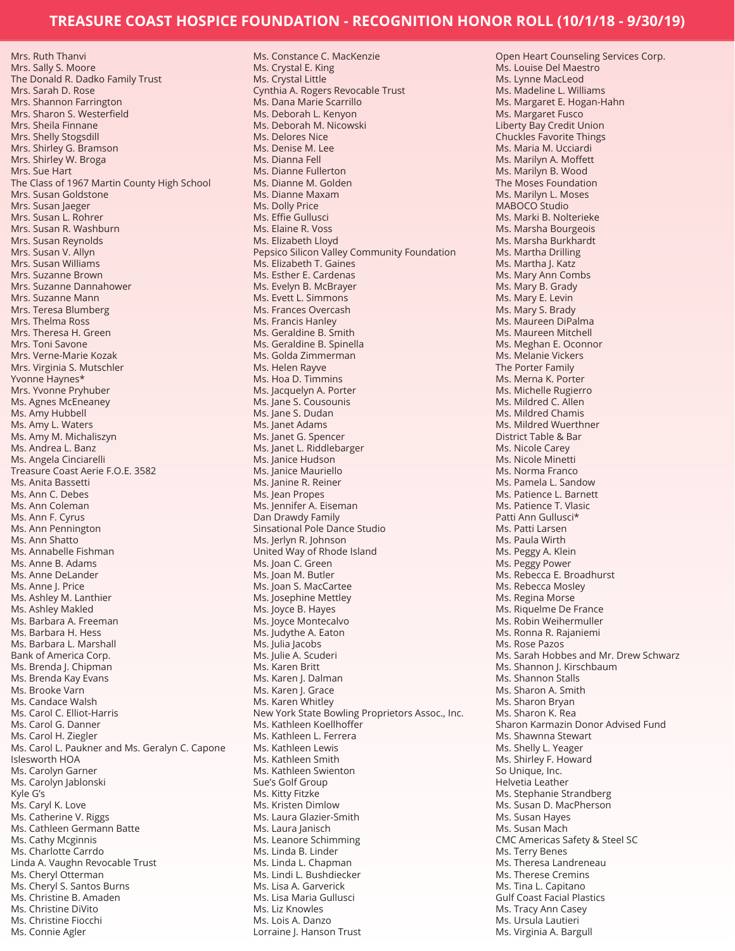Mrs. Ruth Thanvi Mrs. Sally S. Moore The Donald R. Dadko Family Trust Mrs. Sarah D. Rose Mrs. Shannon Farrington Mrs. Sharon S. Westerfield Mrs. Sheila Finnane Mrs. Shelly Stogsdill Mrs. Shirley G. Bramson Mrs. Shirley W. Broga Mrs. Sue Hart The Class of 1967 Martin County High School Mrs. Susan Goldstone Mrs. Susan Jaeger Mrs. Susan L. Rohrer Mrs. Susan R. Washburn Mrs. Susan Reynolds Mrs. Susan V. Allyn Mrs. Susan Williams Mrs. Suzanne Brown Mrs. Suzanne Dannahower Mrs. Suzanne Mann Mrs. Teresa Blumberg Mrs. Thelma Ross Mrs. Theresa H. Green Mrs. Toni Savone Mrs. Verne-Marie Kozak Mrs. Virginia S. Mutschler Yvonne Haynes\* Mrs. Yvonne Pryhuber Ms. Agnes McEneaney Ms. Amy Hubbell Ms. Amy L. Waters Ms. Amy M. Michaliszyn Ms. Andrea L. Banz Ms. Angela Cinciarelli Treasure Coast Aerie F.O.E. 3582 Ms. Anita Bassetti Ms. Ann C. Debes Ms. Ann Coleman Ms. Ann F. Cyrus Ms. Ann Pennington Ms. Ann Shatto Ms. Annabelle Fishman Ms. Anne B. Adams Ms. Anne DeLander Ms. Anne J. Price Ms. Ashley M. Lanthier Ms. Ashley Makled Ms. Barbara A. Freeman Ms. Barbara H. Hess Ms. Barbara L. Marshall Bank of America Corp. Ms. Brenda J. Chipman Ms. Brenda Kay Evans Ms. Brooke Varn Ms. Candace Walsh Ms. Carol C. Elliot-Harris Ms. Carol G. Danner Ms. Carol H. Ziegler Ms. Carol L. Paukner and Ms. Geralyn C. Capone Islesworth HOA Ms. Carolyn Garner Ms. Carolyn Jablonski Kyle G's Ms. Caryl K. Love Ms. Catherine V. Riggs Ms. Cathleen Germann Batte Ms. Cathy Mcginnis Ms. Charlotte Carrdo Linda A. Vaughn Revocable Trust Ms. Cheryl Otterman Ms. Cheryl S. Santos Burns Ms. Christine B. Amaden Ms. Christine DiVito Ms. Christine Fiocchi Ms. Connie Agler

Ms. Constance C. MacKenzie Ms. Crystal E. King Ms. Crystal Little Cynthia A. Rogers Revocable Trust Ms. Dana Marie Scarrillo Ms. Deborah L. Kenyon Ms. Deborah M. Nicowski Ms. Delores Nice Ms. Denise M. Lee Ms. Dianna Fell Ms. Dianne Fullerton Ms. Dianne M. Golden Ms. Dianne Maxam Ms. Dolly Price Ms. Effie Gullusci Ms. Elaine R. Voss Ms. Elizabeth Lloyd Pepsico Silicon Valley Community Foundation Ms. Elizabeth T. Gaines Ms. Esther E. Cardenas Ms. Evelyn B. McBrayer Ms. Evett L. Simmons Ms. Frances Overcash Ms. Francis Hanley Ms. Geraldine B. Smith Ms. Geraldine B. Spinella Ms. Golda Zimmerman Ms. Helen Rayve Ms. Hoa D. Timmins Ms. Jacquelyn A. Porter Ms. Jane S. Cousounis Ms. Jane S. Dudan Ms. Janet Adams Ms. Janet G. Spencer Ms. Janet L. Riddlebarger Ms. Janice Hudson Ms. Janice Mauriello Ms. Janine R. Reiner Ms. Jean Propes Ms. Jennifer A. Eiseman Dan Drawdy Family Sinsational Pole Dance Studio Ms. Jerlyn R. Johnson United Way of Rhode Island Ms. Joan C. Green Ms. Joan M. Butler Ms. Joan S. MacCartee Ms. Josephine Mettley Ms. Joyce B. Hayes Ms. Joyce Montecalvo Ms. Judythe A. Eaton Ms. Julia Jacobs Ms. Julie A. Scuderi Ms. Karen Britt Ms. Karen J. Dalman Ms. Karen J. Grace Ms. Karen Whitley New York State Bowling Proprietors Assoc., Inc. Ms. Kathleen Koellhoffer Ms. Kathleen L. Ferrera Ms. Kathleen Lewis Ms. Kathleen Smith Ms. Kathleen Swienton Sue's Golf Group Ms. Kitty Fitzke Ms. Kristen Dimlow Ms. Laura Glazier-Smith Ms. Laura Janisch Ms. Leanore Schimming Ms. Linda B. Linder Ms. Linda L. Chapman Ms. Lindi L. Bushdiecker Ms. Lisa A. Garverick Ms. Lisa Maria Gullusci Ms. Liz Knowles Ms. Lois A. Danzo Lorraine J. Hanson Trust

Open Heart Counseling Services Corp. Ms. Louise Del Maestro Ms. Lynne MacLeod Ms. Madeline L. Williams Ms. Margaret E. Hogan-Hahn Ms. Margaret Fusco Liberty Bay Credit Union Chuckles Favorite Things Ms. Maria M. Ucciardi Ms. Marilyn A. Moffett Ms. Marilyn B. Wood The Moses Foundation Ms. Marilyn L. Moses MABOCO Studio Ms. Marki B. Nolterieke Ms. Marsha Bourgeois Ms. Marsha Burkhardt Ms. Martha Drilling Ms. Martha J. Katz Ms. Mary Ann Combs Ms. Mary B. Grady Ms. Mary E. Levin Ms. Mary S. Brady Ms. Maureen DiPalma Ms. Maureen Mitchell Ms. Meghan E. Oconnor Ms. Melanie Vickers The Porter Family Ms. Merna K. Porter Ms. Michelle Rugierro Ms. Mildred C. Allen Ms. Mildred Chamis Ms. Mildred Wuerthner District Table & Bar Ms. Nicole Carey Ms. Nicole Minetti Ms. Norma Franco Ms. Pamela L. Sandow Ms. Patience L. Barnett Ms. Patience T. Vlasic Patti Ann Gullusci\* Ms. Patti Larsen Ms. Paula Wirth Ms. Peggy A. Klein Ms. Peggy Power Ms. Rebecca E. Broadhurst Ms. Rebecca Mosley Ms. Regina Morse Ms. Riquelme De France Ms. Robin Weihermuller Ms. Ronna R. Rajaniemi Ms. Rose Pazos Ms. Sarah Hobbes and Mr. Drew Schwarz Ms. Shannon J. Kirschbaum Ms. Shannon Stalls Ms. Sharon A. Smith Ms. Sharon Bryan Ms. Sharon K. Rea Sharon Karmazin Donor Advised Fund Ms. Shawnna Stewart Ms. Shelly L. Yeager Ms. Shirley F. Howard So Unique, Inc. Helvetia Leather Ms. Stephanie Strandberg Ms. Susan D. MacPherson Ms. Susan Hayes Ms. Susan Mach CMC Americas Safety & Steel SC Ms. Terry Benes Ms. Theresa Landreneau Ms. Therese Cremins Ms. Tina L. Capitano Gulf Coast Facial Plastics Ms. Tracy Ann Casey Ms. Ursula Lautieri Ms. Virginia A. Bargull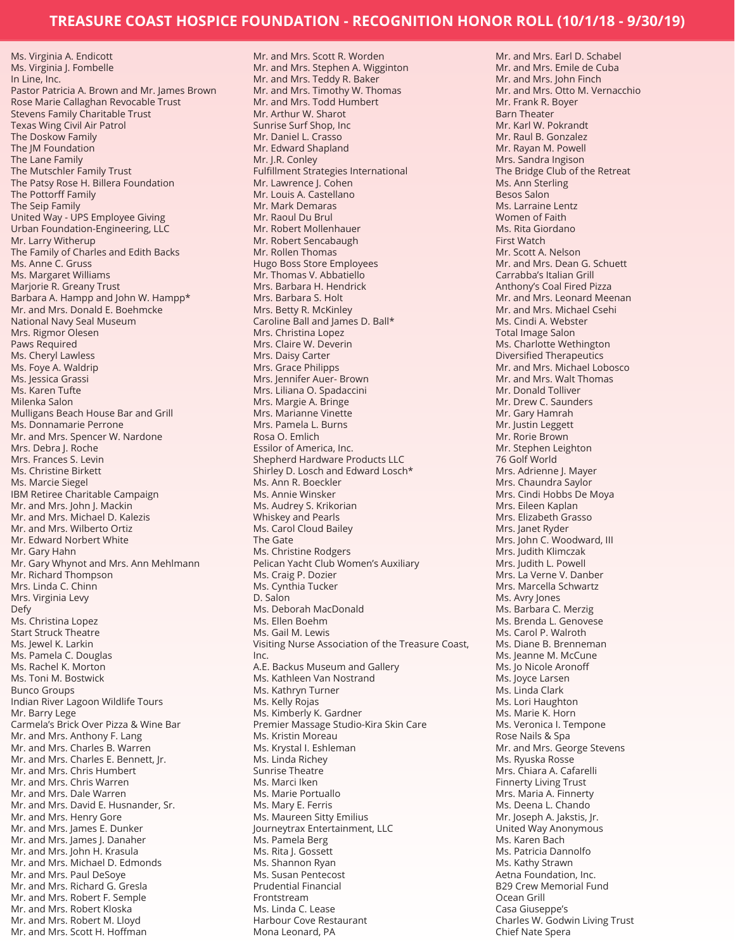Ms. Virginia A. Endicott Ms. Virginia J. Fombelle In Line, Inc. Pastor Patricia A. Brown and Mr. James Brown Rose Marie Callaghan Revocable Trust Stevens Family Charitable Trust Texas Wing Civil Air Patrol The Doskow Family The JM Foundation The Lane Family The Mutschler Family Trust The Patsy Rose H. Billera Foundation The Pottorff Family The Seip Family United Way - UPS Employee Giving Urban Foundation-Engineering, LLC Mr. Larry Witherup The Family of Charles and Edith Backs Ms. Anne C. Gruss Ms. Margaret Williams Marjorie R. Greany Trust Barbara A. Hampp and John W. Hampp\* Mr. and Mrs. Donald E. Boehmcke National Navy Seal Museum Mrs. Rigmor Olesen Paws Required Ms. Cheryl Lawless Ms. Foye A. Waldrip Ms. Jessica Grassi Ms. Karen Tufte Milenka Salon Mulligans Beach House Bar and Grill Ms. Donnamarie Perrone Mr. and Mrs. Spencer W. Nardone Mrs. Debra J. Roche Mrs. Frances S. Levin Ms. Christine Birkett Ms. Marcie Siegel IBM Retiree Charitable Campaign Mr. and Mrs. John J. Mackin Mr. and Mrs. Michael D. Kalezis Mr. and Mrs. Wilberto Ortiz Mr. Edward Norbert White Mr. Gary Hahn Mr. Gary Whynot and Mrs. Ann Mehlmann Mr. Richard Thompson Mrs. Linda C. Chinn Mrs. Virginia Levy Defy Ms. Christina Lopez Start Struck Theatre Ms. Jewel K. Larkin Ms. Pamela C. Douglas Ms. Rachel K. Morton Ms. Toni M. Bostwick Bunco Groups Indian River Lagoon Wildlife Tours Mr. Barry Lege Carmela's Brick Over Pizza & Wine Bar Mr. and Mrs. Anthony F. Lang Mr. and Mrs. Charles B. Warren Mr. and Mrs. Charles E. Bennett, Jr. Mr. and Mrs. Chris Humbert Mr. and Mrs. Chris Warren Mr. and Mrs. Dale Warren Mr. and Mrs. David E. Husnander, Sr. Mr. and Mrs. Henry Gore Mr. and Mrs. James E. Dunker Mr. and Mrs. James J. Danaher Mr. and Mrs. John H. Krasula Mr. and Mrs. Michael D. Edmonds Mr. and Mrs. Paul DeSoye Mr. and Mrs. Richard G. Gresla Mr. and Mrs. Robert F. Semple Mr. and Mrs. Robert Kloska Mr. and Mrs. Robert M. Lloyd Mr. and Mrs. Scott H. Hoffman

Mr. and Mrs. Scott R. Worden Mr. and Mrs. Stephen A. Wigginton Mr. and Mrs. Teddy R. Baker Mr. and Mrs. Timothy W. Thomas Mr. and Mrs. Todd Humbert Mr. Arthur W. Sharot Sunrise Surf Shop, Inc Mr. Daniel L. Crasso Mr. Edward Shapland Mr. J.R. Conley Fulfillment Strategies International Mr. Lawrence J. Cohen Mr. Louis A. Castellano Mr. Mark Demaras Mr. Raoul Du Brul Mr. Robert Mollenhauer Mr. Robert Sencabaugh Mr. Rollen Thomas Hugo Boss Store Employees Mr. Thomas V. Abbatiello Mrs. Barbara H. Hendrick Mrs. Barbara S. Holt Mrs. Betty R. McKinley Caroline Ball and James D. Ball\* Mrs. Christina Lopez Mrs. Claire W. Deverin Mrs. Daisy Carter Mrs. Grace Philipps Mrs. Jennifer Auer- Brown Mrs. Liliana O. Spadaccini Mrs. Margie A. Bringe Mrs. Marianne Vinette Mrs. Pamela L. Burns Rosa O. Emlich Essilor of America, Inc. Shepherd Hardware Products LLC Shirley D. Losch and Edward Losch\* Ms. Ann R. Boeckler Ms. Annie Winsker Ms. Audrey S. Krikorian Whiskey and Pearls Ms. Carol Cloud Bailey The Gate Ms. Christine Rodgers Pelican Yacht Club Women's Auxiliary Ms. Craig P. Dozier Ms. Cynthia Tucker D. Salon Ms. Deborah MacDonald Ms. Ellen Boehm Ms. Gail M. Lewis Visiting Nurse Association of the Treasure Coast, Inc. A.E. Backus Museum and Gallery Ms. Kathleen Van Nostrand Ms. Kathryn Turner Ms. Kelly Rojas Ms. Kimberly K. Gardner Premier Massage Studio-Kira Skin Care Ms. Kristin Moreau Ms. Krystal I. Eshleman Ms. Linda Richey Sunrise Theatre Ms. Marci Iken Ms. Marie Portuallo Ms. Mary E. Ferris Ms. Maureen Sitty Emilius Journeytrax Entertainment, LLC Ms. Pamela Berg Ms. Rita J. Gossett Ms. Shannon Ryan Ms. Susan Pentecost Prudential Financial Frontstream Ms. Linda C. Lease Harbour Cove Restaurant Mona Leonard, PA

Mr. and Mrs. Earl D. Schabel Mr. and Mrs. Emile de Cuba Mr. and Mrs. John Finch Mr. and Mrs. Otto M. Vernacchio Mr. Frank R. Boyer Barn Theater Mr. Karl W. Pokrandt Mr. Raul B. Gonzalez Mr. Rayan M. Powell Mrs. Sandra Ingison The Bridge Club of the Retreat Ms. Ann Sterling Besos Salon Ms. Larraine Lentz Women of Faith Ms. Rita Giordano First Watch Mr. Scott A. Nelson Mr. and Mrs. Dean G. Schuett Carrabba's Italian Grill Anthony's Coal Fired Pizza Mr. and Mrs. Leonard Meenan Mr. and Mrs. Michael Csehi Ms. Cindi A. Webster Total Image Salon Ms. Charlotte Wethington Diversified Therapeutics Mr. and Mrs. Michael Lobosco Mr. and Mrs. Walt Thomas Mr. Donald Tolliver Mr. Drew C. Saunders Mr. Gary Hamrah Mr. Justin Leggett Mr. Rorie Brown Mr. Stephen Leighton 76 Golf World Mrs. Adrienne J. Mayer Mrs. Chaundra Saylor Mrs. Cindi Hobbs De Moya Mrs. Eileen Kaplan Mrs. Elizabeth Grasso Mrs. Janet Ryder Mrs. John C. Woodward, III Mrs. Judith Klimczak Mrs. Judith L. Powell Mrs. La Verne V. Danber Mrs. Marcella Schwartz Ms. Avry Jones Ms. Barbara C. Merzig Ms. Brenda L. Genovese Ms. Carol P. Walroth Ms. Diane B. Brenneman Ms. Jeanne M. McCune Ms. Jo Nicole Aronoff Ms. Joyce Larsen Ms. Linda Clark Ms. Lori Haughton Ms. Marie K. Horn Ms. Veronica I. Tempone Rose Nails & Spa Mr. and Mrs. George Stevens Ms. Ryuska Rosse Mrs. Chiara A. Cafarelli Finnerty Living Trust Mrs. Maria A. Finnerty Ms. Deena L. Chando Mr. Joseph A. Jakstis, Jr. United Way Anonymous Ms. Karen Bach Ms. Patricia Dannolfo Ms. Kathy Strawn Aetna Foundation, Inc. B29 Crew Memorial Fund Ocean Grill Casa Giuseppe's Charles W. Godwin Living Trust Chief Nate Spera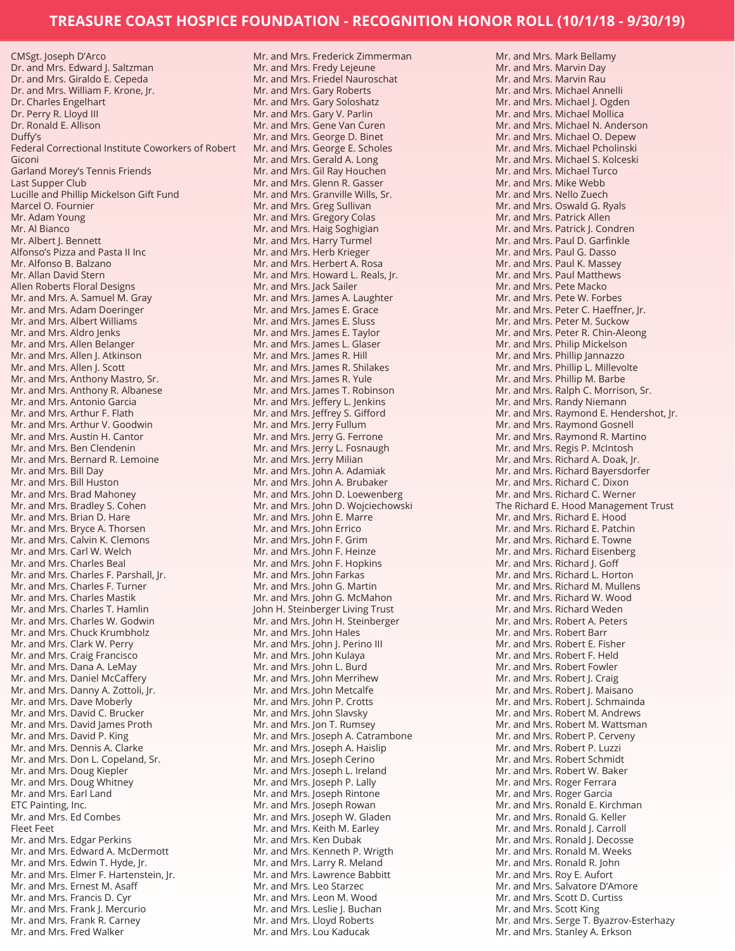CMSgt. Joseph D'Arco Dr. and Mrs. Edward J. Saltzman Dr. and Mrs. Giraldo E. Cepeda Dr. and Mrs. William F. Krone, Jr. Dr. Charles Engelhart Dr. Perry R. Lloyd III Dr. Ronald E. Allison Duffy's Federal Correctional Institute Coworkers of Robert Giconi Garland Morey's Tennis Friends Last Supper Club Lucille and Phillip Mickelson Gift Fund Marcel O. Fournier Mr. Adam Young Mr. Al Bianco Mr. Albert J. Bennett Alfonso's Pizza and Pasta II Inc Mr. Alfonso B. Balzano Mr. Allan David Stern Allen Roberts Floral Designs Mr. and Mrs. A. Samuel M. Gray Mr. and Mrs. Adam Doeringer Mr. and Mrs. Albert Williams Mr. and Mrs. Aldro Jenks Mr. and Mrs. Allen Belanger Mr. and Mrs. Allen J. Atkinson Mr. and Mrs. Allen J. Scott Mr. and Mrs. Anthony Mastro, Sr. Mr. and Mrs. Anthony R. Albanese Mr. and Mrs. Antonio Garcia Mr. and Mrs. Arthur F. Flath Mr. and Mrs. Arthur V. Goodwin Mr. and Mrs. Austin H. Cantor Mr. and Mrs. Ben Clendenin Mr. and Mrs. Bernard R. Lemoine Mr. and Mrs. Bill Day Mr. and Mrs. Bill Huston Mr. and Mrs. Brad Mahoney Mr. and Mrs. Bradley S. Cohen Mr. and Mrs. Brian D. Hare Mr. and Mrs. Bryce A. Thorsen Mr. and Mrs. Calvin K. Clemons Mr. and Mrs. Carl W. Welch Mr. and Mrs. Charles Beal Mr. and Mrs. Charles F. Parshall, Jr. Mr. and Mrs. Charles F. Turner Mr. and Mrs. Charles Mastik Mr. and Mrs. Charles T. Hamlin Mr. and Mrs. Charles W. Godwin Mr. and Mrs. Chuck Krumbholz Mr. and Mrs. Clark W. Perry Mr. and Mrs. Craig Francisco Mr. and Mrs. Dana A. LeMay Mr. and Mrs. Daniel McCaffery Mr. and Mrs. Danny A. Zottoli, Jr. Mr. and Mrs. Dave Moberly Mr. and Mrs. David C. Brucker Mr. and Mrs. David James Proth Mr. and Mrs. David P. King Mr. and Mrs. Dennis A. Clarke Mr. and Mrs. Don L. Copeland, Sr. Mr. and Mrs. Doug Kiepler Mr. and Mrs. Doug Whitney Mr. and Mrs. Earl Land ETC Painting, Inc. Mr. and Mrs. Ed Combes Fleet Feet Mr. and Mrs. Edgar Perkins Mr. and Mrs. Edward A. McDermott Mr. and Mrs. Edwin T. Hyde, Jr. Mr. and Mrs. Elmer F. Hartenstein, Jr. Mr. and Mrs. Ernest M. Asaff Mr. and Mrs. Francis D. Cyr Mr. and Mrs. Frank J. Mercurio Mr. and Mrs. Frank R. Carney Mr. and Mrs. Fred Walker

Mr. and Mrs. Frederick Zimmerman Mr. and Mrs. Fredy Lejeune Mr. and Mrs. Friedel Nauroschat Mr. and Mrs. Gary Roberts Mr. and Mrs. Gary Soloshatz Mr. and Mrs. Gary V. Parlin Mr. and Mrs. Gene Van Curen Mr. and Mrs. George D. Binet Mr. and Mrs. George E. Scholes Mr. and Mrs. Gerald A. Long Mr. and Mrs. Gil Ray Houchen Mr. and Mrs. Glenn R. Gasser Mr. and Mrs. Granville Wills, Sr. Mr. and Mrs. Greg Sullivan Mr. and Mrs. Gregory Colas Mr. and Mrs. Haig Soghigian Mr. and Mrs. Harry Turmel Mr. and Mrs. Herb Krieger Mr. and Mrs. Herbert A. Rosa Mr. and Mrs. Howard L. Reals, Jr. Mr. and Mrs. Jack Sailer Mr. and Mrs. James A. Laughter Mr. and Mrs. James E. Grace Mr. and Mrs. James E. Sluss Mr. and Mrs. James E. Taylor Mr. and Mrs. James L. Glaser Mr. and Mrs. James R. Hill Mr. and Mrs. James R. Shilakes Mr. and Mrs. James R. Yule Mr. and Mrs. James T. Robinson Mr. and Mrs. Jeffery L. Jenkins Mr. and Mrs. Jeffrey S. Gifford Mr. and Mrs. Jerry Fullum Mr. and Mrs. Jerry G. Ferrone Mr. and Mrs. Jerry L. Fosnaugh Mr. and Mrs. Jerry Milian Mr. and Mrs. John A. Adamiak Mr. and Mrs. John A. Brubaker Mr. and Mrs. John D. Loewenberg Mr. and Mrs. John D. Wojciechowski Mr. and Mrs. John E. Marre Mr. and Mrs. John Errico Mr. and Mrs. John F. Grim Mr. and Mrs. John F. Heinze Mr. and Mrs. John F. Hopkins Mr. and Mrs. John Farkas Mr. and Mrs. John G. Martin Mr. and Mrs. John G. McMahon John H. Steinberger Living Trust Mr. and Mrs. John H. Steinberger Mr. and Mrs. John Hales Mr. and Mrs. John J. Perino III Mr. and Mrs. John Kulaya Mr. and Mrs. John L. Burd Mr. and Mrs. John Merrihew Mr. and Mrs. John Metcalfe Mr. and Mrs. John P. Crotts Mr. and Mrs. John Slavsky Mr. and Mrs. Jon T. Rumsey Mr. and Mrs. Joseph A. Catrambone Mr. and Mrs. Joseph A. Haislip Mr. and Mrs. Joseph Cerino Mr. and Mrs. Joseph L. Ireland Mr. and Mrs. Joseph P. Lally Mr. and Mrs. Joseph Rintone Mr. and Mrs. Joseph Rowan Mr. and Mrs. Joseph W. Gladen Mr. and Mrs. Keith M. Earley Mr. and Mrs. Ken Dubak Mr. and Mrs. Kenneth P. Wrigth Mr. and Mrs. Larry R. Meland Mr. and Mrs. Lawrence Babbitt Mr. and Mrs. Leo Starzec Mr. and Mrs. Leon M. Wood Mr. and Mrs. Leslie J. Buchan Mr. and Mrs. Lloyd Roberts Mr. and Mrs. Lou Kaducak

Mr. and Mrs. Mark Bellamy Mr. and Mrs. Marvin Day Mr. and Mrs. Marvin Rau Mr. and Mrs. Michael Annelli Mr. and Mrs. Michael J. Ogden Mr. and Mrs. Michael Mollica Mr. and Mrs. Michael N. Anderson Mr. and Mrs. Michael O. Depew Mr. and Mrs. Michael Pcholinski Mr. and Mrs. Michael S. Kolceski Mr. and Mrs. Michael Turco Mr. and Mrs. Mike Webb Mr. and Mrs. Nello Zuech Mr. and Mrs. Oswald G. Ryals Mr. and Mrs. Patrick Allen Mr. and Mrs. Patrick J. Condren Mr. and Mrs. Paul D. Garfinkle Mr. and Mrs. Paul G. Dasso Mr. and Mrs. Paul K. Massey Mr. and Mrs. Paul Matthews Mr. and Mrs. Pete Macko Mr. and Mrs. Pete W. Forbes Mr. and Mrs. Peter C. Haeffner, Jr. Mr. and Mrs. Peter M. Suckow Mr. and Mrs. Peter R. Chin-Aleong Mr. and Mrs. Philip Mickelson Mr. and Mrs. Phillip Jannazzo Mr. and Mrs. Phillip L. Millevolte Mr. and Mrs. Phillip M. Barbe Mr. and Mrs. Ralph C. Morrison, Sr. Mr. and Mrs. Randy Niemann Mr. and Mrs. Raymond E. Hendershot, Jr. Mr. and Mrs. Raymond Gosnell Mr. and Mrs. Raymond R. Martino Mr. and Mrs. Regis P. McIntosh Mr. and Mrs. Richard A. Doak, Jr. Mr. and Mrs. Richard Bayersdorfer Mr. and Mrs. Richard C. Dixon Mr. and Mrs. Richard C. Werner The Richard E. Hood Management Trust Mr. and Mrs. Richard E. Hood Mr. and Mrs. Richard E. Patchin Mr. and Mrs. Richard E. Towne Mr. and Mrs. Richard Eisenberg Mr. and Mrs. Richard J. Goff Mr. and Mrs. Richard L. Horton Mr. and Mrs. Richard M. Mullens Mr. and Mrs. Richard W. Wood Mr. and Mrs. Richard Weden Mr. and Mrs. Robert A. Peters Mr. and Mrs. Robert Barr Mr. and Mrs. Robert E. Fisher Mr. and Mrs. Robert F. Held Mr. and Mrs. Robert Fowler Mr. and Mrs. Robert J. Craig Mr. and Mrs. Robert J. Maisano Mr. and Mrs. Robert J. Schmainda Mr. and Mrs. Robert M. Andrews Mr. and Mrs. Robert M. Wattsman Mr. and Mrs. Robert P. Cerveny Mr. and Mrs. Robert P. Luzzi Mr. and Mrs. Robert Schmidt Mr. and Mrs. Robert W. Baker Mr. and Mrs. Roger Ferrara Mr. and Mrs. Roger Garcia Mr. and Mrs. Ronald E. Kirchman Mr. and Mrs. Ronald G. Keller Mr. and Mrs. Ronald I. Carroll Mr. and Mrs. Ronald J. Decosse Mr. and Mrs. Ronald M. Weeks Mr. and Mrs. Ronald R. John Mr. and Mrs. Roy E. Aufort Mr. and Mrs. Salvatore D'Amore Mr. and Mrs. Scott D. Curtiss Mr. and Mrs. Scott King Mr. and Mrs. Serge T. Byazrov-Esterhazy Mr. and Mrs. Stanley A. Erkson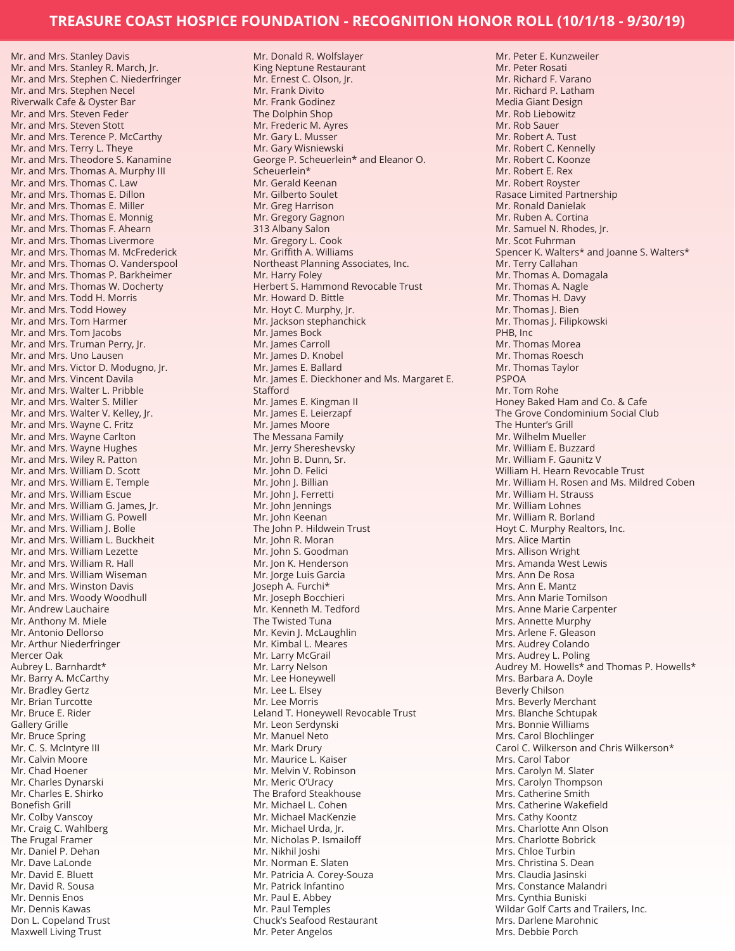Mr. and Mrs. Stanley Davis Mr. and Mrs. Stanley R. March, Jr. Mr. and Mrs. Stephen C. Niederfringer Mr. and Mrs. Stephen Necel Riverwalk Cafe & Oyster Bar Mr. and Mrs. Steven Feder Mr. and Mrs. Steven Stott Mr. and Mrs. Terence P. McCarthy Mr. and Mrs. Terry L. Theye Mr. and Mrs. Theodore S. Kanamine Mr. and Mrs. Thomas A. Murphy III Mr. and Mrs. Thomas C. Law Mr. and Mrs. Thomas E. Dillon Mr. and Mrs. Thomas E. Miller Mr. and Mrs. Thomas E. Monnig Mr. and Mrs. Thomas F. Ahearn Mr. and Mrs. Thomas Livermore Mr. and Mrs. Thomas M. McFrederick Mr. and Mrs. Thomas O. Vanderspool Mr. and Mrs. Thomas P. Barkheimer Mr. and Mrs. Thomas W. Docherty Mr. and Mrs. Todd H. Morris Mr. and Mrs. Todd Howey Mr. and Mrs. Tom Harmer Mr. and Mrs. Tom Jacobs Mr. and Mrs. Truman Perry, Jr. Mr. and Mrs. Uno Lausen Mr. and Mrs. Victor D. Modugno, Jr. Mr. and Mrs. Vincent Davila Mr. and Mrs. Walter L. Pribble Mr. and Mrs. Walter S. Miller Mr. and Mrs. Walter V. Kelley, Jr. Mr. and Mrs. Wayne C. Fritz Mr. and Mrs. Wayne Carlton Mr. and Mrs. Wayne Hughes Mr. and Mrs. Wiley R. Patton Mr. and Mrs. William D. Scott Mr. and Mrs. William E. Temple Mr. and Mrs. William Escue Mr. and Mrs. William G. James, Jr. Mr. and Mrs. William G. Powell Mr. and Mrs. William J. Bolle Mr. and Mrs. William L. Buckheit Mr. and Mrs. William Lezette Mr. and Mrs. William R. Hall Mr. and Mrs. William Wiseman Mr. and Mrs. Winston Davis Mr. and Mrs. Woody Woodhull Mr. Andrew Lauchaire Mr. Anthony M. Miele Mr. Antonio Dellorso Mr. Arthur Niederfringer Mercer Oak Aubrey L. Barnhardt\* Mr. Barry A. McCarthy Mr. Bradley Gertz Mr. Brian Turcotte Mr. Bruce E. Rider Gallery Grille Mr. Bruce Spring Mr. C. S. McIntyre III Mr. Calvin Moore Mr. Chad Hoener Mr. Charles Dynarski Mr. Charles E. Shirko Bonefish Grill Mr. Colby Vanscoy Mr. Craig C. Wahlberg The Frugal Framer Mr. Daniel P. Dehan Mr. Dave LaLonde Mr. David E. Bluett Mr. David R. Sousa Mr. Dennis Enos Mr. Dennis Kawas Don L. Copeland Trust

Maxwell Living Trust

Mr. Donald R. Wolfslayer King Neptune Restaurant Mr. Ernest C. Olson, Jr. Mr. Frank Divito Mr. Frank Godinez The Dolphin Shop Mr. Frederic M. Ayres Mr. Gary L. Musser Mr. Gary Wisniewski George P. Scheuerlein\* and Eleanor O. Scheuerlein\* Mr. Gerald Keenan Mr. Gilberto Soulet Mr. Greg Harrison Mr. Gregory Gagnon 313 Albany Salon Mr. Gregory L. Cook Mr. Griffith A. Williams Northeast Planning Associates, Inc. Mr. Harry Foley Herbert S. Hammond Revocable Trust Mr. Howard D. Bittle Mr. Hoyt C. Murphy, Jr. Mr. Jackson stephanchick Mr. James Bock Mr. James Carroll Mr. James D. Knobel Mr. James E. Ballard Mr. James E. Dieckhoner and Ms. Margaret E. **Stafford** Mr. James E. Kingman II Mr. James E. Leierzapf Mr. James Moore The Messana Family Mr. Jerry Shereshevsky Mr. John B. Dunn, Sr. Mr. John D. Felici Mr. John J. Billian Mr. John J. Ferretti Mr. John Jennings Mr. John Keenan The John P. Hildwein Trust Mr. John R. Moran Mr. John S. Goodman Mr. Jon K. Henderson Mr. Jorge Luis Garcia Joseph A. Furchi\* Mr. Joseph Bocchieri Mr. Kenneth M. Tedford The Twisted Tuna Mr. Kevin J. McLaughlin Mr. Kimbal L. Meares Mr. Larry McGrail Mr. Larry Nelson Mr. Lee Honeywell Mr. Lee L. Elsey Mr. Lee Morris Leland T. Honeywell Revocable Trust Mr. Leon Serdynski Mr. Manuel Neto Mr. Mark Drury Mr. Maurice L. Kaiser Mr. Melvin V. Robinson Mr. Meric O'Uracy The Braford Steakhouse Mr. Michael L. Cohen Mr. Michael MacKenzie Mr. Michael Urda, Jr. Mr. Nicholas P. Ismailoff Mr. Nikhil Joshi Mr. Norman E. Slaten Mr. Patricia A. Corey-Souza Mr. Patrick Infantino Mr. Paul E. Abbey Mr. Paul Temples Chuck's Seafood Restaurant Mr. Peter Angelos

Mr. Peter E. Kunzweiler Mr. Peter Rosati Mr. Richard F. Varano Mr. Richard P. Latham Media Giant Design Mr. Rob Liebowitz Mr. Rob Sauer Mr. Robert A. Tust Mr. Robert C. Kennelly Mr. Robert C. Koonze Mr. Robert E. Rex Mr. Robert Royster Rasace Limited Partnership Mr. Ronald Danielak Mr. Ruben A. Cortina Mr. Samuel N. Rhodes, Jr. Mr. Scot Fuhrman Spencer K. Walters\* and Joanne S. Walters\* Mr. Terry Callahan Mr. Thomas A. Domagala Mr. Thomas A. Nagle Mr. Thomas H. Davy Mr. Thomas J. Bien Mr. Thomas J. Filipkowski PHB, Inc Mr. Thomas Morea Mr. Thomas Roesch Mr. Thomas Taylor PSPOA Mr. Tom Rohe Honey Baked Ham and Co. & Cafe The Grove Condominium Social Club The Hunter's Grill Mr. Wilhelm Mueller Mr. William E. Buzzard Mr. William F. Gaunitz V William H. Hearn Revocable Trust Mr. William H. Rosen and Ms. Mildred Coben Mr. William H. Strauss Mr. William Lohnes Mr. William R. Borland Hoyt C. Murphy Realtors, Inc. Mrs. Alice Martin Mrs. Allison Wright Mrs. Amanda West Lewis Mrs. Ann De Rosa Mrs. Ann E. Mantz Mrs. Ann Marie Tomilson Mrs. Anne Marie Carpenter Mrs. Annette Murphy Mrs. Arlene F. Gleason Mrs. Audrey Colando Mrs. Audrey L. Poling Audrey M. Howells\* and Thomas P. Howells\* Mrs. Barbara A. Doyle Beverly Chilson Mrs. Beverly Merchant Mrs. Blanche Schtupak Mrs. Bonnie Williams Mrs. Carol Blochlinger Carol C. Wilkerson and Chris Wilkerson\* Mrs. Carol Tabor Mrs. Carolyn M. Slater Mrs. Carolyn Thompson Mrs. Catherine Smith Mrs. Catherine Wakefield Mrs. Cathy Koontz Mrs. Charlotte Ann Olson Mrs. Charlotte Bobrick Mrs. Chloe Turbin Mrs. Christina S. Dean Mrs. Claudia Jasinski Mrs. Constance Malandri Mrs. Cynthia Buniski Wildar Golf Carts and Trailers, Inc. Mrs. Darlene Marohnic Mrs. Debbie Porch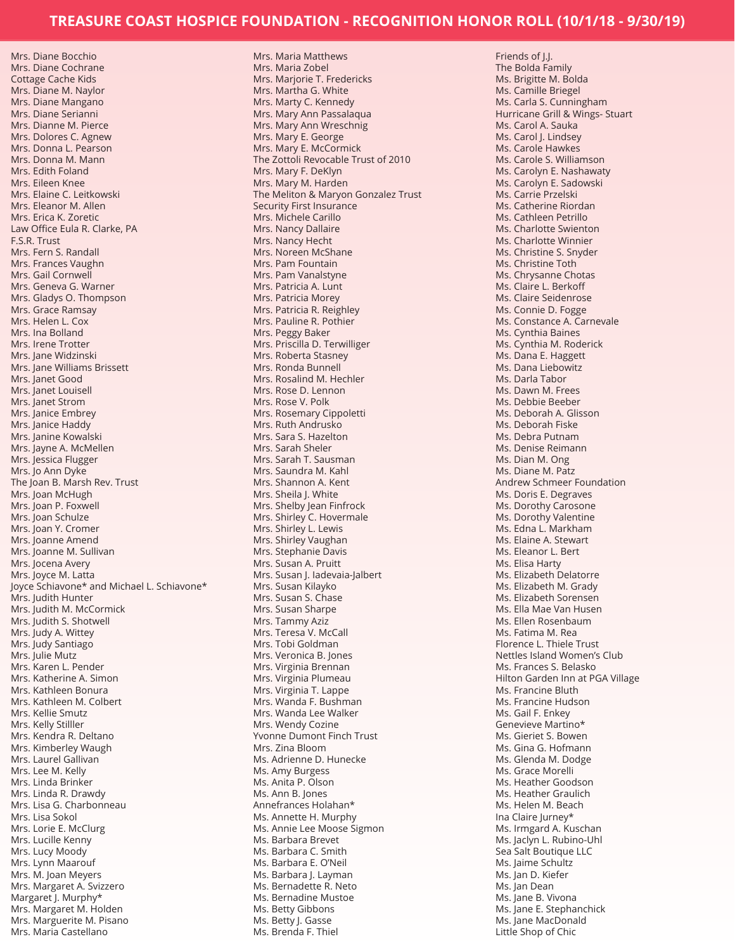Mrs. Maria Matthews

Mrs. Diane Bocchio Mrs. Diane Cochrane Cottage Cache Kids Mrs. Diane M. Naylor Mrs. Diane Mangano Mrs. Diane Serianni Mrs. Dianne M. Pierce Mrs. Dolores C. Agnew Mrs. Donna L. Pearson Mrs. Donna M. Mann Mrs. Edith Foland Mrs. Eileen Knee Mrs. Elaine C. Leitkowski Mrs. Eleanor M. Allen Mrs. Erica K. Zoretic Law Office Eula R. Clarke, PA F.S.R. Trust Mrs. Fern S. Randall Mrs. Frances Vaughn Mrs. Gail Cornwell Mrs. Geneva G. Warner Mrs. Gladys O. Thompson Mrs. Grace Ramsay Mrs. Helen L. Cox Mrs. Ina Bolland Mrs. Irene Trotter Mrs. Jane Widzinski Mrs. Jane Williams Brissett Mrs. Janet Good Mrs. Janet Louisell Mrs. Janet Strom Mrs. Janice Embrey Mrs. Janice Haddy Mrs. Janine Kowalski Mrs. Jayne A. McMellen Mrs. Jessica Flugger Mrs. Jo Ann Dyke The Joan B. Marsh Rev. Trust Mrs. Joan McHugh Mrs. Joan P. Foxwell Mrs. Joan Schulze Mrs. Joan Y. Cromer Mrs. Joanne Amend Mrs. Joanne M. Sullivan Mrs. Jocena Avery Mrs. Joyce M. Latta Joyce Schiavone\* and Michael L. Schiavone\* Mrs. Judith Hunter Mrs. Judith M. McCormick Mrs. Judith S. Shotwell Mrs. Judy A. Wittey Mrs. Judy Santiago Mrs. Julie Mutz Mrs. Karen L. Pender Mrs. Katherine A. Simon Mrs. Kathleen Bonura Mrs. Kathleen M. Colbert Mrs. Kellie Smutz Mrs. Kelly Stilller Mrs. Kendra R. Deltano Mrs. Kimberley Waugh Mrs. Laurel Gallivan Mrs. Lee M. Kelly Mrs. Linda Brinker Mrs. Linda R. Drawdy Mrs. Lisa G. Charbonneau Mrs. Lisa Sokol Mrs. Lorie E. McClurg Mrs. Lucille Kenny Mrs. Lucy Moody Mrs. Lynn Maarouf Mrs. M. Joan Meyers Mrs. Margaret A. Svizzero Margaret J. Murphy\* Mrs. Margaret M. Holden Mrs. Marguerite M. Pisano

Mrs. Maria Castellano

Mrs. Maria Zobel Mrs. Marjorie T. Fredericks Mrs. Martha G. White Mrs. Marty C. Kennedy Mrs. Mary Ann Passalaqua Mrs. Mary Ann Wreschnig Mrs. Mary E. George Mrs. Mary E. McCormick The Zottoli Revocable Trust of 2010 Mrs. Mary F. DeKlyn Mrs. Mary M. Harden The Meliton & Maryon Gonzalez Trust Security First Insurance Mrs. Michele Carillo Mrs. Nancy Dallaire Mrs. Nancy Hecht Mrs. Noreen McShane Mrs. Pam Fountain Mrs. Pam Vanalstyne Mrs. Patricia A. Lunt Mrs. Patricia Morey Mrs. Patricia R. Reighley Mrs. Pauline R. Pothier Mrs. Peggy Baker Mrs. Priscilla D. Terwilliger Mrs. Roberta Stasney Mrs. Ronda Bunnell Mrs. Rosalind M. Hechler Mrs. Rose D. Lennon Mrs. Rose V. Polk Mrs. Rosemary Cippoletti Mrs. Ruth Andrusko Mrs. Sara S. Hazelton Mrs. Sarah Sheler Mrs. Sarah T. Sausman Mrs. Saundra M. Kahl Mrs. Shannon A. Kent Mrs. Sheila J. White Mrs. Shelby Jean Finfrock Mrs. Shirley C. Hovermale Mrs. Shirley L. Lewis Mrs. Shirley Vaughan Mrs. Stephanie Davis Mrs. Susan A. Pruitt Mrs. Susan J. Iadevaia-Jalbert Mrs. Susan Kilayko Mrs. Susan S. Chase Mrs. Susan Sharpe Mrs. Tammy Aziz Mrs. Teresa V. McCall Mrs. Tobi Goldman Mrs. Veronica B. Jones Mrs. Virginia Brennan Mrs. Virginia Plumeau Mrs. Virginia T. Lappe Mrs. Wanda F. Bushman Mrs. Wanda Lee Walker Mrs. Wendy Cozine Yvonne Dumont Finch Trust Mrs. Zina Bloom Ms. Adrienne D. Hunecke Ms. Amy Burgess Ms. Anita P. Olson Ms. Ann B. Jones Annefrances Holahan\* Ms. Annette H. Murphy Ms. Annie Lee Moose Sigmon Ms. Barbara Brevet Ms. Barbara C. Smith Ms. Barbara E. O'Neil Ms. Barbara J. Layman Ms. Bernadette R. Neto Ms. Bernadine Mustoe Ms. Betty Gibbons Ms. Betty J. Gasse Ms. Brenda F. Thiel

Friends of J.J. The Bolda Family Ms. Brigitte M. Bolda Ms. Camille Briegel Ms. Carla S. Cunningham Hurricane Grill & Wings- Stuart Ms. Carol A. Sauka Ms. Carol I. Lindsey Ms. Carole Hawkes Ms. Carole S. Williamson Ms. Carolyn E. Nashawaty Ms. Carolyn E. Sadowski Ms. Carrie Przelski Ms. Catherine Riordan Ms. Cathleen Petrillo Ms. Charlotte Swienton Ms. Charlotte Winnier Ms. Christine S. Snyder Ms. Christine Toth Ms. Chrysanne Chotas Ms. Claire L. Berkoff Ms. Claire Seidenrose Ms. Connie D. Fogge Ms. Constance A. Carnevale Ms. Cynthia Baines Ms. Cynthia M. Roderick Ms. Dana E. Haggett Ms. Dana Liebowitz Ms. Darla Tabor Ms. Dawn M. Frees Ms. Debbie Beeber Ms. Deborah A. Glisson Ms. Deborah Fiske Ms. Debra Putnam Ms. Denise Reimann Ms. Dian M. Ong Ms. Diane M. Patz Andrew Schmeer Foundation Ms. Doris E. Degraves Ms. Dorothy Carosone Ms. Dorothy Valentine Ms. Edna L. Markham Ms. Elaine A. Stewart Ms. Eleanor L. Bert Ms. Elisa Harty Ms. Elizabeth Delatorre Ms. Elizabeth M. Grady Ms. Elizabeth Sorensen Ms. Ella Mae Van Husen Ms. Ellen Rosenbaum Ms. Fatima M. Rea Florence L. Thiele Trust Nettles Island Women's Club Ms. Frances S. Belasko Hilton Garden Inn at PGA Village Ms. Francine Bluth Ms. Francine Hudson Ms. Gail F. Enkey Genevieve Martino\* Ms. Gieriet S. Bowen Ms. Gina G. Hofmann Ms. Glenda M. Dodge Ms. Grace Morelli Ms. Heather Goodson Ms. Heather Graulich Ms. Helen M. Beach Ina Claire Jurney\* Ms. Irmgard A. Kuschan Ms. Jaclyn L. Rubino-Uhl Sea Salt Boutique LLC Ms. Jaime Schultz Ms. Jan D. Kiefer Ms. Jan Dean Ms. Jane B. Vivona Ms. Jane E. Stephanchick Ms. Jane MacDonald Little Shop of Chic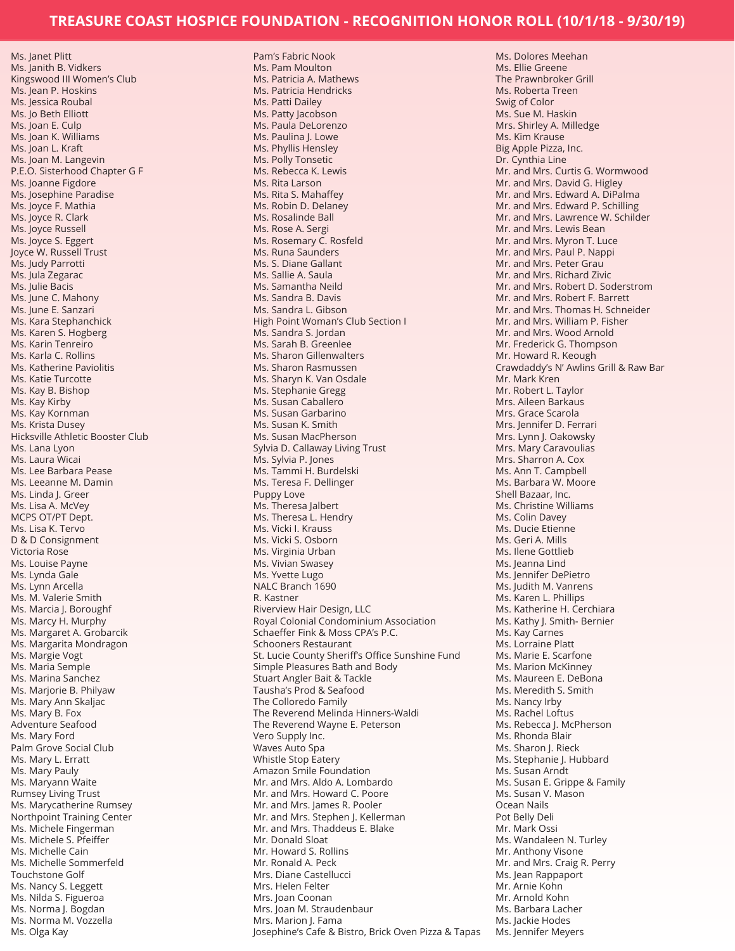Ms. Janet Plitt Ms. Janith B. Vidkers Kingswood III Women's Club Ms. Jean P. Hoskins Ms. Jessica Roubal Ms. Jo Beth Elliott Ms. Joan E. Culp Ms. Joan K. Williams Ms. Joan L. Kraft Ms. Joan M. Langevin P.E.O. Sisterhood Chapter G F Ms. Joanne Figdore Ms. Josephine Paradise Ms. Joyce F. Mathia Ms. Joyce R. Clark Ms. Joyce Russell Ms. Joyce S. Eggert Joyce W. Russell Trust Ms. Judy Parrotti Ms. Jula Zegarac Ms. Julie Bacis Ms. June C. Mahony Ms. June E. Sanzari Ms. Kara Stephanchick Ms. Karen S. Hogberg Ms. Karin Tenreiro Ms. Karla C. Rollins Ms. Katherine Paviolitis Ms. Katie Turcotte Ms. Kay B. Bishop Ms. Kay Kirby Ms. Kay Kornman Ms. Krista Dusey Hicksville Athletic Booster Club Ms. Lana Lyon Ms. Laura Wicai Ms. Lee Barbara Pease Ms. Leeanne M. Damin Ms. Linda J. Greer Ms. Lisa A. McVey MCPS OT/PT Dept. Ms. Lisa K. Tervo D & D Consignment Victoria Rose Ms. Louise Payne Ms. Lynda Gale Ms. Lynn Arcella Ms. M. Valerie Smith Ms. Marcia J. Boroughf Ms. Marcy H. Murphy Ms. Margaret A. Grobarcik Ms. Margarita Mondragon Ms. Margie Vogt Ms. Maria Semple Ms. Marina Sanchez Ms. Marjorie B. Philyaw Ms. Mary Ann Skaljac Ms. Mary B. Fox Adventure Seafood Ms. Mary Ford Palm Grove Social Club Ms. Mary L. Erratt Ms. Mary Pauly Ms. Maryann Waite Rumsey Living Trust Ms. Marycatherine Rumsey Northpoint Training Center Ms. Michele Fingerman Ms. Michele S. Pfeiffer Ms. Michelle Cain Ms. Michelle Sommerfeld Touchstone Golf Ms. Nancy S. Leggett Ms. Nilda S. Figueroa Ms. Norma J. Bogdan Ms. Norma M. Vozzella Ms. Olga Kay

Pam's Fabric Nook Ms. Pam Moulton Ms. Patricia A. Mathews Ms. Patricia Hendricks Ms. Patti Dailey Ms. Patty Jacobson Ms. Paula DeLorenzo Ms. Paulina J. Lowe Ms. Phyllis Hensley Ms. Polly Tonsetic Ms. Rebecca K. Lewis Ms. Rita Larson Ms. Rita S. Mahaffey Ms. Robin D. Delaney Ms. Rosalinde Ball Ms. Rose A. Sergi Ms. Rosemary C. Rosfeld Ms. Runa Saunders Ms. S. Diane Gallant Ms. Sallie A. Saula Ms. Samantha Neild Ms. Sandra B. Davis Ms. Sandra L. Gibson High Point Woman's Club Section I Ms. Sandra S. Jordan Ms. Sarah B. Greenlee Ms. Sharon Gillenwalters Ms. Sharon Rasmussen Ms. Sharyn K. Van Osdale Ms. Stephanie Gregg Ms. Susan Caballero Ms. Susan Garbarino Ms. Susan K. Smith Ms. Susan MacPherson Sylvia D. Callaway Living Trust Ms. Sylvia P. Jones Ms. Tammi H. Burdelski Ms. Teresa F. Dellinger Puppy Love Ms. Theresa Jalbert Ms. Theresa L. Hendry Ms. Vicki I. Krauss Ms. Vicki S. Osborn Ms. Virginia Urban Ms. Vivian Swasey Ms. Yvette Lugo NALC Branch 1690 R. Kastner Riverview Hair Design, LLC Royal Colonial Condominium Association Schaeffer Fink & Moss CPA's P.C. Schooners Restaurant St. Lucie County Sheriff's Office Sunshine Fund Simple Pleasures Bath and Body Stuart Angler Bait & Tackle Tausha's Prod & Seafood The Colloredo Family The Reverend Melinda Hinners-Waldi The Reverend Wayne E. Peterson Vero Supply Inc. Waves Auto Spa Whistle Stop Eatery Amazon Smile Foundation Mr. and Mrs. Aldo A. Lombardo Mr. and Mrs. Howard C. Poore Mr. and Mrs. James R. Pooler Mr. and Mrs. Stephen J. Kellerman Mr. and Mrs. Thaddeus E. Blake Mr. Donald Sloat Mr. Howard S. Rollins Mr. Ronald A. Peck Mrs. Diane Castellucci Mrs. Helen Felter Mrs. Joan Coonan Mrs. Joan M. Straudenbaur Mrs. Marion J. Fama Josephine's Cafe & Bistro, Brick Oven Pizza & Tapas

Ms. Dolores Meehan Ms. Ellie Greene The Prawnbroker Grill Ms. Roberta Treen Swig of Color Ms. Sue M. Haskin Mrs. Shirley A. Milledge Ms. Kim Krause Big Apple Pizza, Inc. Dr. Cynthia Line Mr. and Mrs. Curtis G. Wormwood Mr. and Mrs. David G. Higley Mr. and Mrs. Edward A. DiPalma Mr. and Mrs. Edward P. Schilling Mr. and Mrs. Lawrence W. Schilder Mr. and Mrs. Lewis Bean Mr. and Mrs. Myron T. Luce Mr. and Mrs. Paul P. Nappi Mr. and Mrs. Peter Grau Mr. and Mrs. Richard Zivic Mr. and Mrs. Robert D. Soderstrom Mr. and Mrs. Robert F. Barrett Mr. and Mrs. Thomas H. Schneider Mr. and Mrs. William P. Fisher Mr. and Mrs. Wood Arnold Mr. Frederick G. Thompson Mr. Howard R. Keough Crawdaddy's N' Awlins Grill & Raw Bar Mr. Mark Kren Mr. Robert L. Taylor Mrs. Aileen Barkaus Mrs. Grace Scarola Mrs. Jennifer D. Ferrari Mrs. Lynn J. Oakowsky Mrs. Mary Caravoulias Mrs. Sharron A. Cox Ms. Ann T. Campbell Ms. Barbara W. Moore Shell Bazaar, Inc. Ms. Christine Williams Ms. Colin Davey Ms. Ducie Etienne Ms. Geri A. Mills Ms. Ilene Gottlieb Ms. Jeanna Lind Ms. Jennifer DePietro Ms. Judith M. Vanrens Ms. Karen L. Phillips Ms. Katherine H. Cerchiara Ms. Kathy J. Smith- Bernier Ms. Kay Carnes Ms. Lorraine Platt Ms. Marie E. Scarfone Ms. Marion McKinney Ms. Maureen E. DeBona Ms. Meredith S. Smith Ms. Nancy Irby Ms. Rachel Loftus Ms. Rebecca J. McPherson Ms. Rhonda Blair Ms. Sharon J. Rieck Ms. Stephanie J. Hubbard Ms. Susan Arndt Ms. Susan E. Grippe & Family Ms. Susan V. Mason Ocean Nails Pot Belly Deli Mr. Mark Ossi Ms. Wandaleen N. Turley Mr. Anthony Visone Mr. and Mrs. Craig R. Perry Ms. Jean Rappaport Mr. Arnie Kohn Mr. Arnold Kohn Ms. Barbara Lacher Ms. Jackie Hodes Ms. Jennifer Meyers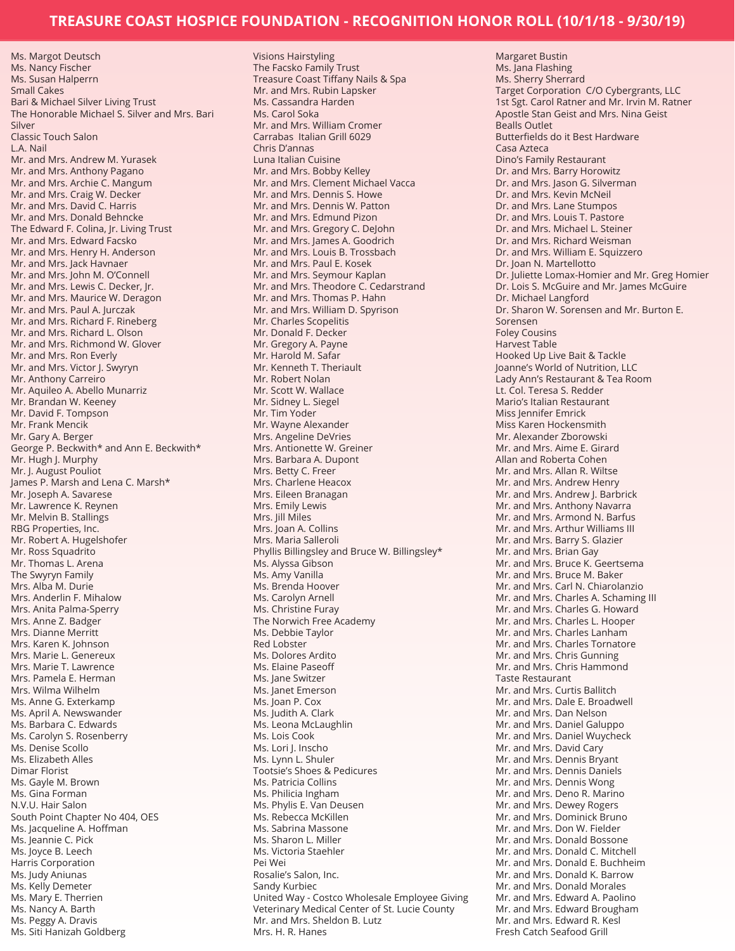Ms. Margot Deutsch Ms. Nancy Fischer Ms. Susan Halperrn Small Cakes Bari & Michael Silver Living Trust The Honorable Michael S. Silver and Mrs. Bari Silver Classic Touch Salon L.A. Nail Mr. and Mrs. Andrew M. Yurasek Mr. and Mrs. Anthony Pagano Mr. and Mrs. Archie C. Mangum Mr. and Mrs. Craig W. Decker Mr. and Mrs. David C. Harris Mr. and Mrs. Donald Behncke The Edward F. Colina, Jr. Living Trust Mr. and Mrs. Edward Facsko Mr. and Mrs. Henry H. Anderson Mr. and Mrs. Jack Havnaer Mr. and Mrs. John M. O'Connell Mr. and Mrs. Lewis C. Decker, Jr. Mr. and Mrs. Maurice W. Deragon Mr. and Mrs. Paul A. Jurczak Mr. and Mrs. Richard F. Rineberg Mr. and Mrs. Richard L. Olson Mr. and Mrs. Richmond W. Glover Mr. and Mrs. Ron Everly Mr. and Mrs. Victor J. Swyryn Mr. Anthony Carreiro Mr. Aquileo A. Abello Munarriz Mr. Brandan W. Keeney Mr. David F. Tompson Mr. Frank Mencik Mr. Gary A. Berger George P. Beckwith\* and Ann E. Beckwith\* Mr. Hugh J. Murphy Mr. J. August Pouliot James P. Marsh and Lena C. Marsh\* Mr. Joseph A. Savarese Mr. Lawrence K. Reynen Mr. Melvin B. Stallings RBG Properties, Inc. Mr. Robert A. Hugelshofer Mr. Ross Squadrito Mr. Thomas L. Arena The Swyryn Family Mrs. Alba M. Durie Mrs. Anderlin F. Mihalow Mrs. Anita Palma-Sperry Mrs. Anne Z. Badger Mrs. Dianne Merritt Mrs. Karen K. Johnson Mrs. Marie L. Genereux Mrs. Marie T. Lawrence Mrs. Pamela E. Herman Mrs. Wilma Wilhelm Ms. Anne G. Exterkamp Ms. April A. Newswander Ms. Barbara C. Edwards Ms. Carolyn S. Rosenberry Ms. Denise Scollo Ms. Elizabeth Alles Dimar Florist Ms. Gayle M. Brown Ms. Gina Forman N.V.U. Hair Salon South Point Chapter No 404, OES Ms. Jacqueline A. Hoffman Ms. Jeannie C. Pick Ms. Joyce B. Leech Harris Corporation Ms. Judy Aniunas Ms. Kelly Demeter Ms. Mary E. Therrien Ms. Nancy A. Barth Ms. Peggy A. Dravis Ms. Siti Hanizah Goldberg

Visions Hairstyling The Facsko Family Trust Treasure Coast Tiffany Nails & Spa Mr. and Mrs. Rubin Lapsker Ms. Cassandra Harden Ms. Carol Soka Mr. and Mrs. William Cromer Carrabas Italian Grill 6029 Chris D'annas Luna Italian Cuisine Mr. and Mrs. Bobby Kelley Mr. and Mrs. Clement Michael Vacca Mr. and Mrs. Dennis S. Howe Mr. and Mrs. Dennis W. Patton Mr. and Mrs. Edmund Pizon Mr. and Mrs. Gregory C. DeJohn Mr. and Mrs. James A. Goodrich Mr. and Mrs. Louis B. Trossbach Mr. and Mrs. Paul E. Kosek Mr. and Mrs. Seymour Kaplan Mr. and Mrs. Theodore C. Cedarstrand Mr. and Mrs. Thomas P. Hahn Mr. and Mrs. William D. Spyrison Mr. Charles Scopelitis Mr. Donald F. Decker Mr. Gregory A. Payne Mr. Harold M. Safar Mr. Kenneth T. Theriault Mr. Robert Nolan Mr. Scott W. Wallace Mr. Sidney L. Siegel Mr. Tim Yoder Mr. Wayne Alexander Mrs. Angeline DeVries Mrs. Antionette W. Greiner Mrs. Barbara A. Dupont Mrs. Betty C. Freer Mrs. Charlene Heacox Mrs. Eileen Branagan Mrs. Emily Lewis Mrs. Jill Miles Mrs. Joan A. Collins Mrs. Maria Salleroli Phyllis Billingsley and Bruce W. Billingsley\* Ms. Alyssa Gibson Ms. Amy Vanilla Ms. Brenda Hoover Ms. Carolyn Arnell Ms. Christine Furay The Norwich Free Academy Ms. Debbie Taylor Red Lobster Ms. Dolores Ardito Ms. Elaine Paseoff Ms. Jane Switzer Ms. Janet Emerson Ms. Joan P. Cox Ms. Judith A. Clark Ms. Leona McLaughlin Ms. Lois Cook Ms. Lori J. Inscho Ms. Lynn L. Shuler Tootsie's Shoes & Pedicures Ms. Patricia Collins Ms. Philicia Ingham Ms. Phylis E. Van Deusen Ms. Rebecca McKillen Ms. Sabrina Massone Ms. Sharon L. Miller Ms. Victoria Staehler Pei Wei Rosalie's Salon, Inc. Sandy Kurbiec United Way - Costco Wholesale Employee Giving Veterinary Medical Center of St. Lucie County Mr. and Mrs. Sheldon B. Lutz Mrs. H. R. Hanes

Margaret Bustin Ms. Jana Flashing Ms. Sherry Sherrard Target Corporation C/O Cybergrants, LLC 1st Sgt. Carol Ratner and Mr. Irvin M. Ratner Apostle Stan Geist and Mrs. Nina Geist Bealls Outlet Butterfields do it Best Hardware Casa Azteca Dino's Family Restaurant Dr. and Mrs. Barry Horowitz Dr. and Mrs. Jason G. Silverman Dr. and Mrs. Kevin McNeil Dr. and Mrs. Lane Stumpos Dr. and Mrs. Louis T. Pastore Dr. and Mrs. Michael L. Steiner Dr. and Mrs. Richard Weisman Dr. and Mrs. William E. Squizzero Dr. Joan N. Martellotto Dr. Juliette Lomax-Homier and Mr. Greg Homier Dr. Lois S. McGuire and Mr. James McGuire Dr. Michael Langford Dr. Sharon W. Sorensen and Mr. Burton E. Sorensen Foley Cousins Harvest Table Hooked Up Live Bait & Tackle Joanne's World of Nutrition, LLC Lady Ann's Restaurant & Tea Room Lt. Col. Teresa S. Redder Mario's Italian Restaurant Miss Jennifer Emrick Miss Karen Hockensmith Mr. Alexander Zborowski Mr. and Mrs. Aime E. Girard Allan and Roberta Cohen Mr. and Mrs. Allan R. Wiltse Mr. and Mrs. Andrew Henry Mr. and Mrs. Andrew J. Barbrick Mr. and Mrs. Anthony Navarra Mr. and Mrs. Armond N. Barfus Mr. and Mrs. Arthur Williams III Mr. and Mrs. Barry S. Glazier Mr. and Mrs. Brian Gay Mr. and Mrs. Bruce K. Geertsema Mr. and Mrs. Bruce M. Baker Mr. and Mrs. Carl N. Chiarolanzio Mr. and Mrs. Charles A. Schaming III Mr. and Mrs. Charles G. Howard Mr. and Mrs. Charles L. Hooper Mr. and Mrs. Charles Lanham Mr. and Mrs. Charles Tornatore Mr. and Mrs. Chris Gunning Mr. and Mrs. Chris Hammond Taste Restaurant Mr. and Mrs. Curtis Ballitch Mr. and Mrs. Dale E. Broadwell Mr. and Mrs. Dan Nelson Mr. and Mrs. Daniel Galuppo Mr. and Mrs. Daniel Wuycheck Mr. and Mrs. David Cary Mr. and Mrs. Dennis Bryant Mr. and Mrs. Dennis Daniels Mr. and Mrs. Dennis Wong Mr. and Mrs. Deno R. Marino Mr. and Mrs. Dewey Rogers Mr. and Mrs. Dominick Bruno Mr. and Mrs. Don W. Fielder Mr. and Mrs. Donald Bossone Mr. and Mrs. Donald C. Mitchell Mr. and Mrs. Donald E. Buchheim Mr. and Mrs. Donald K. Barrow Mr. and Mrs. Donald Morales Mr. and Mrs. Edward A. Paolino Mr. and Mrs. Edward Brougham Mr. and Mrs. Edward R. Kesl Fresh Catch Seafood Grill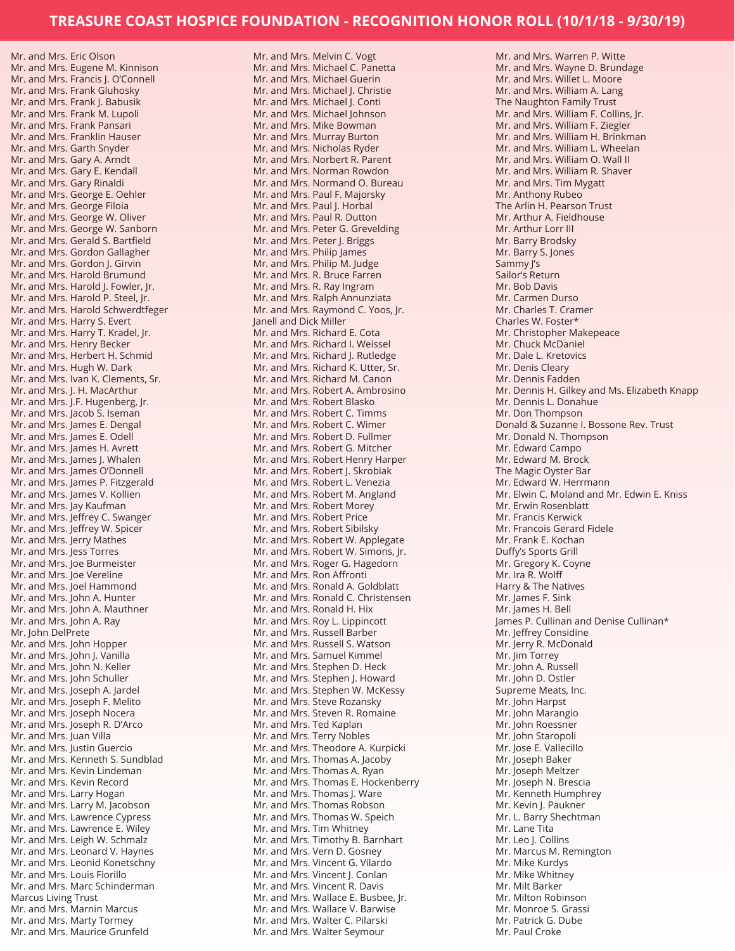Mr. and Mrs. Eugene M. Kinnison Mr. and Mrs. Francis J. O'Connell Mr. and Mrs. Frank Gluhosky Mr. and Mrs. Frank J. Babusik Mr. and Mrs. Frank M. Lupoli Mr. and Mrs. Frank Pansari Mr. and Mrs. Franklin Hauser Mr. and Mrs. Garth Snyder Mr. and Mrs. Gary A. Arndt Mr. and Mrs. Gary E. Kendall Mr. and Mrs. Gary Rinaldi Mr. and Mrs. George E. Oehler Mr. and Mrs. George Filoia Mr. and Mrs. George W. Oliver Mr. and Mrs. George W. Sanborn Mr. and Mrs. Gerald S. Bartfield Mr. and Mrs. Gordon Gallagher Mr. and Mrs. Gordon J. Girvin Mr. and Mrs. Harold Brumund Mr. and Mrs. Harold J. Fowler, Jr. Mr. and Mrs. Harold P. Steel, Jr. Mr. and Mrs. Harold Schwerdtfeger Mr. and Mrs. Harry S. Evert Mr. and Mrs. Harry T. Kradel, Jr. Mr. and Mrs. Henry Becker Mr. and Mrs. Herbert H. Schmid Mr. and Mrs. Hugh W. Dark Mr. and Mrs. Ivan K. Clements, Sr. Mr. and Mrs. J. H. MacArthur Mr. and Mrs. J.F. Hugenberg, Jr. Mr. and Mrs. Jacob S. Iseman Mr. and Mrs. James E. Dengal Mr. and Mrs. James E. Odell Mr. and Mrs. James H. Avrett Mr. and Mrs. James J. Whalen Mr. and Mrs. James O'Donnell Mr. and Mrs. James P. Fitzgerald Mr. and Mrs. James V. Kollien Mr. and Mrs. Jay Kaufman Mr. and Mrs. Jeffrey C. Swanger Mr. and Mrs. Jeffrey W. Spicer Mr. and Mrs. Jerry Mathes Mr. and Mrs. Jess Torres Mr. and Mrs. Joe Burmeister Mr. and Mrs. Joe Vereline Mr. and Mrs. Joel Hammond Mr. and Mrs. John A. Hunter Mr. and Mrs. John A. Mauthner Mr. and Mrs. John A. Ray Mr. John DelPrete Mr. and Mrs. John Hopper Mr. and Mrs. John J. Vanilla Mr. and Mrs. John N. Keller Mr. and Mrs. John Schuller Mr. and Mrs. Joseph A. Jardel Mr. and Mrs. Joseph F. Melito Mr. and Mrs. Joseph Nocera Mr. and Mrs. Joseph R. D'Arco Mr. and Mrs. Juan Villa Mr. and Mrs. Justin Guercio Mr. and Mrs. Kenneth S. Sundblad Mr. and Mrs. Kevin Lindeman Mr. and Mrs. Kevin Record Mr. and Mrs. Larry Hogan Mr. and Mrs. Larry M. Jacobson Mr. and Mrs. Lawrence Cypress Mr. and Mrs. Lawrence E. Wiley Mr. and Mrs. Leigh W. Schmalz Mr. and Mrs. Leonard V. Haynes Mr. and Mrs. Leonid Konetschny Mr. and Mrs. Louis Fiorillo Mr. and Mrs. Marc Schinderman Marcus Living Trust Mr. and Mrs. Marnin Marcus Mr. and Mrs. Marty Tormey Mr. and Mrs. Maurice Grunfeld

Mr. and Mrs. Eric Olson

Mr. and Mrs. Melvin C. Vogt Mr. and Mrs. Michael C. Panetta Mr. and Mrs. Michael Guerin Mr. and Mrs. Michael J. Christie Mr. and Mrs. Michael J. Conti Mr. and Mrs. Michael Johnson Mr. and Mrs. Mike Bowman Mr. and Mrs. Murray Burton Mr. and Mrs. Nicholas Ryder Mr. and Mrs. Norbert R. Parent Mr. and Mrs. Norman Rowdon Mr. and Mrs. Normand O. Bureau Mr. and Mrs. Paul F. Majorsky Mr. and Mrs. Paul J. Horbal Mr. and Mrs. Paul R. Dutton Mr. and Mrs. Peter G. Grevelding Mr. and Mrs. Peter J. Briggs Mr. and Mrs. Philip James Mr. and Mrs. Philip M. Judge Mr. and Mrs. R. Bruce Farren Mr. and Mrs. R. Ray Ingram Mr. and Mrs. Ralph Annunziata Mr. and Mrs. Raymond C. Yoos, Jr. Janell and Dick Miller Mr. and Mrs. Richard E. Cota Mr. and Mrs. Richard I. Weissel Mr. and Mrs. Richard J. Rutledge Mr. and Mrs. Richard K. Utter, Sr. Mr. and Mrs. Richard M. Canon Mr. and Mrs. Robert A. Ambrosino Mr. and Mrs. Robert Blasko Mr. and Mrs. Robert C. Timms Mr. and Mrs. Robert C. Wimer Mr. and Mrs. Robert D. Fullmer Mr. and Mrs. Robert G. Mitcher Mr. and Mrs. Robert Henry Harper Mr. and Mrs. Robert J. Skrobiak Mr. and Mrs. Robert L. Venezia Mr. and Mrs. Robert M. Angland Mr. and Mrs. Robert Morey Mr. and Mrs. Robert Price Mr. and Mrs. Robert Sibilsky Mr. and Mrs. Robert W. Applegate Mr. and Mrs. Robert W. Simons, Jr. Mr. and Mrs. Roger G. Hagedorn Mr. and Mrs. Ron Affronti Mr. and Mrs. Ronald A. Goldblatt Mr. and Mrs. Ronald C. Christensen Mr. and Mrs. Ronald H. Hix Mr. and Mrs. Roy L. Lippincott Mr. and Mrs. Russell Barber Mr. and Mrs. Russell S. Watson Mr. and Mrs. Samuel Kimmel Mr. and Mrs. Stephen D. Heck Mr. and Mrs. Stephen J. Howard Mr. and Mrs. Stephen W. McKessy Mr. and Mrs. Steve Rozansky Mr. and Mrs. Steven R. Romaine Mr. and Mrs. Ted Kaplan Mr. and Mrs. Terry Nobles Mr. and Mrs. Theodore A. Kurpicki Mr. and Mrs. Thomas A. Jacoby Mr. and Mrs. Thomas A. Ryan Mr. and Mrs. Thomas E. Hockenberry Mr. and Mrs. Thomas J. Ware Mr. and Mrs. Thomas Robson Mr. and Mrs. Thomas W. Speich Mr. and Mrs. Tim Whitney Mr. and Mrs. Timothy B. Barnhart Mr. and Mrs. Vern D. Gosney Mr. and Mrs. Vincent G. Vilardo Mr. and Mrs. Vincent I. Conlan Mr. and Mrs. Vincent R. Davis Mr. and Mrs. Wallace E. Busbee, Jr. Mr. and Mrs. Wallace V. Barwise Mr. and Mrs. Walter C. Pilarski Mr. and Mrs. Walter Seymour

Mr. and Mrs. Warren P. Witte Mr. and Mrs. Wayne D. Brundage Mr. and Mrs. Willet L. Moore Mr. and Mrs. William A. Lang The Naughton Family Trust Mr. and Mrs. William F. Collins, Jr. Mr. and Mrs. William F. Ziegler Mr. and Mrs. William H. Brinkman Mr. and Mrs. William L. Wheelan Mr. and Mrs. William O. Wall II Mr. and Mrs. William R. Shaver Mr. and Mrs. Tim Mygatt Mr. Anthony Rubeo The Arlin H. Pearson Trust Mr. Arthur A. Fieldhouse Mr. Arthur Lorr III Mr. Barry Brodsky Mr. Barry S. Jones Sammy J's Sailor's Return Mr. Bob Davis Mr. Carmen Durso Mr. Charles T. Cramer Charles W. Foster\* Mr. Christopher Makepeace Mr. Chuck McDaniel Mr. Dale L. Kretovics Mr. Denis Cleary Mr. Dennis Fadden Mr. Dennis H. Gilkey and Ms. Elizabeth Knapp Mr. Dennis L. Donahue Mr. Don Thompson Donald & Suzanne I. Bossone Rev. Trust Mr. Donald N. Thompson Mr. Edward Campo Mr. Edward M. Brock The Magic Oyster Bar Mr. Edward W. Herrmann Mr. Elwin C. Moland and Mr. Edwin E. Kniss Mr. Erwin Rosenblatt Mr. Francis Kerwick Mr. Francois Gerard Fidele Mr. Frank E. Kochan Duffy's Sports Grill Mr. Gregory K. Coyne Mr. Ira R. Wolff Harry & The Natives Mr. James F. Sink Mr. James H. Bell James P. Cullinan and Denise Cullinan\* Mr. Jeffrey Considine Mr. Jerry R. McDonald Mr. Jim Torrey Mr. John A. Russell Mr. John D. Ostler Supreme Meats, Inc. Mr. John Harpst Mr. John Marangio Mr. John Roessner Mr. John Staropoli Mr. Jose E. Vallecillo Mr. Joseph Baker Mr. Joseph Meltzer Mr. Joseph N. Brescia Mr. Kenneth Humphrey Mr. Kevin J. Paukner Mr. L. Barry Shechtman Mr. Lane Tita Mr. Leo J. Collins Mr. Marcus M. Remington Mr. Mike Kurdys Mr. Mike Whitney Mr. Milt Barker Mr. Milton Robinson Mr. Monroe S. Grassi Mr. Patrick G. Dube Mr. Paul Croke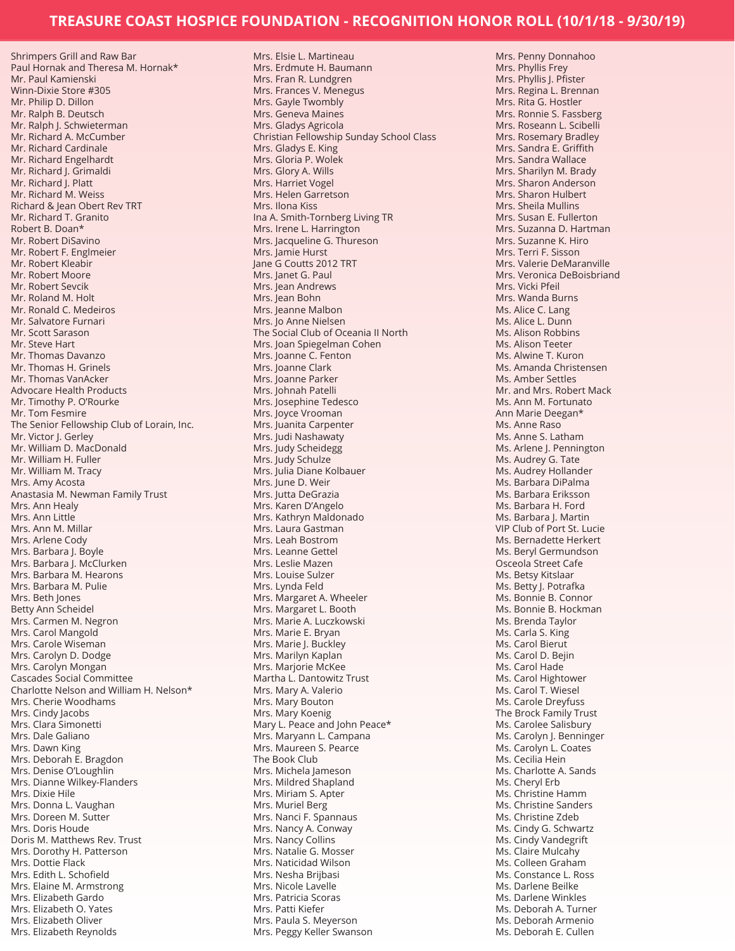Shrimpers Grill and Raw Bar Paul Hornak and Theresa M. Hornak\* Mr. Paul Kamienski Winn-Dixie Store #305 Mr. Philip D. Dillon Mr. Ralph B. Deutsch Mr. Ralph J. Schwieterman Mr. Richard A. McCumber Mr. Richard Cardinale Mr. Richard Engelhardt Mr. Richard J. Grimaldi Mr. Richard J. Platt Mr. Richard M. Weiss Richard & Jean Obert Rev TRT Mr. Richard T. Granito Robert B. Doan\* Mr. Robert DiSavino Mr. Robert F. Englmeier Mr. Robert Kleabir Mr. Robert Moore Mr. Robert Sevcik Mr. Roland M. Holt Mr. Ronald C. Medeiros Mr. Salvatore Furnari Mr. Scott Sarason Mr. Steve Hart Mr. Thomas Davanzo Mr. Thomas H. Grinels Mr. Thomas VanAcker Advocare Health Products Mr. Timothy P. O'Rourke Mr. Tom Fesmire The Senior Fellowship Club of Lorain, Inc. Mr. Victor J. Gerley Mr. William D. MacDonald Mr. William H. Fuller Mr. William M. Tracy Mrs. Amy Acosta Anastasia M. Newman Family Trust Mrs. Ann Healy Mrs. Ann Little Mrs. Ann M. Millar Mrs. Arlene Cody Mrs. Barbara J. Boyle Mrs. Barbara J. McClurken Mrs. Barbara M. Hearons Mrs. Barbara M. Pulie Mrs. Beth Jones Betty Ann Scheidel Mrs. Carmen M. Negron Mrs. Carol Mangold Mrs. Carole Wiseman Mrs. Carolyn D. Dodge Mrs. Carolyn Mongan Cascades Social Committee Charlotte Nelson and William H. Nelson\* Mrs. Cherie Woodhams Mrs. Cindy Jacobs Mrs. Clara Simonetti Mrs. Dale Galiano Mrs. Dawn King Mrs. Deborah E. Bragdon Mrs. Denise O'Loughlin Mrs. Dianne Wilkey-Flanders Mrs. Dixie Hile Mrs. Donna L. Vaughan Mrs. Doreen M. Sutter Mrs. Doris Houde Doris M. Matthews Rev. Trust Mrs. Dorothy H. Patterson Mrs. Dottie Flack Mrs. Edith L. Schofield Mrs. Elaine M. Armstrong Mrs. Elizabeth Gardo Mrs. Elizabeth O. Yates Mrs. Elizabeth Oliver Mrs. Elizabeth Reynolds

Mrs. Elsie L. Martineau Mrs. Erdmute H. Baumann Mrs. Fran R. Lundgren Mrs. Frances V. Menegus Mrs. Gayle Twombly Mrs. Geneva Maines Mrs. Gladys Agricola Christian Fellowship Sunday School Class Mrs. Gladys E. King Mrs. Gloria P. Wolek Mrs. Glory A. Wills Mrs. Harriet Vogel Mrs. Helen Garretson Mrs. Ilona Kiss Ina A. Smith-Tornberg Living TR Mrs. Irene L. Harrington Mrs. Jacqueline G. Thureson Mrs. Jamie Hurst Jane G Coutts 2012 TRT Mrs. Janet G. Paul Mrs. Jean Andrews Mrs. Jean Bohn Mrs. Jeanne Malbon Mrs. Jo Anne Nielsen The Social Club of Oceania II North Mrs. Joan Spiegelman Cohen Mrs. Joanne C. Fenton Mrs. Joanne Clark Mrs. Joanne Parker Mrs. Johnah Patelli Mrs. Josephine Tedesco Mrs. Joyce Vrooman Mrs. Juanita Carpenter Mrs. Judi Nashawaty Mrs. Judy Scheidegg Mrs. Judy Schulze Mrs. Julia Diane Kolbauer Mrs. June D. Weir Mrs. Jutta DeGrazia Mrs. Karen D'Angelo Mrs. Kathryn Maldonado Mrs. Laura Gastman Mrs. Leah Bostrom Mrs. Leanne Gettel Mrs. Leslie Mazen Mrs. Louise Sulzer Mrs. Lynda Feld Mrs. Margaret A. Wheeler Mrs. Margaret L. Booth Mrs. Marie A. Luczkowski Mrs. Marie E. Bryan Mrs. Marie J. Buckley Mrs. Marilyn Kaplan Mrs. Marjorie McKee Martha L. Dantowitz Trust Mrs. Mary A. Valerio Mrs. Mary Bouton Mrs. Mary Koenig Mary L. Peace and John Peace\* Mrs. Maryann L. Campana Mrs. Maureen S. Pearce The Book Club Mrs. Michela Jameson Mrs. Mildred Shapland Mrs. Miriam S. Apter Mrs. Muriel Berg Mrs. Nanci F. Spannaus Mrs. Nancy A. Conway Mrs. Nancy Collins Mrs. Natalie G. Mosser Mrs. Naticidad Wilson Mrs. Nesha Brijbasi Mrs. Nicole Lavelle Mrs. Patricia Scoras Mrs. Patti Kiefer Mrs. Paula S. Meyerson Mrs. Peggy Keller Swanson

Mrs. Phyllis Frey Mrs. Phyllis J. Pfister Mrs. Regina L. Brennan Mrs. Rita G. Hostler Mrs. Ronnie S. Fassberg Mrs. Roseann L. Scibelli Mrs. Rosemary Bradley Mrs. Sandra E. Griffith Mrs. Sandra Wallace Mrs. Sharilyn M. Brady Mrs. Sharon Anderson Mrs. Sharon Hulbert Mrs. Sheila Mullins Mrs. Susan E. Fullerton Mrs. Suzanna D. Hartman Mrs. Suzanne K. Hiro Mrs. Terri F. Sisson Mrs. Valerie DeMaranville Mrs. Veronica DeBoisbriand Mrs. Vicki Pfeil Mrs. Wanda Burns Ms. Alice C. Lang Ms. Alice L. Dunn Ms. Alison Robbins Ms. Alison Teeter Ms. Alwine T. Kuron Ms. Amanda Christensen Ms. Amber Settles Mr. and Mrs. Robert Mack Ms. Ann M. Fortunato Ann Marie Deegan\* Ms. Anne Raso Ms. Anne S. Latham Ms. Arlene J. Pennington Ms. Audrey G. Tate Ms. Audrey Hollander Ms. Barbara DiPalma Ms. Barbara Eriksson Ms. Barbara H. Ford Ms. Barbara J. Martin VIP Club of Port St. Lucie Ms. Bernadette Herkert Ms. Beryl Germundson Osceola Street Cafe Ms. Betsy Kitslaar Ms. Betty J. Potrafka Ms. Bonnie B. Connor Ms. Bonnie B. Hockman Ms. Brenda Taylor Ms. Carla S. King Ms. Carol Bierut Ms. Carol D. Bejin Ms. Carol Hade Ms. Carol Hightower Ms. Carol T. Wiesel Ms. Carole Dreyfuss The Brock Family Trust Ms. Carolee Salisbury Ms. Carolyn J. Benninger Ms. Carolyn L. Coates Ms. Cecilia Hein Ms. Charlotte A. Sands Ms. Cheryl Erb Ms. Christine Hamm Ms. Christine Sanders Ms. Christine Zdeb Ms. Cindy G. Schwartz Ms. Cindy Vandegrift Ms. Claire Mulcahy Ms. Colleen Graham Ms. Constance L. Ross Ms. Darlene Beilke Ms. Darlene Winkles Ms. Deborah A. Turner Ms. Deborah Armenio Ms. Deborah E. Cullen

Mrs. Penny Donnahoo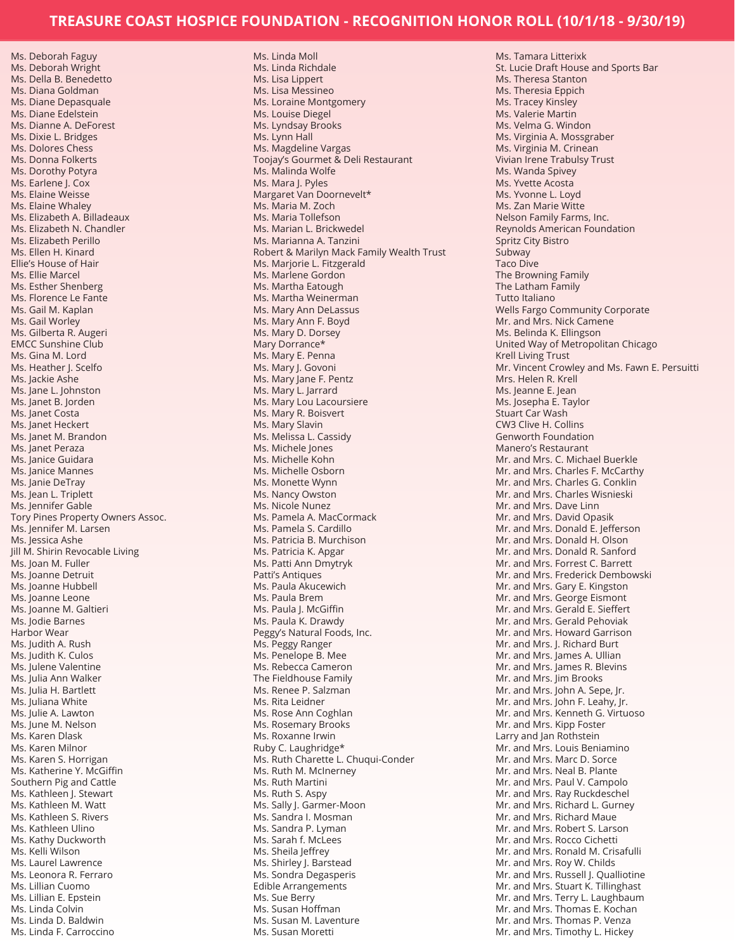Ms. Deborah Faguy Ms. Deborah Wright Ms. Della B. Benedetto Ms. Diana Goldman Ms. Diane Depasquale Ms. Diane Edelstein Ms. Dianne A. DeForest Ms. Dixie L. Bridges Ms. Dolores Chess Ms. Donna Folkerts Ms. Dorothy Potyra Ms. Earlene J. Cox Ms. Elaine Weisse Ms. Elaine Whaley Ms. Elizabeth A. Billadeaux Ms. Elizabeth N. Chandler Ms. Elizabeth Perillo Ms. Ellen H. Kinard Ellie's House of Hair Ms. Ellie Marcel Ms. Esther Shenberg Ms. Florence Le Fante Ms. Gail M. Kaplan Ms. Gail Worley Ms. Gilberta R. Augeri EMCC Sunshine Club Ms. Gina M. Lord Ms. Heather I. Scelfo Ms. Jackie Ashe Ms. Jane L. Johnston Ms. Janet B. Jorden Ms. Janet Costa Ms. Janet Heckert Ms. Janet M. Brandon Ms. Janet Peraza Ms. Janice Guidara Ms. Janice Mannes Ms. Janie DeTray Ms. Jean L. Triplett Ms. Jennifer Gable Tory Pines Property Owners Assoc. Ms. Jennifer M. Larsen Ms. Jessica Ashe Jill M. Shirin Revocable Living Ms. Joan M. Fuller Ms. Joanne Detruit Ms. Joanne Hubbell Ms. Joanne Leone Ms. Joanne M. Galtieri Ms. Jodie Barnes Harbor Wear Ms. Judith A. Rush Ms. Judith K. Culos Ms. Julene Valentine Ms. Julia Ann Walker Ms. Julia H. Bartlett Ms. Juliana White Ms. Julie A. Lawton Ms. June M. Nelson Ms. Karen Dlask Ms. Karen Milnor Ms. Karen S. Horrigan Ms. Katherine Y. McGiffin Southern Pig and Cattle Ms. Kathleen J. Stewart Ms. Kathleen M. Watt Ms. Kathleen S. Rivers Ms. Kathleen Ulino Ms. Kathy Duckworth Ms. Kelli Wilson Ms. Laurel Lawrence Ms. Leonora R. Ferraro Ms. Lillian Cuomo Ms. Lillian E. Epstein Ms. Linda Colvin Ms. Linda D. Baldwin Ms. Linda F. Carroccino

Ms. Linda Moll Ms. Linda Richdale Ms. Lisa Lippert Ms. Lisa Messineo Ms. Loraine Montgomery Ms. Louise Diegel Ms. Lyndsay Brooks Ms. Lynn Hall Ms. Magdeline Vargas Toojay's Gourmet & Deli Restaurant Ms. Malinda Wolfe Ms. Mara J. Pyles Margaret Van Doornevelt\* Ms. Maria M. Zoch Ms. Maria Tollefson Ms. Marian L. Brickwedel Ms. Marianna A. Tanzini Robert & Marilyn Mack Family Wealth Trust Ms. Marjorie L. Fitzgerald Ms. Marlene Gordon Ms. Martha Eatough Ms. Martha Weinerman Ms. Mary Ann DeLassus Ms. Mary Ann F. Boyd Ms. Mary D. Dorsey Mary Dorrance\* Ms. Mary E. Penna Ms. Mary J. Govoni Ms. Mary Jane F. Pentz Ms. Mary L. Jarrard Ms. Mary Lou Lacoursiere Ms. Mary R. Boisvert Ms. Mary Slavin Ms. Melissa L. Cassidy Ms. Michele Jones Ms. Michelle Kohn Ms. Michelle Osborn Ms. Monette Wynn Ms. Nancy Owston Ms. Nicole Nunez Ms. Pamela A. MacCormack Ms. Pamela S. Cardillo Ms. Patricia B. Murchison Ms. Patricia K. Apgar Ms. Patti Ann Dmytryk Patti's Antiques Ms. Paula Akucewich Ms. Paula Brem Ms. Paula J. McGiffin Ms. Paula K. Drawdy Peggy's Natural Foods, Inc. Ms. Peggy Ranger Ms. Penelope B. Mee Ms. Rebecca Cameron The Fieldhouse Family Ms. Renee P. Salzman Ms. Rita Leidner Ms. Rose Ann Coghlan Ms. Rosemary Brooks Ms. Roxanne Irwin Ruby C. Laughridge\* Ms. Ruth Charette L. Chuqui-Conder Ms. Ruth M. McInerney Ms. Ruth Martini Ms. Ruth S. Aspy Ms. Sally J. Garmer-Moon Ms. Sandra I. Mosman Ms. Sandra P. Lyman Ms. Sarah f. McLees Ms. Sheila Jeffrey Ms. Shirley J. Barstead Ms. Sondra Degasperis Edible Arrangements Ms. Sue Berry Ms. Susan Hoffman Ms. Susan M. Laventure Ms. Susan Moretti

Ms. Tamara Litterixk St. Lucie Draft House and Sports Bar Ms. Theresa Stanton Ms. Theresia Eppich Ms. Tracey Kinsley Ms. Valerie Martin Ms. Velma G. Windon Ms. Virginia A. Mossgraber Ms. Virginia M. Crinean Vivian Irene Trabulsy Trust Ms. Wanda Spivey Ms. Yvette Acosta Ms. Yvonne L. Loyd Ms. Zan Marie Witte Nelson Family Farms, Inc. Reynolds American Foundation Spritz City Bistro Subway Taco Dive The Browning Family The Latham Family Tutto Italiano Wells Fargo Community Corporate Mr. and Mrs. Nick Camene Ms. Belinda K. Ellingson United Way of Metropolitan Chicago Krell Living Trust Mr. Vincent Crowley and Ms. Fawn E. Persuitti Mrs. Helen R. Krell Ms. Jeanne E. Jean Ms. Josepha E. Taylor Stuart Car Wash CW3 Clive H. Collins Genworth Foundation Manero's Restaurant Mr. and Mrs. C. Michael Buerkle Mr. and Mrs. Charles F. McCarthy Mr. and Mrs. Charles G. Conklin Mr. and Mrs. Charles Wisnieski Mr. and Mrs. Dave Linn Mr. and Mrs. David Opasik Mr. and Mrs. Donald E. Jefferson Mr. and Mrs. Donald H. Olson Mr. and Mrs. Donald R. Sanford Mr. and Mrs. Forrest C. Barrett Mr. and Mrs. Frederick Dembowski Mr. and Mrs. Gary E. Kingston Mr. and Mrs. George Eismont Mr. and Mrs. Gerald E. Sieffert Mr. and Mrs. Gerald Pehoviak Mr. and Mrs. Howard Garrison Mr. and Mrs. J. Richard Burt Mr. and Mrs. James A. Ullian Mr. and Mrs. James R. Blevins Mr. and Mrs. Jim Brooks Mr. and Mrs. John A. Sepe, Jr. Mr. and Mrs. John F. Leahy, Jr. Mr. and Mrs. Kenneth G. Virtuoso Mr. and Mrs. Kipp Foster Larry and Jan Rothstein Mr. and Mrs. Louis Beniamino Mr. and Mrs. Marc D. Sorce Mr. and Mrs. Neal B. Plante Mr. and Mrs. Paul V. Campolo Mr. and Mrs. Ray Ruckdeschel Mr. and Mrs. Richard L. Gurney Mr. and Mrs. Richard Maue Mr. and Mrs. Robert S. Larson Mr. and Mrs. Rocco Cichetti Mr. and Mrs. Ronald M. Crisafulli Mr. and Mrs. Roy W. Childs Mr. and Mrs. Russell J. Qualliotine Mr. and Mrs. Stuart K. Tillinghast Mr. and Mrs. Terry L. Laughbaum Mr. and Mrs. Thomas E. Kochan Mr. and Mrs. Thomas P. Venza Mr. and Mrs. Timothy L. Hickey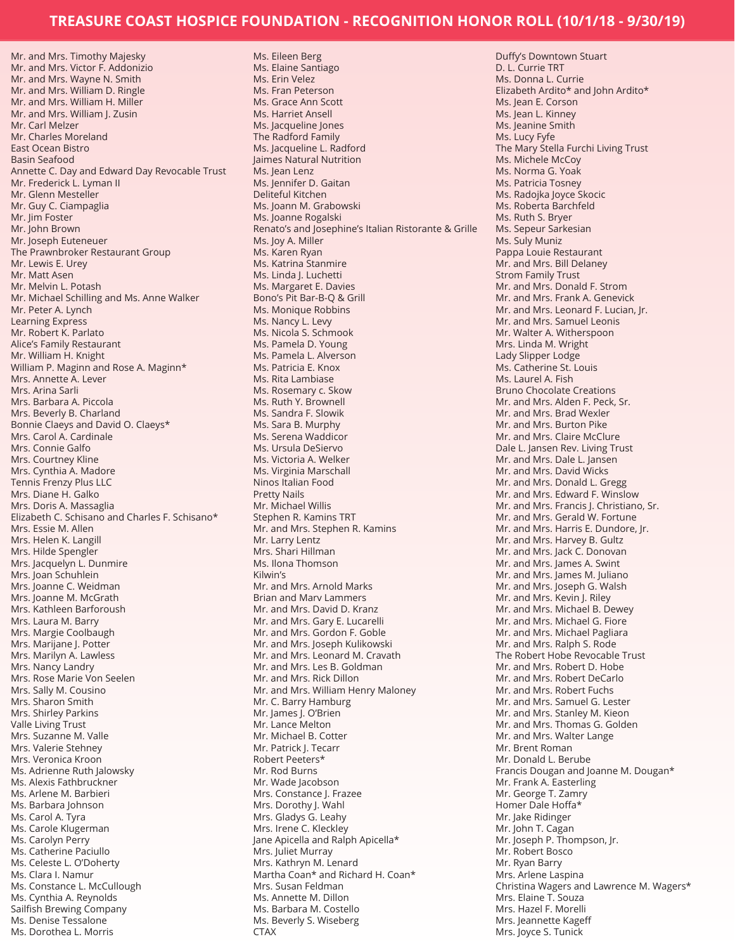Mr. and Mrs. Timothy Majesky Mr. and Mrs. Victor F. Addonizio Mr. and Mrs. Wayne N. Smith Mr. and Mrs. William D. Ringle Mr. and Mrs. William H. Miller Mr. and Mrs. William J. Zusin Mr. Carl Melzer Mr. Charles Moreland East Ocean Bistro Basin Seafood Annette C. Day and Edward Day Revocable Trust Mr. Frederick L. Lyman II Mr. Glenn Mesteller Mr. Guy C. Ciampaglia Mr. Jim Foster Mr. John Brown Mr. Joseph Euteneuer The Prawnbroker Restaurant Group Mr. Lewis E. Urey Mr. Matt Asen Mr. Melvin L. Potash Mr. Michael Schilling and Ms. Anne Walker Mr. Peter A. Lynch Learning Express Mr. Robert K. Parlato Alice's Family Restaurant Mr. William H. Knight William P. Maginn and Rose A. Maginn\* Mrs. Annette A. Lever Mrs. Arina Sarli Mrs. Barbara A. Piccola Mrs. Beverly B. Charland Bonnie Claeys and David O. Claeys\* Mrs. Carol A. Cardinale Mrs. Connie Galfo Mrs. Courtney Kline Mrs. Cynthia A. Madore Tennis Frenzy Plus LLC Mrs. Diane H. Galko Mrs. Doris A. Massaglia Elizabeth C. Schisano and Charles F. Schisano\* Mrs. Essie M. Allen Mrs. Helen K. Langill Mrs. Hilde Spengler Mrs. Jacquelyn L. Dunmire Mrs. Joan Schuhlein Mrs. Joanne C. Weidman Mrs. Joanne M. McGrath Mrs. Kathleen Barforoush Mrs. Laura M. Barry Mrs. Margie Coolbaugh Mrs. Marijane J. Potter Mrs. Marilyn A. Lawless Mrs. Nancy Landry Mrs. Rose Marie Von Seelen Mrs. Sally M. Cousino Mrs. Sharon Smith Mrs. Shirley Parkins Valle Living Trust Mrs. Suzanne M. Valle Mrs. Valerie Stehney Mrs. Veronica Kroon Ms. Adrienne Ruth Jalowsky Ms. Alexis Fathbruckner Ms. Arlene M. Barbieri Ms. Barbara Johnson Ms. Carol A. Tyra Ms. Carole Klugerman Ms. Carolyn Perry Ms. Catherine Paciullo Ms. Celeste L. O'Doherty Ms. Clara I. Namur Ms. Constance L. McCullough Ms. Cynthia A. Reynolds Sailfish Brewing Company Ms. Denise Tessalone Ms. Dorothea L. Morris

Ms. Eileen Berg Ms. Elaine Santiago Ms. Erin Velez Ms. Fran Peterson Ms. Grace Ann Scott Ms. Harriet Ansell Ms. Jacqueline Jones The Radford Family Ms. Jacqueline L. Radford Jaimes Natural Nutrition Ms. Jean Lenz Ms. Jennifer D. Gaitan Deliteful Kitchen Ms. Joann M. Grabowski Ms. Joanne Rogalski Renato's and Josephine's Italian Ristorante & Grille Ms. Joy A. Miller Ms. Karen Ryan Ms. Katrina Stanmire Ms. Linda J. Luchetti Ms. Margaret E. Davies Bono's Pit Bar-B-Q & Grill Ms. Monique Robbins Ms. Nancy L. Levy Ms. Nicola S. Schmook Ms. Pamela D. Young Ms. Pamela L. Alverson Ms. Patricia E. Knox Ms. Rita Lambiase Ms. Rosemary c. Skow Ms. Ruth Y. Brownell Ms. Sandra F. Slowik Ms. Sara B. Murphy Ms. Serena Waddicor Ms. Ursula DeSiervo Ms. Victoria A. Welker Ms. Virginia Marschall Ninos Italian Food Pretty Nails Mr. Michael Willis Stephen R. Kamins TRT Mr. and Mrs. Stephen R. Kamins Mr. Larry Lentz Mrs. Shari Hillman Ms. Ilona Thomson Kilwin's Mr. and Mrs. Arnold Marks Brian and Marv Lammers Mr. and Mrs. David D. Kranz Mr. and Mrs. Gary E. Lucarelli Mr. and Mrs. Gordon F. Goble Mr. and Mrs. Joseph Kulikowski Mr. and Mrs. Leonard M. Cravath Mr. and Mrs. Les B. Goldman Mr. and Mrs. Rick Dillon Mr. and Mrs. William Henry Maloney Mr. C. Barry Hamburg Mr. James J. O'Brien Mr. Lance Melton Mr. Michael B. Cotter Mr. Patrick J. Tecarr Robert Peeters\* Mr. Rod Burns Mr. Wade Jacobson Mrs. Constance J. Frazee Mrs. Dorothy J. Wahl Mrs. Gladys G. Leahy Mrs. Irene C. Kleckley Jane Apicella and Ralph Apicella\* Mrs. Juliet Murray Mrs. Kathryn M. Lenard Martha Coan\* and Richard H. Coan\* Mrs. Susan Feldman Ms. Annette M. Dillon Ms. Barbara M. Costello Ms. Beverly S. Wiseberg **CTAX** 

Duffy's Downtown Stuart D. L. Currie TRT Ms. Donna L. Currie Elizabeth Ardito\* and John Ardito\* Ms. Jean E. Corson Ms. Jean L. Kinney Ms. Jeanine Smith Ms. Lucy Fyfe The Mary Stella Furchi Living Trust Ms. Michele McCoy Ms. Norma G. Yoak Ms. Patricia Tosney Ms. Radojka Joyce Skocic Ms. Roberta Barchfeld Ms. Ruth S. Bryer Ms. Sepeur Sarkesian Ms. Suly Muniz Pappa Louie Restaurant Mr. and Mrs. Bill Delaney Strom Family Trust Mr. and Mrs. Donald F. Strom Mr. and Mrs. Frank A. Genevick Mr. and Mrs. Leonard F. Lucian, Jr. Mr. and Mrs. Samuel Leonis Mr. Walter A. Witherspoon Mrs. Linda M. Wright Lady Slipper Lodge Ms. Catherine St. Louis Ms. Laurel A. Fish Bruno Chocolate Creations Mr. and Mrs. Alden F. Peck, Sr. Mr. and Mrs. Brad Wexler Mr. and Mrs. Burton Pike Mr. and Mrs. Claire McClure Dale L. Jansen Rev. Living Trust Mr. and Mrs. Dale L. Jansen Mr. and Mrs. David Wicks Mr. and Mrs. Donald L. Gregg Mr. and Mrs. Edward F. Winslow Mr. and Mrs. Francis J. Christiano, Sr. Mr. and Mrs. Gerald W. Fortune Mr. and Mrs. Harris E. Dundore, Jr. Mr. and Mrs. Harvey B. Gultz Mr. and Mrs. Jack C. Donovan Mr. and Mrs. James A. Swint Mr. and Mrs. James M. Juliano Mr. and Mrs. Joseph G. Walsh Mr. and Mrs. Kevin J. Riley Mr. and Mrs. Michael B. Dewey Mr. and Mrs. Michael G. Fiore Mr. and Mrs. Michael Pagliara Mr. and Mrs. Ralph S. Rode The Robert Hobe Revocable Trust Mr. and Mrs. Robert D. Hobe Mr. and Mrs. Robert DeCarlo Mr. and Mrs. Robert Fuchs Mr. and Mrs. Samuel G. Lester Mr. and Mrs. Stanley M. Kieon Mr. and Mrs. Thomas G. Golden Mr. and Mrs. Walter Lange Mr. Brent Roman Mr. Donald L. Berube Francis Dougan and Joanne M. Dougan\* Mr. Frank A. Easterling Mr. George T. Zamry Homer Dale Hoffa\* Mr. Jake Ridinger Mr. John T. Cagan Mr. Joseph P. Thompson, Jr. Mr. Robert Bosco Mr. Ryan Barry Mrs. Arlene Laspina Christina Wagers and Lawrence M. Wagers\* Mrs. Elaine T. Souza Mrs. Hazel F. Morelli Mrs. Jeannette Kageff Mrs. Joyce S. Tunick